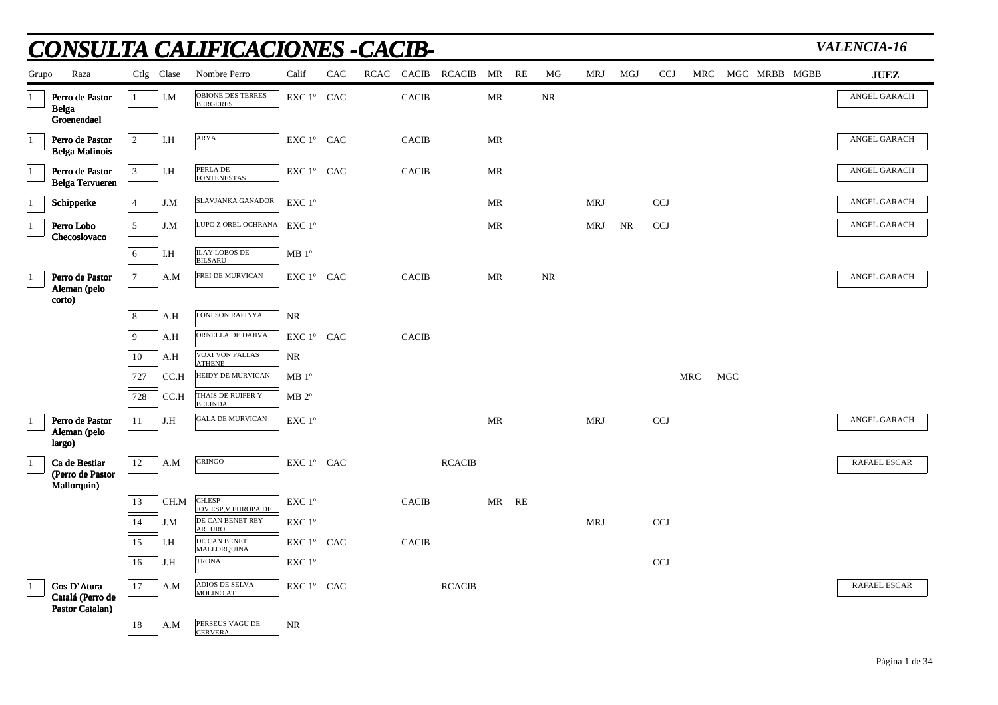|             |                                                  |                 |            | NSULTA CALIFICACIONES -CACIB-                               |                   |     |              |                      |           |    |          |            |     |            |     |     |               | VALENCIA-16         |
|-------------|--------------------------------------------------|-----------------|------------|-------------------------------------------------------------|-------------------|-----|--------------|----------------------|-----------|----|----------|------------|-----|------------|-----|-----|---------------|---------------------|
| Grupo       | Raza                                             |                 | Ctlg Clase | Nombre Perro                                                | Calif             | CAC |              | RCAC CACIB RCACIB MR |           | RE | MG       | MRJ        | MGJ | <b>CCJ</b> | MRC |     | MGC MRBB MGBB | <b>JUEZ</b>         |
| $\vert$ 1   | Perro de Pastor<br><b>Belga</b><br>Groenendael   | $\mathbf{1}$    | I.M        | OBIONE DES TERRES<br><b>BERGERES</b>                        | EXC 1° CAC        |     | <b>CACIB</b> |                      | MR        |    | $\rm NR$ |            |     |            |     |     |               | ANGEL GARACH        |
| $\vert$ 1   | Perro de Pastor<br><b>Belga Malinois</b>         | $\sqrt{2}$      | I.H        | ARYA                                                        | EXC 1º CAC        |     | <b>CACIB</b> |                      | MR        |    |          |            |     |            |     |     |               | ANGEL GARACH        |
| $\vert$ 1   | Perro de Pastor<br><b>Belga Tervueren</b>        | $\overline{3}$  | I.H        | PERLA DE<br><b>FONTENESTAS</b>                              | EXC 1° CAC        |     | CACIB        |                      | MR        |    |          |            |     |            |     |     |               | ANGEL GARACH        |
|             | Schipperke                                       | $\overline{4}$  | J.M        | SLAVJANKA GANADOR                                           | EXC 1°            |     |              |                      | <b>MR</b> |    |          | MRJ        |     | <b>CCJ</b> |     |     |               | ANGEL GARACH        |
| $\vert$ 1   | Perro Lobo<br>Checoslovaco                       | $\overline{5}$  | J.M        | LUPO Z OREL OCHRANA                                         | EXC 1°            |     |              |                      | <b>MR</b> |    |          | MRJ        | NR  | <b>CCJ</b> |     |     |               | ANGEL GARACH        |
|             |                                                  | 6               | I.H        | <b>ILAY LOBOS DE</b><br><b>BILSARU</b>                      | MB 1 <sup>o</sup> |     |              |                      |           |    |          |            |     |            |     |     |               |                     |
| $\vert$ 1   | Perro de Pastor<br>Aleman (pelo                  | $7\phantom{.0}$ | A.M        | FREI DE MURVICAN                                            | EXC 1° CAC        |     | <b>CACIB</b> |                      | MR        |    | NR       |            |     |            |     |     |               | ANGEL GARACH        |
|             | corto)                                           | 8               | A.H        | LONI SON RAPINYA                                            | NR                |     |              |                      |           |    |          |            |     |            |     |     |               |                     |
|             |                                                  | 9               | A.H        | ORNELLA DE DAJIVA                                           | EXC 1° CAC        |     | <b>CACIB</b> |                      |           |    |          |            |     |            |     |     |               |                     |
|             |                                                  | 10              | A.H        | <b>VOXI VON PALLAS</b><br><b>ATHENE</b>                     | <b>NR</b>         |     |              |                      |           |    |          |            |     |            |     |     |               |                     |
|             |                                                  | 727             | CC.H       | HEIDY DE MURVICAN                                           | MB 1 <sup>o</sup> |     |              |                      |           |    |          |            |     |            | MRC | MGC |               |                     |
|             |                                                  | 728             | CC.H       | THAIS DE RUIFER Y<br><b>BELINDA</b>                         | $MB 2^{\circ}$    |     |              |                      |           |    |          |            |     |            |     |     |               |                     |
| $ 1\rangle$ | Perro de Pastor                                  | 11              | J.H        | <b>GALA DE MURVICAN</b>                                     | EXC 1°            |     |              |                      | MR        |    |          | MRJ        |     | <b>CCJ</b> |     |     |               | ANGEL GARACH        |
|             | Aleman (pelo<br>largo)                           |                 |            |                                                             |                   |     |              |                      |           |    |          |            |     |            |     |     |               |                     |
| $\vert$ 1   | Ca de Bestiar<br>(Perro de Pastor<br>Mallorquin) | 12              | A.M        | <b>GRINGO</b>                                               | EXC 1° CAC        |     |              | <b>RCACIB</b>        |           |    |          |            |     |            |     |     |               | <b>RAFAEL ESCAR</b> |
|             |                                                  | 13              | CH.M       | CH.ESP                                                      | $EXC1^{\circ}$    |     | <b>CACIB</b> |                      | MR        | RE |          |            |     |            |     |     |               |                     |
|             |                                                  | 14              | J.M        | JOV, ESP, V. EUROPA DE<br>DE CAN BENET REY<br><b>ARTURO</b> | EXC 1°            |     |              |                      |           |    |          | <b>MRJ</b> |     | CCJ        |     |     |               |                     |
|             |                                                  | 15              | I.H        | DE CAN BENET<br>MALLOROUINA                                 | EXC 1° CAC        |     | <b>CACIB</b> |                      |           |    |          |            |     |            |     |     |               |                     |
|             |                                                  | 16              | J.H        | <b>TRONA</b>                                                | EXC 1°            |     |              |                      |           |    |          |            |     | <b>CCJ</b> |     |     |               |                     |
| $\vert$ 1   | Gos D'Atura<br>Catalá (Perro de                  | 17              | A.M        | ADIOS DE SELVA<br>MOLINO AT                                 | EXC 1° CAC        |     |              | <b>RCACIB</b>        |           |    |          |            |     |            |     |     |               | <b>RAFAEL ESCAR</b> |
|             | Pastor Catalan)                                  | 18              |            | PERSEUS VAGU DE                                             | <b>NR</b>         |     |              |                      |           |    |          |            |     |            |     |     |               |                     |
|             |                                                  |                 | A.M        | <b>CERVERA</b>                                              |                   |     |              |                      |           |    |          |            |     |            |     |     |               |                     |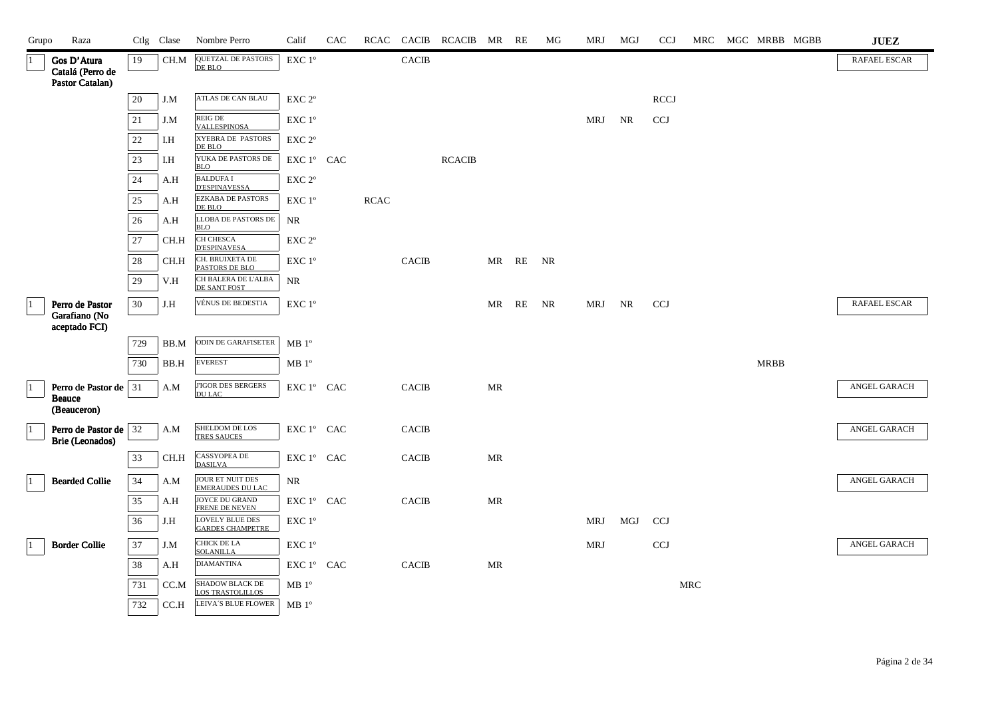| Grupo       | Raza                                               |     | Ctlg Clase | Nombre Perro                                      | Calif                                        | CAC |             | RCAC CACIB   | RCACIB MR RE  |                                   |    | MG | MRJ        | MGJ | <b>CCJ</b>  | MRC        | MGC MRBB MGBB | ${\bf JUEZ}$        |
|-------------|----------------------------------------------------|-----|------------|---------------------------------------------------|----------------------------------------------|-----|-------------|--------------|---------------|-----------------------------------|----|----|------------|-----|-------------|------------|---------------|---------------------|
| l 1         | Gos D'Atura<br>Catalá (Perro de<br>Pastor Catalan) | 19  | CH.M       | <b>QUETZAL DE PASTORS</b><br>DE BLO               | EXC 1°                                       |     |             | CACIB        |               |                                   |    |    |            |     |             |            |               | <b>RAFAEL ESCAR</b> |
|             |                                                    | 20  | J.M        | ATLAS DE CAN BLAU                                 | EXC 2°                                       |     |             |              |               |                                   |    |    |            |     | <b>RCCJ</b> |            |               |                     |
|             |                                                    | 21  | J.M        | REIG DE<br><b>VALLESPINOSA</b>                    | EXC 1°                                       |     |             |              |               |                                   |    |    | MRJ        | NR. | <b>CCJ</b>  |            |               |                     |
|             |                                                    | 22  | I.H        | XYEBRA DE PASTORS<br>DE BLO                       | EXC 2°                                       |     |             |              |               |                                   |    |    |            |     |             |            |               |                     |
|             |                                                    | 23  | I.H        | YUKA DE PASTORS DE<br><b>BLO</b>                  | EXC 1° CAC                                   |     |             |              | <b>RCACIB</b> |                                   |    |    |            |     |             |            |               |                     |
|             |                                                    | 24  | A.H        | <b>BALDUFA I</b><br><b>D'ESPINAVESSA</b>          | EXC 2°                                       |     |             |              |               |                                   |    |    |            |     |             |            |               |                     |
|             |                                                    | 25  | A.H        | EZKABA DE PASTORS<br>DE BLO                       | EXC 1°                                       |     | <b>RCAC</b> |              |               |                                   |    |    |            |     |             |            |               |                     |
|             |                                                    | 26  | A.H        | LLOBA DE PASTORS DE<br><b>BLO</b>                 | $\rm NR$                                     |     |             |              |               |                                   |    |    |            |     |             |            |               |                     |
|             |                                                    | 27  | CH.H       | CH CHESCA<br>D'ESPINAVESA                         | EXC 2 <sup>o</sup>                           |     |             |              |               |                                   |    |    |            |     |             |            |               |                     |
|             |                                                    | 28  | CH.H       | CH. BRUIXETA DE<br>PASTORS DE BLO                 | EXC 1°                                       |     |             | <b>CACIB</b> |               | MR RE                             |    | NR |            |     |             |            |               |                     |
|             |                                                    | 29  | V.H        | CH BALERA DE L'ALBA<br>DE SANT FOST               | NR                                           |     |             |              |               |                                   |    |    |            |     |             |            |               |                     |
| $ 1\rangle$ | Perro de Pastor                                    | 30  | J.H        | VÉNUS DE BEDESTIA                                 | EXC 1°                                       |     |             |              |               | MR                                | RE | NR | MRJ        | NR  | <b>CCJ</b>  |            |               | <b>RAFAEL ESCAR</b> |
|             | Garafiano (No<br>aceptado FCI)                     |     |            |                                                   |                                              |     |             |              |               |                                   |    |    |            |     |             |            |               |                     |
|             |                                                    | 729 | BB.M       | ODIN DE GARAFISETER                               | MB 1 <sup>o</sup>                            |     |             |              |               |                                   |    |    |            |     |             |            |               |                     |
|             |                                                    | 730 | BB.H       | <b>EVEREST</b>                                    | $MB1^{\circ}$                                |     |             |              |               |                                   |    |    |            |     |             |            | <b>MRBB</b>   |                     |
| $ 1\rangle$ | Perro de Pastor de 31                              |     | A.M        | <b>J'IGOR DES BERGERS</b><br><b>DULAC</b>         | EXC 1° CAC                                   |     |             | <b>CACIB</b> |               | $\ensuremath{\mathsf{MR}}\xspace$ |    |    |            |     |             |            |               | ANGEL GARACH        |
|             | <b>Beauce</b><br>(Beauceron)                       |     |            |                                                   |                                              |     |             |              |               |                                   |    |    |            |     |             |            |               |                     |
| $ 1\rangle$ | Perro de Pastor de 32<br>Brie (Leonados)           |     | A.M        | SHELDOM DE LOS<br><b>TRES SAUCES</b>              | EXC 1° CAC                                   |     |             | <b>CACIB</b> |               |                                   |    |    |            |     |             |            |               | ANGEL GARACH        |
|             |                                                    | 33  | CH.H       | CASSYOPEA DE<br><b>DASILVA</b>                    | EXC 1° CAC                                   |     |             | <b>CACIB</b> |               | MR                                |    |    |            |     |             |            |               |                     |
| 11          | <b>Bearded Collie</b>                              | 34  | A.M        | JOUR ET NUIT DES<br><b>EMERAUDES DU LAC</b>       | NR                                           |     |             |              |               |                                   |    |    |            |     |             |            |               | ANGEL GARACH        |
|             |                                                    | 35  | A.H        | JOYCE DU GRAND<br>FRENE DE NEVEN                  | ${\rm EXC}\ 1^{\circ}$ $\hbox{ CAC}$         |     |             | <b>CACIB</b> |               | MR                                |    |    |            |     |             |            |               |                     |
|             |                                                    | 36  | J.H        | <b>LOVELY BLUE DES</b><br><b>GARDES CHAMPETRE</b> | EXC 1°                                       |     |             |              |               |                                   |    |    | MRJ        | MGJ | <b>CCJ</b>  |            |               |                     |
| 11          | <b>Border Collie</b>                               | 37  | J.M        | CHICK DE LA<br><b>SOLANILLA</b>                   | $\ensuremath{\mathrm{EXC}}$ $1^{\mathrm{o}}$ |     |             |              |               |                                   |    |    | <b>MRJ</b> |     | <b>CCJ</b>  |            |               | ANGEL GARACH        |
|             |                                                    | 38  | A.H        | <b>DIAMANTINA</b>                                 | EXC 1° CAC                                   |     |             | <b>CACIB</b> |               | MR                                |    |    |            |     |             |            |               |                     |
|             |                                                    | 731 | CC.M       | <b>SHADOW BLACK DE</b><br><b>LOS TRASTOLILLOS</b> | $MB1^{\circ}$                                |     |             |              |               |                                   |    |    |            |     |             | <b>MRC</b> |               |                     |
|             |                                                    | 732 | CC.H       | LEIVA'S BLUE FLOWER                               | MB 1 <sup>o</sup>                            |     |             |              |               |                                   |    |    |            |     |             |            |               |                     |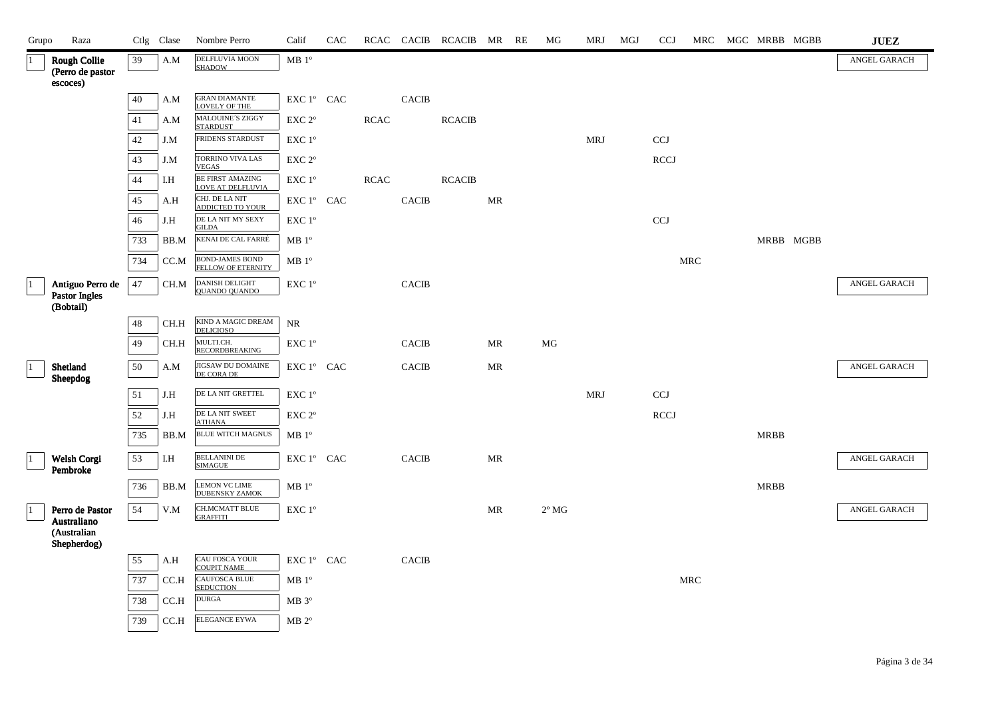| Grupo        | Raza                                                  |        | Ctlg Clase | Nombre Perro                                  | Calif                                        | CAC |             |              | RCAC CACIB RCACIB MR RE |                                   | MG             | <b>MRJ</b> | MGJ | <b>CCJ</b>  |                      | MRC MGC MRBB MGBB | ${\bf JUEZ}$ |
|--------------|-------------------------------------------------------|--------|------------|-----------------------------------------------|----------------------------------------------|-----|-------------|--------------|-------------------------|-----------------------------------|----------------|------------|-----|-------------|----------------------|-------------------|--------------|
| $\vert$ 1    | <b>Rough Collie</b><br>(Perro de pastor<br>escoces)   | 39     | A.M        | DELFLUVIA MOON<br><b>SHADOW</b>               | MB1°                                         |     |             |              |                         |                                   |                |            |     |             |                      |                   | ANGEL GARACH |
|              |                                                       | 40     | A.M        | <b>GRAN DIAMANTE</b><br><b>LOVELY OF THE</b>  | $EXC1^{\circ}$ CAC                           |     |             | <b>CACIB</b> |                         |                                   |                |            |     |             |                      |                   |              |
|              |                                                       | 41     | A.M        | MALOUINE'S ZIGGY<br><b>STARDUST</b>           | $EXC 2^{\circ}$                              |     | <b>RCAC</b> |              | <b>RCACIB</b>           |                                   |                |            |     |             |                      |                   |              |
|              |                                                       | 42     | J.M        | FRIDENS STARDUST                              | EXC 1°                                       |     |             |              |                         |                                   |                | <b>MRJ</b> |     | <b>CCJ</b>  |                      |                   |              |
|              |                                                       | 43     | J.M        | TORRINO VIVA LAS<br><b>VEGAS</b>              | EXC 2°                                       |     |             |              |                         |                                   |                |            |     | <b>RCCJ</b> |                      |                   |              |
|              |                                                       | 44     | I.H        | BE FIRST AMAZING<br>LOVE AT DELFLUVIA         | EXC 1°                                       |     | <b>RCAC</b> |              | <b>RCACIB</b>           |                                   |                |            |     |             |                      |                   |              |
|              |                                                       | 45     | A.H        | CHJ. DE LA NIT<br>ADDICTED TO YOUR            | EXC 1° CAC                                   |     |             | <b>CACIB</b> |                         | MR                                |                |            |     |             |                      |                   |              |
|              |                                                       | 46     | J.H        | DE LA NIT MY SEXY<br><b>GILDA</b>             | EXC 1°                                       |     |             |              |                         |                                   |                |            |     | <b>CCJ</b>  |                      |                   |              |
|              |                                                       | 733    | BB.M       | KENAI DE CAL FARRÉ                            | MB 1 <sup>o</sup>                            |     |             |              |                         |                                   |                |            |     |             |                      | MRBB MGBB         |              |
|              |                                                       | 734    | CC.M       | <b>BOND-JAMES BOND<br/>FELLOW OF ETERNITY</b> | $\rm MB$ $1^{\rm o}$                         |     |             |              |                         |                                   |                |            |     |             | $\operatorname{MRC}$ |                   |              |
| $ 1\rangle$  | Antiguo Perro de<br><b>Pastor Ingles</b><br>(Bobtail) | $47\,$ | CH.M       | DANISH DELIGHT<br><b>QUANDO QUANDO</b>        | $\ensuremath{\mathrm{EXC}}$ $1^{\mathrm{o}}$ |     |             | <b>CACIB</b> |                         |                                   |                |            |     |             |                      |                   | ANGEL GARACH |
|              |                                                       | 48     | CH.H       | KIND A MAGIC DREAM<br><b>DELICIOSO</b>        | NR                                           |     |             |              |                         |                                   |                |            |     |             |                      |                   |              |
|              |                                                       | 49     | CH.H       | MULTI.CH.<br><b>RECORDBREAKING</b>            | $EXC1^{\circ}$                               |     |             | <b>CACIB</b> |                         | MR                                | MG             |            |     |             |                      |                   |              |
| $ 1 \rangle$ | Shetland<br>Sheepdog                                  | 50     | A.M        | JIGSAW DU DOMAINE<br>DE CORA DE               | EXC 1° CAC                                   |     |             | <b>CACIB</b> |                         | $\ensuremath{\mathsf{MR}}\xspace$ |                |            |     |             |                      |                   | ANGEL GARACH |
|              |                                                       | 51     | J.H        | DE LA NIT GRETTEL                             | EXC 1°                                       |     |             |              |                         |                                   |                | <b>MRJ</b> |     | <b>CCJ</b>  |                      |                   |              |
|              |                                                       | 52     | J.H        | DE LA NIT SWEET<br><b>ATHANA</b>              | EXC 2°                                       |     |             |              |                         |                                   |                |            |     | <b>RCCJ</b> |                      |                   |              |
|              |                                                       | 735    | BB.M       | <b>BLUE WITCH MAGNUS</b>                      | MB 1 <sup>o</sup>                            |     |             |              |                         |                                   |                |            |     |             |                      | <b>MRBB</b>       |              |
| 1            | Welsh Corgi<br>Pembroke                               | 53     | I.H        | <b>BELLANINI DE</b><br><b>SIMAGUE</b>         | EXC 1° CAC                                   |     |             | <b>CACIB</b> |                         | MR                                |                |            |     |             |                      |                   | ANGEL GARACH |
|              |                                                       | 736    | BB.M       | <b>LEMON VC LIME</b><br><b>DUBENSKY ZAMOK</b> | $MB 1^{\circ}$                               |     |             |              |                         |                                   |                |            |     |             |                      | <b>MRBB</b>       |              |
| $\vert$ 1    | Perro de Pastor<br>Australiano                        | 54     | V.M        | <b>CH.MCMATT BLUE</b><br><b>GRAFFITI</b>      | EXC 1°                                       |     |             |              |                         | MR                                | $2^{\circ}$ MG |            |     |             |                      |                   | ANGEL GARACH |
|              | (Australian<br>Shepherdog)                            |        |            |                                               |                                              |     |             |              |                         |                                   |                |            |     |             |                      |                   |              |
|              |                                                       | 55     | A.H        | CAU FOSCA YOUR<br><b>COUPIT NAME</b>          | EXC 1° CAC                                   |     |             | <b>CACIB</b> |                         |                                   |                |            |     |             |                      |                   |              |
|              |                                                       | 737    | CC.H       | <b>CAUFOSCA BLUE</b><br><b>SEDUCTION</b>      | MB 1 <sup>o</sup>                            |     |             |              |                         |                                   |                |            |     |             | <b>MRC</b>           |                   |              |
|              |                                                       | 738    | CC.H       | <b>DURGA</b>                                  | $\rm MB$ $3^o$                               |     |             |              |                         |                                   |                |            |     |             |                      |                   |              |
|              |                                                       | 739    | CC.H       | <b>ELEGANCE EYWA</b>                          | $MB 2^{\circ}$                               |     |             |              |                         |                                   |                |            |     |             |                      |                   |              |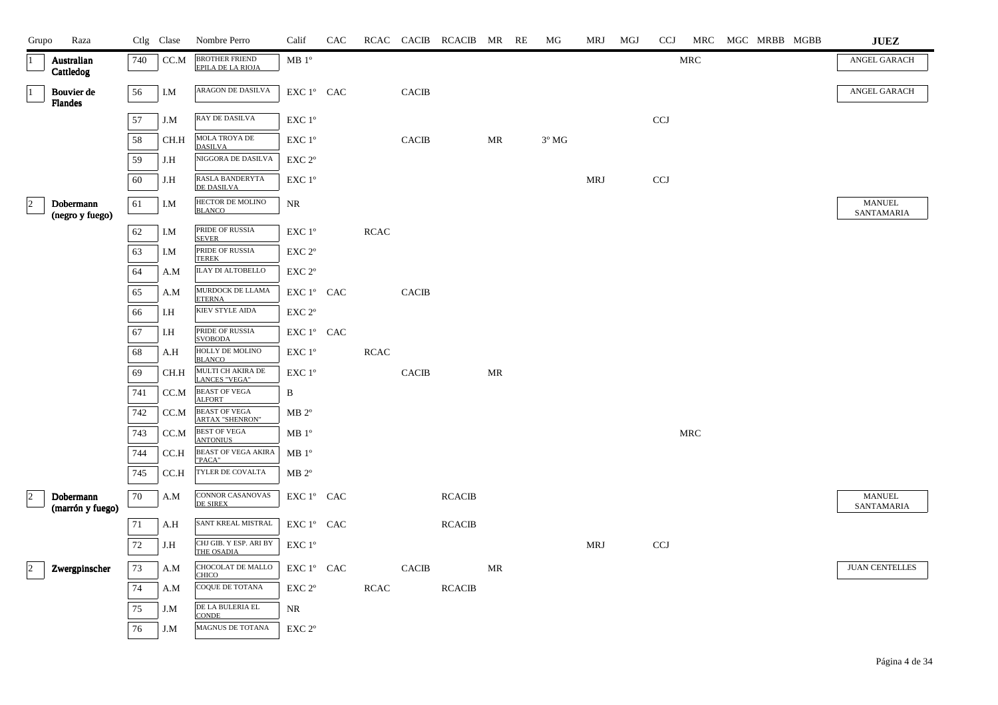| Grupo           | Raza                          |     | Ctlg Clase | Nombre Perro                                      | Calif                                        | CAC |             |                        | RCAC CACIB RCACIB MR RE |    | MG             | MRJ        | MGJ | <b>CCJ</b> | MRC        | MGC MRBB MGBB | <b>JUEZ</b>                 |
|-----------------|-------------------------------|-----|------------|---------------------------------------------------|----------------------------------------------|-----|-------------|------------------------|-------------------------|----|----------------|------------|-----|------------|------------|---------------|-----------------------------|
| $\vert$ 1       | Australian<br>Cattledog       | 740 | CC.M       | <b>BROTHER FRIEND</b><br><b>EPILA DE LA RIOJA</b> | MB 1 <sup>o</sup>                            |     |             |                        |                         |    |                |            |     |            | <b>MRC</b> |               | ANGEL GARACH                |
| $\vert$ 1       | Bouvier de<br>Flandes         | 56  | I.M        | ARAGON DE DASILVA                                 | EXC 1° CAC                                   |     |             | <b>CACIB</b>           |                         |    |                |            |     |            |            |               | ANGEL GARACH                |
|                 |                               | 57  | J.M        | RAY DE DASILVA                                    | EXC 1°                                       |     |             |                        |                         |    |                |            |     | <b>CCJ</b> |            |               |                             |
|                 |                               | 58  | CH.H       | MOLA TROYA DE<br><b>DASILVA</b>                   | EXC 1°                                       |     |             | <b>CACIB</b>           |                         | MR | $3^{\circ}$ MG |            |     |            |            |               |                             |
|                 |                               | 59  | J.H        | NIGGORA DE DASILVA                                | $\ensuremath{\mathrm{EXC}}$ $2^{\mathrm{o}}$ |     |             |                        |                         |    |                |            |     |            |            |               |                             |
|                 |                               | 60  | J.H        | RASLA BANDERYTA<br>DE DASILVA                     | EXC 1°                                       |     |             |                        |                         |    |                | <b>MRJ</b> |     | <b>CCJ</b> |            |               |                             |
| $\vert$ 2       | Dobermann<br>(negro y fuego)  | 61  | I.M        | HECTOR DE MOLINO<br><b>BLANCO</b>                 | $\rm NR$                                     |     |             |                        |                         |    |                |            |     |            |            |               | <b>MANUEL</b><br>SANTAMARIA |
|                 |                               | 62  | I.M        | PRIDE OF RUSSIA<br><b>SEVER</b>                   | EXC 1°                                       |     | <b>RCAC</b> |                        |                         |    |                |            |     |            |            |               |                             |
|                 |                               | 63  | I.M        | PRIDE OF RUSSIA<br><b>TEREK</b>                   | $\ensuremath{\mathrm{EXC}}$ $2^{\mathrm{o}}$ |     |             |                        |                         |    |                |            |     |            |            |               |                             |
|                 |                               | 64  | A.M        | <b>ILAY DI ALTOBELLO</b>                          | EXC 2°                                       |     |             |                        |                         |    |                |            |     |            |            |               |                             |
|                 |                               | 65  | A.M        | MURDOCK DE LLAMA<br><b>ETERNA</b>                 | EXC 1° CAC                                   |     |             | $\operatorname{CACIB}$ |                         |    |                |            |     |            |            |               |                             |
|                 |                               | 66  | I.H        | KIEV STYLE AIDA                                   | EXC 2°                                       |     |             |                        |                         |    |                |            |     |            |            |               |                             |
|                 |                               | 67  | I.H        | PRIDE OF RUSSIA<br><b>SVOBODA</b>                 | EXC 1° CAC                                   |     |             |                        |                         |    |                |            |     |            |            |               |                             |
|                 |                               | 68  | A.H        | HOLLY DE MOLINO<br><b>BLANCO</b>                  | EXC 1°                                       |     | <b>RCAC</b> |                        |                         |    |                |            |     |            |            |               |                             |
|                 |                               | 69  | CH.H       | MULTI CH AKIRA DE<br><b>LANCES "VEGA"</b>         | EXC 1°                                       |     |             | $\operatorname{CACIB}$ |                         | MR |                |            |     |            |            |               |                             |
|                 |                               | 741 | CC.M       | <b>BEAST OF VEGA</b><br><b>ALFORT</b>             | B                                            |     |             |                        |                         |    |                |            |     |            |            |               |                             |
|                 |                               | 742 | CC.M       | <b>BEAST OF VEGA</b><br><b>ARTAX "SHENRON"</b>    | $MB 2^{\circ}$                               |     |             |                        |                         |    |                |            |     |            |            |               |                             |
|                 |                               | 743 | CC.M       | <b>BEST OF VEGA</b><br><b>ANTONIUS</b>            | $\rm MB$ $1^{\circ}$                         |     |             |                        |                         |    |                |            |     |            | MRC        |               |                             |
|                 |                               | 744 | CC.H       | <b>BEAST OF VEGA AKIRA</b><br>"PACA"              | MB 1 <sup>o</sup>                            |     |             |                        |                         |    |                |            |     |            |            |               |                             |
|                 |                               | 745 | CC.H       | TYLER DE COVALTA                                  | $MB 2^{\circ}$                               |     |             |                        |                         |    |                |            |     |            |            |               |                             |
| $ 2\rangle$     | Dobermann<br>(marrón y fuego) | 70  | A.M        | CONNOR CASANOVAS<br><b>DE SIREX</b>               | EXC 1° CAC                                   |     |             |                        | <b>RCACIB</b>           |    |                |            |     |            |            |               | <b>MANUEL</b><br>SANTAMARIA |
|                 |                               | 71  | A.H        | SANT KREAL MISTRAL                                | EXC 1° CAC                                   |     |             |                        | <b>RCACIB</b>           |    |                |            |     |            |            |               |                             |
|                 |                               | 72  | J.H        | CHJ GIB. Y ESP. ARI BY<br>THE OSADIA              | EXC 1°                                       |     |             |                        |                         |    |                | <b>MRJ</b> |     | <b>CCJ</b> |            |               |                             |
| $\vert 2 \vert$ | Zwergpinscher                 | 73  | A.M        | CHOCOLAT DE MALLO<br><b>CHICO</b>                 | $EXC1^{\circ}$ CAC                           |     |             | <b>CACIB</b>           |                         | MR |                |            |     |            |            |               | <b>JUAN CENTELLES</b>       |
|                 |                               | 74  | A.M        | COQUE DE TOTANA                                   | $EXC 2^{\circ}$                              |     | <b>RCAC</b> |                        | <b>RCACIB</b>           |    |                |            |     |            |            |               |                             |
|                 |                               | 75  | J.M        | DE LA BULERIA EL<br><b>CONDE</b>                  | NR                                           |     |             |                        |                         |    |                |            |     |            |            |               |                             |
|                 |                               | 76  | J.M        | MAGNUS DE TOTANA                                  | EXC 2°                                       |     |             |                        |                         |    |                |            |     |            |            |               |                             |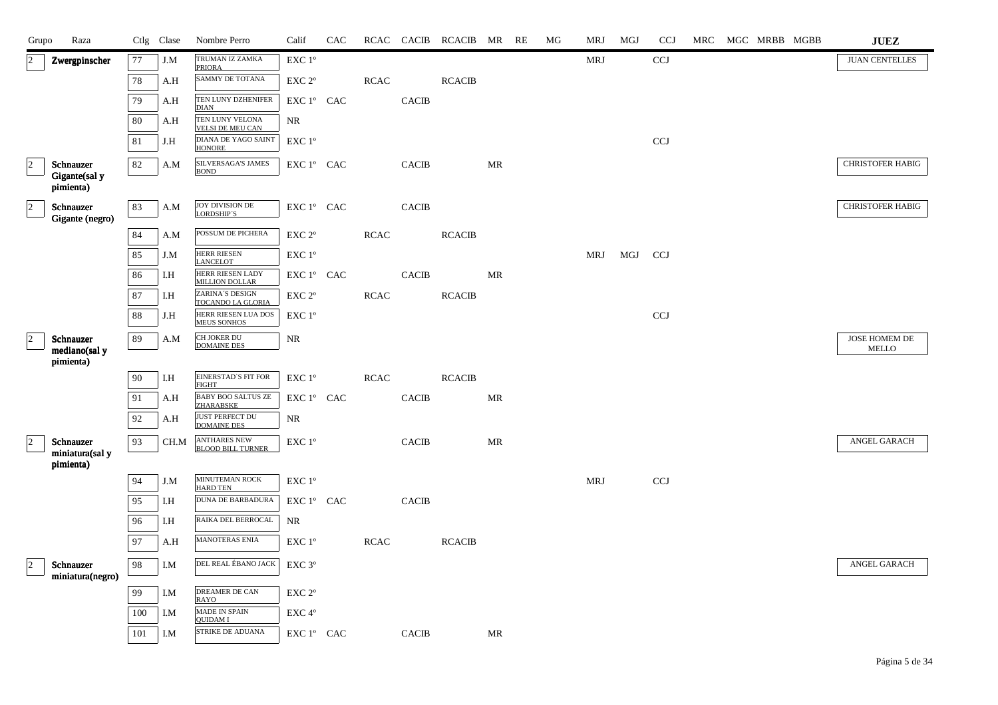| Raza<br>Grupo                                                         |     | Ctlg Clase | Nombre Perro                                    | Calif                                      | <b>CAC</b> |             | RCAC CACIB   | RCACIB MR     |    | RE | МG | MRJ        | MGJ | <b>CCJ</b>   | MRC | MGC MRBB MGBB | ${\bf JUEZ}$                  |
|-----------------------------------------------------------------------|-----|------------|-------------------------------------------------|--------------------------------------------|------------|-------------|--------------|---------------|----|----|----|------------|-----|--------------|-----|---------------|-------------------------------|
| $\overline{2}$<br>Zwergpinscher                                       | 77  | J.M        | TRUMAN IZ ZAMKA<br><b>PRIORA</b>                | EXC 1°                                     |            |             |              |               |    |    |    | <b>MRJ</b> |     | $_{\rm CCJ}$ |     |               | <b>JUAN CENTELLES</b>         |
|                                                                       | 78  | A.H        | SAMMY DE TOTANA                                 | EXC 2°                                     |            | RCAC        |              | <b>RCACIB</b> |    |    |    |            |     |              |     |               |                               |
|                                                                       | 79  | A.H        | TEN LUNY DZHENIFER<br><b>DIAN</b>               | EXC 1° CAC                                 |            |             | <b>CACIB</b> |               |    |    |    |            |     |              |     |               |                               |
|                                                                       | 80  | A.H        | TEN LUNY VELONA<br><b>VELSI DE MEU CAN</b>      | NR                                         |            |             |              |               |    |    |    |            |     |              |     |               |                               |
|                                                                       | 81  | J.H        | DIANA DE YAGO SAINT<br><b>HONORE</b>            | $\ensuremath{\mathrm{EXC}}$ $1^\mathrm{o}$ |            |             |              |               |    |    |    |            |     | <b>CCJ</b>   |     |               |                               |
| $\overline{a}$<br>Schnauzer                                           | 82  | A.M        | <b>SILVERSAGA'S JAMES</b><br><b>BOND</b>        | EXC 1° CAC                                 |            |             | <b>CACIB</b> |               | MR |    |    |            |     |              |     |               | <b>CHRISTOFER HABIG</b>       |
| Gigante(sal y<br>pimienta)                                            |     |            |                                                 |                                            |            |             |              |               |    |    |    |            |     |              |     |               |                               |
| $\vert$ <sup>2</sup><br>Schnauzer<br>Gigante (negro)                  | 83  | A.M        | <b>JOY DIVISION DE</b><br><b>LORDSHIP'S</b>     | ${\rm EXC}$ $1^{\circ}$ $\;$ CAC           |            |             | <b>CACIB</b> |               |    |    |    |            |     |              |     |               | <b>CHRISTOFER HABIG</b>       |
|                                                                       | 84  | A.M        | POSSUM DE PICHERA                               | EXC 2°                                     |            | <b>RCAC</b> |              | <b>RCACIB</b> |    |    |    |            |     |              |     |               |                               |
|                                                                       | 85  | J.M        | <b>HERR RIESEN</b><br><b>LANCELOT</b>           | $\ensuremath{\mathrm{EXC}}$ $1^\mathrm{o}$ |            |             |              |               |    |    |    | <b>MRJ</b> | MGJ | <b>CCJ</b>   |     |               |                               |
|                                                                       | 86  | I.H        | HERR RIESEN LADY<br><b>MILLION DOLLAR</b>       | EXC 1° CAC                                 |            |             | <b>CACIB</b> |               | MR |    |    |            |     |              |     |               |                               |
|                                                                       | 87  | I.H        | ZARINA'S DESIGN<br>TOCANDO LA GLORIA            | EXC 2°                                     |            | <b>RCAC</b> |              | <b>RCACIB</b> |    |    |    |            |     |              |     |               |                               |
|                                                                       | 88  | J.H        | HERR RIESEN LUA DOS<br>MEUS SONHOS              | EXC 1°                                     |            |             |              |               |    |    |    |            |     | $_{\rm CCJ}$ |     |               |                               |
| $\overline{2}$<br>Schnauzer<br>mediano(sal y                          | 89  | A.M        | CH JOKER DU<br><b>DOMAINE DES</b>               | NR                                         |            |             |              |               |    |    |    |            |     |              |     |               | JOSE HOMEM DE<br><b>MELLO</b> |
| pimienta)                                                             |     |            |                                                 |                                            |            |             |              |               |    |    |    |            |     |              |     |               |                               |
|                                                                       | 90  | I.H        | EINERSTAD'S FIT FOR<br><b>FIGHT</b>             | EXC 1°                                     |            | <b>RCAC</b> |              | <b>RCACIB</b> |    |    |    |            |     |              |     |               |                               |
|                                                                       | 91  | A.H        | BABY BOO SALTUS ZE<br><b>ZHARABSKE</b>          | EXC 1° CAC                                 |            |             | <b>CACIB</b> |               | MR |    |    |            |     |              |     |               |                               |
|                                                                       | 92  | A.H        | <b>JUST PERFECT DU</b><br><b>DOMAINE DES</b>    | NR                                         |            |             |              |               |    |    |    |            |     |              |     |               |                               |
| $\overline{\phantom{a}}$<br>Schnauzer<br>miniatura(sal y<br>pimienta) | 93  | CH.M       | <b>ANTHARES NEW</b><br><b>BLOOD BILL TURNER</b> | $EXC1^{\circ}$                             |            |             | <b>CACIB</b> |               | MR |    |    |            |     |              |     |               | ANGEL GARACH                  |
|                                                                       | 94  | J.M        | MINUTEMAN ROCK<br><b>HARD TEN</b>               | EXC 1°                                     |            |             |              |               |    |    |    | <b>MRJ</b> |     | <b>CCJ</b>   |     |               |                               |
|                                                                       | 95  | I.H        | <b>DUNA DE BARBADURA</b>                        | EXC 1° CAC                                 |            |             | <b>CACIB</b> |               |    |    |    |            |     |              |     |               |                               |
|                                                                       | 96  | I.H        | RAIKA DEL BERROCAL                              | NR                                         |            |             |              |               |    |    |    |            |     |              |     |               |                               |
|                                                                       | 97  | A.H        | MANOTERAS ENIA                                  | EXC 1 <sup>o</sup>                         |            | <b>RCAC</b> |              | <b>RCACIB</b> |    |    |    |            |     |              |     |               |                               |
| $\vert$ 2<br>Schnauzer<br>miniatura(negro)                            | 98  | I.M        | DEL REAL ÉBANO JACK                             | EXC 3°                                     |            |             |              |               |    |    |    |            |     |              |     |               | ANGEL GARACH                  |
|                                                                       | 99  | I.M        | <b>DREAMER DE CAN</b><br><b>RAYO</b>            | EXC <sub>2°</sub>                          |            |             |              |               |    |    |    |            |     |              |     |               |                               |
|                                                                       | 100 | I.M        | <b>MADE IN SPAIN</b><br><b>OUIDAM I</b>         | EXC 4°                                     |            |             |              |               |    |    |    |            |     |              |     |               |                               |
|                                                                       | 101 | I.M        | STRIKE DE ADUANA                                | EXC 1° CAC                                 |            |             | <b>CACIB</b> |               | MR |    |    |            |     |              |     |               |                               |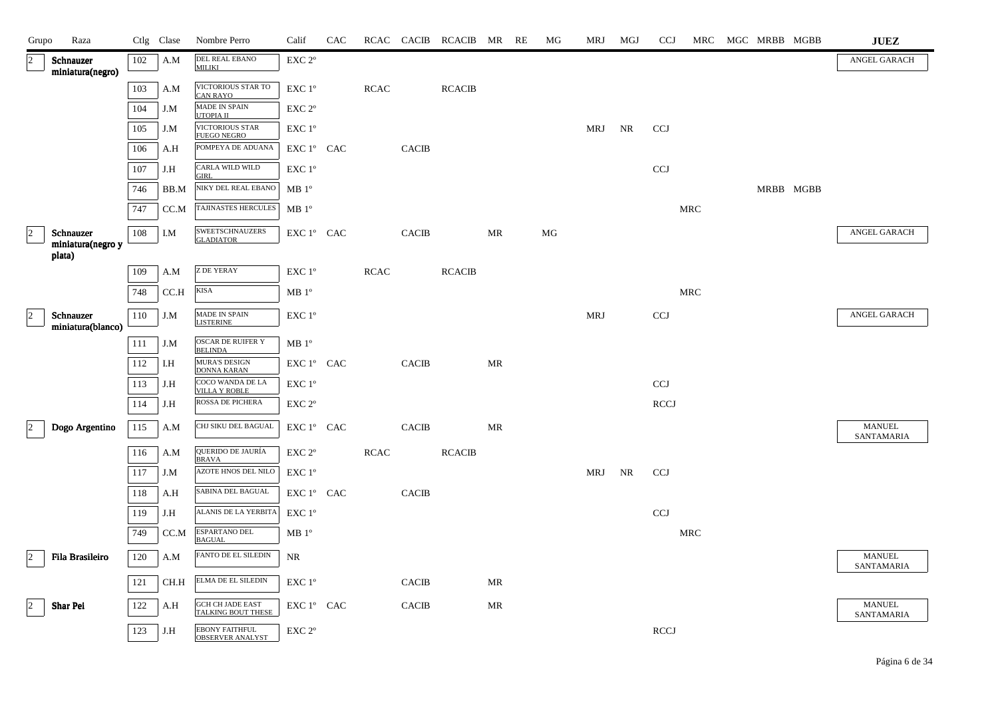| Grupo          | Raza                           |            | Ctlg Clase | Nombre Perro                                     | Calif             | CAC |             |              | RCAC CACIB RCACIB MR RE |           | MG | MRJ        | MGJ | <b>CCJ</b>   |            |  | MRC MGC MRBB MGBB | <b>JUEZ</b>                 |
|----------------|--------------------------------|------------|------------|--------------------------------------------------|-------------------|-----|-------------|--------------|-------------------------|-----------|----|------------|-----|--------------|------------|--|-------------------|-----------------------------|
| $\vert$ 2      | Schnauzer<br>miniatura(negro)  | 102        | A.M        | <b>DEL REAL EBANO</b><br><b>MILIKI</b>           | EXC <sub>2°</sub> |     |             |              |                         |           |    |            |     |              |            |  |                   | <b>ANGEL GARACH</b>         |
|                |                                | 103        | A.M        | VICTORIOUS STAR TO<br><b>CAN RAYO</b>            | EXC 1°            |     | <b>RCAC</b> |              | <b>RCACIB</b>           |           |    |            |     |              |            |  |                   |                             |
|                |                                | 104        | J.M        | MADE IN SPAIN<br>UTOPIA II                       | EXC <sub>2°</sub> |     |             |              |                         |           |    |            |     |              |            |  |                   |                             |
|                |                                | 105        | J.M        | <b>VICTORIOUS STAR</b><br><b>FUEGO NEGRO</b>     | EXC 1°            |     |             |              |                         |           |    | MRJ        | NR  | <b>CCJ</b>   |            |  |                   |                             |
|                |                                | 106        | A.H        | POMPEYA DE ADUANA                                | EXC 1° CAC        |     |             | <b>CACIB</b> |                         |           |    |            |     |              |            |  |                   |                             |
|                |                                | 107        | J.H        | CARLA WILD WILD<br><b>GIRL</b>                   | EXC 1°            |     |             |              |                         |           |    |            |     | $_{\rm CCJ}$ |            |  |                   |                             |
|                |                                | 746        | BB.M       | NIKY DEL REAL EBANO                              | $MB1^{\circ}$     |     |             |              |                         |           |    |            |     |              |            |  | MRBB MGBB         |                             |
|                |                                | 747        | CC.M       | TAJINASTES HERCULES                              | MB 1 <sup>o</sup> |     |             |              |                         |           |    |            |     |              | <b>MRC</b> |  |                   |                             |
| $\vert$ 2      | Schnauzer<br>miniatura(negro y | 108        | I.M        | SWEETSCHNAUZERS<br>GLADIATOR                     | EXC 1° CAC        |     |             | <b>CACIB</b> |                         | MR        | MG |            |     |              |            |  |                   | ANGEL GARACH                |
|                | plata)                         |            | A.M        | <b>Z DE YERAY</b>                                | EXC 1°            |     | <b>RCAC</b> |              | <b>RCACIB</b>           |           |    |            |     |              |            |  |                   |                             |
|                |                                | 109<br>748 | CC.H       | <b>KISA</b>                                      | MB 1 <sup>o</sup> |     |             |              |                         |           |    |            |     |              | <b>MRC</b> |  |                   |                             |
|                |                                |            |            | MADE IN SPAIN                                    |                   |     |             |              |                         |           |    |            |     |              |            |  |                   | ANGEL GARACH                |
| $\overline{2}$ | Schnauzer<br>miniatura(blanco) | 110        | J.M        | <b>LISTERINE</b>                                 | EXC 1°            |     |             |              |                         |           |    | MRJ        |     | <b>CCJ</b>   |            |  |                   |                             |
|                |                                | 111        | J.M        | <b>OSCAR DE RUIFER Y</b><br><b>BELINDA</b>       | MB 1 <sup>o</sup> |     |             |              |                         |           |    |            |     |              |            |  |                   |                             |
|                |                                | 112        | I.H        | <b>MURA'S DESIGN</b><br><b>DONNA KARAN</b>       | EXC 1° CAC        |     |             | <b>CACIB</b> |                         | <b>MR</b> |    |            |     |              |            |  |                   |                             |
|                |                                | 113        | J.H        | COCO WANDA DE LA<br><b>VILLA Y ROBLE</b>         | EXC 1°            |     |             |              |                         |           |    |            |     | <b>CCJ</b>   |            |  |                   |                             |
|                |                                | 114        | J.H        | ROSSA DE PICHERA                                 | EXC <sub>2°</sub> |     |             |              |                         |           |    |            |     | <b>RCCJ</b>  |            |  |                   |                             |
| $ 2\rangle$    | Dogo Argentino                 | 115        | A.M        | CHJ SIKU DEL BAGUAL                              | EXC 1° CAC        |     |             | <b>CACIB</b> |                         | MR        |    |            |     |              |            |  |                   | <b>MANUEL</b><br>SANTAMARIA |
|                |                                | 116        | A.M        | QUERIDO DE JAURÍA<br><b>BRAVA</b>                | EXC <sub>2°</sub> |     | <b>RCAC</b> |              | <b>RCACIB</b>           |           |    |            |     |              |            |  |                   |                             |
|                |                                | 117        | J.M        | AZOTE HNOS DEL NILO                              | EXC 1°            |     |             |              |                         |           |    | <b>MRJ</b> | NR  | <b>CCJ</b>   |            |  |                   |                             |
|                |                                | 118        | A.H        | SABINA DEL BAGUAL                                | EXC 1° CAC        |     |             | <b>CACIB</b> |                         |           |    |            |     |              |            |  |                   |                             |
|                |                                | 119        | J.H        | ALANIS DE LA YERBITA                             | EXC 1°            |     |             |              |                         |           |    |            |     | <b>CCJ</b>   |            |  |                   |                             |
|                |                                | 749        | CC.M       | <b>ESPARTANO DEL</b><br><b>BAGUAL</b>            | MB 1 <sup>o</sup> |     |             |              |                         |           |    |            |     |              | <b>MRC</b> |  |                   |                             |
| $\vert$ 2      | Fila Brasileiro                | 120        | A.M        | FANTO DE EL SILEDIN                              | NR                |     |             |              |                         |           |    |            |     |              |            |  |                   | <b>MANUEL</b><br>SANTAMARIA |
|                |                                | 121        | CH.H       | ELMA DE EL SILEDIN                               | EXC 1°            |     |             | <b>CACIB</b> |                         | MR        |    |            |     |              |            |  |                   |                             |
| $\vert$ 2      | Shar Pei                       | 122        | A.H        | <b>GCH CH JADE EAST</b><br>TALKING BOUT THESE    | EXC 1° CAC        |     |             | <b>CACIB</b> |                         | MR        |    |            |     |              |            |  |                   | <b>MANUEL</b><br>SANTAMARIA |
|                |                                | 123        | J.H        | <b>EBONY FAITHFUL</b><br><b>OBSERVER ANALYST</b> | EXC <sub>2°</sub> |     |             |              |                         |           |    |            |     | <b>RCCJ</b>  |            |  |                   |                             |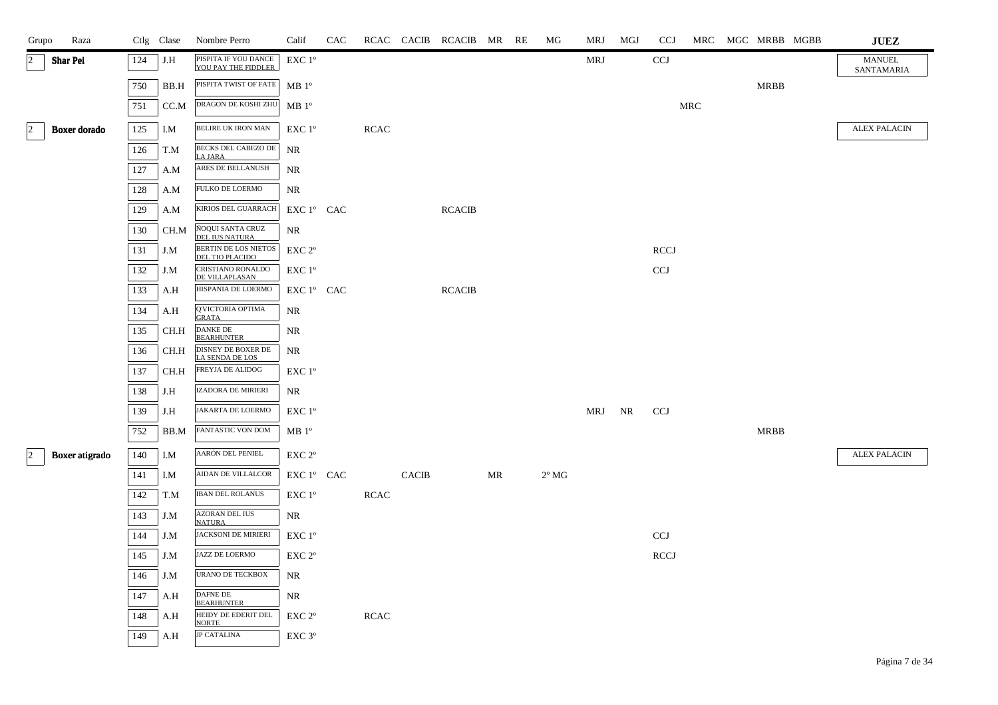| Grupo       | Raza            |     | Ctlg Clase | Nombre Perro                                | Calif              | CAC |             |              | RCAC CACIB RCACIB MR RE |    | MG             | MRJ    | MGJ | <b>CCJ</b>  |     | MRC MGC MRBB MGBB | <b>JUEZ</b>                 |
|-------------|-----------------|-----|------------|---------------------------------------------|--------------------|-----|-------------|--------------|-------------------------|----|----------------|--------|-----|-------------|-----|-------------------|-----------------------------|
| 2           | <b>Shar Pei</b> | 124 | J.H        | PISPITA IF YOU DANCE<br>YOU PAY THE FIDDLER | EXC 1 <sup>°</sup> |     |             |              |                         |    |                | MRJ    |     | <b>CCJ</b>  |     |                   | <b>MANUEL</b><br>SANTAMARIA |
|             |                 | 750 | BB.H       | PISPITA TWIST OF FATE                       | MB 1 <sup>o</sup>  |     |             |              |                         |    |                |        |     |             |     | <b>MRBB</b>       |                             |
|             |                 | 751 | CC.M       | DRAGON DE KOSHI ZHU                         | MB 1 <sup>o</sup>  |     |             |              |                         |    |                |        |     |             | MRC |                   |                             |
| $ 2\rangle$ | Boxer dorado    | 125 | I.M        | BELIRE UK IRON MAN                          | EXC 1°             |     | <b>RCAC</b> |              |                         |    |                |        |     |             |     |                   | <b>ALEX PALACIN</b>         |
|             |                 | 126 | T.M        | BECKS DEL CABEZO DE<br><b>LA JARA</b>       | NR                 |     |             |              |                         |    |                |        |     |             |     |                   |                             |
|             |                 | 127 | A.M        | ARES DE BELLANUSH                           | <b>NR</b>          |     |             |              |                         |    |                |        |     |             |     |                   |                             |
|             |                 | 128 | A.M        | FULKO DE LOERMO                             | NR                 |     |             |              |                         |    |                |        |     |             |     |                   |                             |
|             |                 | 129 | A.M        | KIRIOS DEL GUARRACH                         | EXC 1° CAC         |     |             |              | <b>RCACIB</b>           |    |                |        |     |             |     |                   |                             |
|             |                 | 130 | CH.M       | ÑOQUI SANTA CRUZ<br>DEL IUS NATURA          | <b>NR</b>          |     |             |              |                         |    |                |        |     |             |     |                   |                             |
|             |                 | 131 | J.M        | BERTIN DE LOS NIETOS<br>DEL TIO PLACIDO     | EXC 2°             |     |             |              |                         |    |                |        |     | <b>RCCJ</b> |     |                   |                             |
|             |                 | 132 | J.M        | CRISTIANO RONALDO<br>DE VILLAPLASAN         | EXC 1°             |     |             |              |                         |    |                |        |     | <b>CCJ</b>  |     |                   |                             |
|             |                 | 133 | A.H        | HISPANIA DE LOERMO                          | EXC 1° CAC         |     |             |              | <b>RCACIB</b>           |    |                |        |     |             |     |                   |                             |
|             |                 | 134 | A.H        | Q'VICTORIA OPTIMA<br><b>GRATA</b>           | NR                 |     |             |              |                         |    |                |        |     |             |     |                   |                             |
|             |                 | 135 | CH.H       | <b>DANKE DE</b><br><b>BEARHUNTER</b>        | NR                 |     |             |              |                         |    |                |        |     |             |     |                   |                             |
|             |                 | 136 | CH.H       | DISNEY DE BOXER DE<br>LA SENDA DE LOS       | NR                 |     |             |              |                         |    |                |        |     |             |     |                   |                             |
|             |                 | 137 | CH.H       | FREYJA DE ALIDOG                            | EXC 1°             |     |             |              |                         |    |                |        |     |             |     |                   |                             |
|             |                 | 138 | J.H        | IZADORA DE MIRIERI                          | NR                 |     |             |              |                         |    |                |        |     |             |     |                   |                             |
|             |                 | 139 | J.H        | JAKARTA DE LOERMO                           | EXC 1 <sup>o</sup> |     |             |              |                         |    |                | MRJ NR |     | <b>CCJ</b>  |     |                   |                             |
|             |                 | 752 | BB.M       | FANTASTIC VON DOM                           | MB 1 <sup>o</sup>  |     |             |              |                         |    |                |        |     |             |     | MRBB              |                             |
| $\vert$ 2   | Boxer atigrado  | 140 | I.M        | AARÓN DEL PENIEL                            | EXC <sub>2°</sub>  |     |             |              |                         |    |                |        |     |             |     |                   | <b>ALEX PALACIN</b>         |
|             |                 | 141 | I.M        | AIDAN DE VILLALCOR                          | EXC 1° CAC         |     |             | <b>CACIB</b> |                         | MR | $2^{\circ}$ MG |        |     |             |     |                   |                             |
|             |                 | 142 | T.M        | IBAN DEL ROLANUS                            | EXC 1°             |     | RCAC        |              |                         |    |                |        |     |             |     |                   |                             |
|             |                 | 143 | J.M        | <b>AZORAN DEL IUS</b><br><b>NATURA</b>      | NR                 |     |             |              |                         |    |                |        |     |             |     |                   |                             |
|             |                 | 144 | J.M        | <b>JACKSONI DE MIRIERI</b>                  | EXC 1°             |     |             |              |                         |    |                |        |     | <b>CCJ</b>  |     |                   |                             |
|             |                 | 145 | J.M        | JAZZ DE LOERMO                              | EXC <sub>2°</sub>  |     |             |              |                         |    |                |        |     | <b>RCCJ</b> |     |                   |                             |
|             |                 | 146 | J.M        | <b>URANO DE TECKBOX</b>                     | <b>NR</b>          |     |             |              |                         |    |                |        |     |             |     |                   |                             |
|             |                 | 147 | A.H        | <b>DAFNE DE</b><br><b>BEARHUNTER</b>        | NR                 |     |             |              |                         |    |                |        |     |             |     |                   |                             |
|             |                 | 148 | A.H        | HEIDY DE EDERIT DEL<br><b>NORTE</b>         | EXC 2°             |     | <b>RCAC</b> |              |                         |    |                |        |     |             |     |                   |                             |
|             |                 | 149 | A.H        | <b>JP CATALINA</b>                          | EXC <sub>3°</sub>  |     |             |              |                         |    |                |        |     |             |     |                   |                             |
|             |                 |     |            |                                             |                    |     |             |              |                         |    |                |        |     |             |     |                   |                             |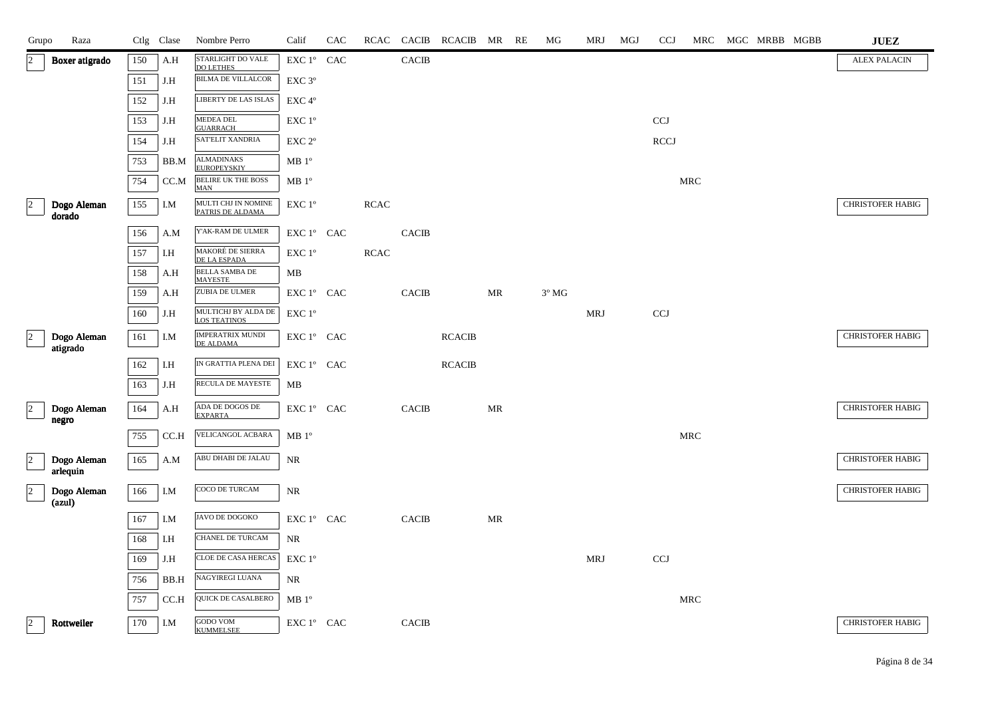| Grupo                | Raza                    |     | Ctlg Clase | Nombre Perro                               | Calif                            | CAC | RCAC        | <b>CACIB</b> | RCACIB MR     |    | RE | МG             | <b>MRJ</b> | MGJ | <b>CCJ</b>   | <b>MRC</b> | MGC MRBB MGBB | <b>JUEZ</b>             |
|----------------------|-------------------------|-----|------------|--------------------------------------------|----------------------------------|-----|-------------|--------------|---------------|----|----|----------------|------------|-----|--------------|------------|---------------|-------------------------|
| $ 2\rangle$          | Boxer atigrado          | 150 | A.H        | STARLIGHT DO VALE<br><b>DO LETHES</b>      | EXC 1° CAC                       |     |             | <b>CACIB</b> |               |    |    |                |            |     |              |            |               | <b>ALEX PALACIN</b>     |
|                      |                         | 151 | J.H        | <b>BILMA DE VILLALCOR</b>                  | EXC <sub>3°</sub>                |     |             |              |               |    |    |                |            |     |              |            |               |                         |
|                      |                         | 152 | J.H        | LIBERTY DE LAS ISLAS                       | EXC 4°                           |     |             |              |               |    |    |                |            |     |              |            |               |                         |
|                      |                         | 153 | J.H        | <b>MEDEA DEL</b><br><b>GUARRACH</b>        | EXC 1°                           |     |             |              |               |    |    |                |            |     | CCJ          |            |               |                         |
|                      |                         | 154 | J.H        | SAT'ELIT XANDRIA                           | EXC <sub>2°</sub>                |     |             |              |               |    |    |                |            |     | <b>RCCJ</b>  |            |               |                         |
|                      |                         | 753 | BB.M       | <b>ALMADINAKS</b><br><b>EUROPEYSKIY</b>    | $MB1^{\circ}$                    |     |             |              |               |    |    |                |            |     |              |            |               |                         |
|                      |                         | 754 | CC.M       | <b>BELIRE UK THE BOSS</b><br><b>MAN</b>    | MB 1 <sup>o</sup>                |     |             |              |               |    |    |                |            |     |              | <b>MRC</b> |               |                         |
| $\vert$ <sup>2</sup> | Dogo Aleman<br>dorado   | 155 | I.M        | MULTI CHJ IN NOMINE<br>PATRIS DE ALDAMA    | EXC 1°                           |     | <b>RCAC</b> |              |               |    |    |                |            |     |              |            |               | <b>CHRISTOFER HABIG</b> |
|                      |                         | 156 | A.M        | Y'AK-RAM DE ULMER                          | EXC 1° CAC                       |     |             | <b>CACIB</b> |               |    |    |                |            |     |              |            |               |                         |
|                      |                         | 157 | I.H        | MAKORÉ DE SIERRA<br>DE LA ESPADA           | EXC 1°                           |     | <b>RCAC</b> |              |               |    |    |                |            |     |              |            |               |                         |
|                      |                         | 158 | A.H        | <b>BELLA SAMBA DE</b><br><b>MAYESTE</b>    | МB                               |     |             |              |               |    |    |                |            |     |              |            |               |                         |
|                      |                         | 159 | A.H        | ZUBIA DE ULMER                             | EXC 1° CAC                       |     |             | <b>CACIB</b> |               | MR |    | $3^{\circ}$ MG |            |     |              |            |               |                         |
|                      |                         | 160 | J.H        | MULTICHJ BY ALDA DE<br><b>LOS TEATINOS</b> | EXC 1°                           |     |             |              |               |    |    |                | MRJ        |     | <b>CCJ</b>   |            |               |                         |
| $\vert$ 2            | Dogo Aleman             | 161 | I.M        | IMPERATRIX MUNDI<br>DE ALDAMA              | EXC 1° CAC                       |     |             |              | <b>RCACIB</b> |    |    |                |            |     |              |            |               | <b>CHRISTOFER HABIG</b> |
|                      | atigrado                | 162 | I.H        | IN GRATTIA PLENA DEI                       | EXC 1° CAC                       |     |             |              | <b>RCACIB</b> |    |    |                |            |     |              |            |               |                         |
|                      |                         | 163 | J.H        | RECULA DE MAYESTE                          | MB                               |     |             |              |               |    |    |                |            |     |              |            |               |                         |
| $\vert$ <sub>2</sub> | Dogo Aleman             | 164 | A.H        | ADA DE DOGOS DE                            | EXC 1° CAC                       |     |             | <b>CACIB</b> |               | MR |    |                |            |     |              |            |               | <b>CHRISTOFER HABIG</b> |
|                      | negro                   |     |            | <b>EXPARTA</b>                             |                                  |     |             |              |               |    |    |                |            |     |              |            |               |                         |
|                      |                         | 755 | CC.H       | VELICANGOL ACBARA                          | MB 1 <sup>o</sup>                |     |             |              |               |    |    |                |            |     |              | MRC        |               |                         |
| $ 2\rangle$          | Dogo Aleman<br>arlequin | 165 | A.M        | ABU DHABI DE JALAU                         | NR                               |     |             |              |               |    |    |                |            |     |              |            |               | <b>CHRISTOFER HABIG</b> |
| $\vert$ <sub>2</sub> | Dogo Aleman<br>(azul)   | 166 | I.M        | COCO DE TURCAM                             | NR                               |     |             |              |               |    |    |                |            |     |              |            |               | <b>CHRISTOFER HABIG</b> |
|                      |                         | 167 | I.M        | JAVO DE DOGOKO                             | EXC 1° CAC                       |     |             | <b>CACIB</b> |               | MR |    |                |            |     |              |            |               |                         |
|                      |                         | 168 | I.H        | CHANEL DE TURCAM                           | <b>NR</b>                        |     |             |              |               |    |    |                |            |     |              |            |               |                         |
|                      |                         | 169 | J.H        | CLOE DE CASA HERCAS                        | EXC 1°                           |     |             |              |               |    |    |                | MRJ        |     | $_{\rm CCJ}$ |            |               |                         |
|                      |                         | 756 | BB.H       | NAGYIREGI LUANA                            | NR                               |     |             |              |               |    |    |                |            |     |              |            |               |                         |
|                      |                         | 757 | CC.H       | QUICK DE CASALBERO                         | MB 1 <sup>o</sup>                |     |             |              |               |    |    |                |            |     |              | MRC        |               |                         |
| $\vert$ <sub>2</sub> | Rottweiler              | 170 | I.M        | <b>GODO VOM</b><br><b>KUMMELSEE</b>        | ${\rm EXC}$ $1^{\circ}$ $\;$ CAC |     |             | <b>CACIB</b> |               |    |    |                |            |     |              |            |               | <b>CHRISTOFER HABIG</b> |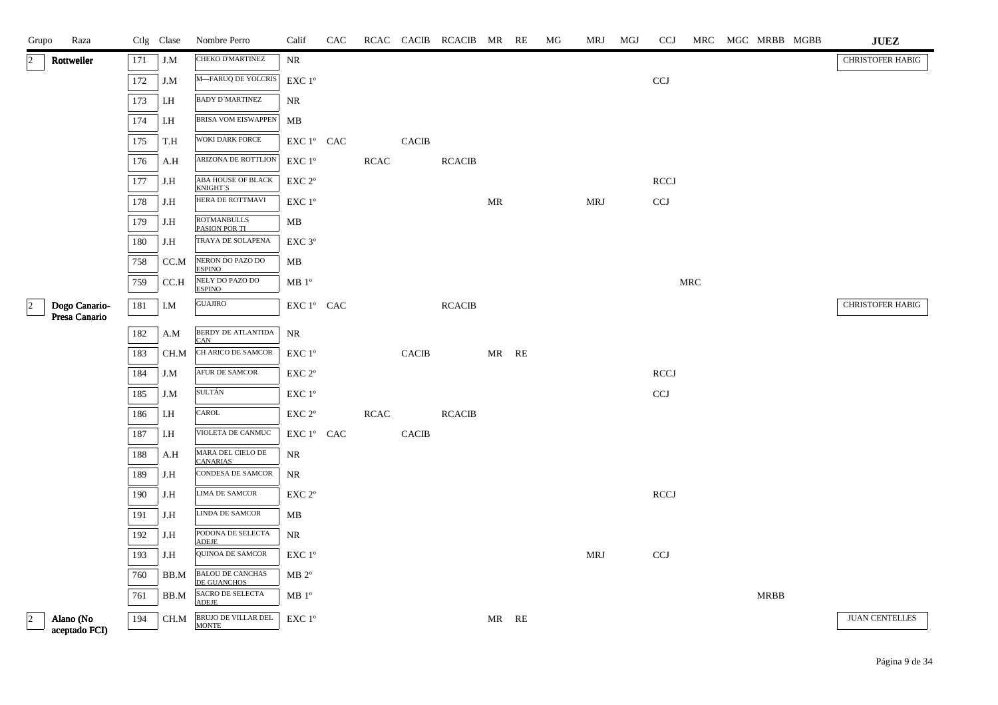| Raza<br>Grupo                                |     | Ctlg Clase | Nombre Perro                                                   | Calif                                                              | <b>CAC</b> |             |                        | RCAC CACIB RCACIB MR RE |       | MG | <b>MRJ</b> | MGJ | <b>CCJ</b>   |     | MRC MGC MRBB MGBB | <b>JUEZ</b>             |
|----------------------------------------------|-----|------------|----------------------------------------------------------------|--------------------------------------------------------------------|------------|-------------|------------------------|-------------------------|-------|----|------------|-----|--------------|-----|-------------------|-------------------------|
| Rottweiler<br>$ 2\rangle$                    | 171 | J.M        | <b>CHEKO D'MARTINEZ</b>                                        | NR                                                                 |            |             |                        |                         |       |    |            |     |              |     |                   | <b>CHRISTOFER HABIG</b> |
|                                              | 172 | J.M        | M-FARUQ DE YOLCRIS                                             | $\ensuremath{\mathrm{EXC}}$ $1^\mathrm{o}$                         |            |             |                        |                         |       |    |            |     | <b>CCJ</b>   |     |                   |                         |
|                                              | 173 | I.H        | <b>BADY D'MARTINEZ</b>                                         | <b>NR</b>                                                          |            |             |                        |                         |       |    |            |     |              |     |                   |                         |
|                                              | 174 | I.H        | <b>BRISA VOM EISWAPPEN</b>                                     | ${\bf MB}$                                                         |            |             |                        |                         |       |    |            |     |              |     |                   |                         |
|                                              | 175 | T.H        | WOKI DARK FORCE                                                | $\mathop{\rm EXC}\nolimits 1^{\circ }$ $\mathop{\rm CAC}\nolimits$ |            |             | <b>CACIB</b>           |                         |       |    |            |     |              |     |                   |                         |
|                                              | 176 | A.H        | ARIZONA DE ROTTLION                                            | $\ensuremath{\mathrm{EXC}}$ $1^\mathrm{o}$                         |            | <b>RCAC</b> |                        | <b>RCACIB</b>           |       |    |            |     |              |     |                   |                         |
|                                              | 177 | J.H        | $\overline{\mathsf{ABA}\,\mathsf{HOUSE}}$ OF BLACK<br>KNIGHT'S | EXC 2°                                                             |            |             |                        |                         |       |    |            |     | <b>RCCJ</b>  |     |                   |                         |
|                                              | 178 | J.H        | HERA DE ROTTMAVI                                               | $EXC1^{\circ}$                                                     |            |             |                        |                         | MR    |    | MRJ        |     | <b>CCJ</b>   |     |                   |                         |
|                                              | 179 | J.H        | <b>ROTMANBULLS</b><br>PASION POR TI                            | MВ                                                                 |            |             |                        |                         |       |    |            |     |              |     |                   |                         |
|                                              | 180 | J.H        | TRAYA DE SOLAPENA                                              | EXC 3°                                                             |            |             |                        |                         |       |    |            |     |              |     |                   |                         |
|                                              | 758 | CC.M       | NERON DO PAZO DO<br><b>ESPINO</b>                              | МB                                                                 |            |             |                        |                         |       |    |            |     |              |     |                   |                         |
|                                              | 759 | CC.H       | NELY DO PAZO DO<br><b>ESPINO</b>                               | $\rm MB$ $1^{\rm o}$                                               |            |             |                        |                         |       |    |            |     |              | MRC |                   |                         |
| $\vert$ 2<br>Dogo Canario-<br>Presa Canario  | 181 | I.M        | GUAJIRO                                                        | $\mathop{\hbox{\rm EXC}}$ $1^{\circ}$ $\;$ CAC                     |            |             |                        | <b>RCACIB</b>           |       |    |            |     |              |     |                   | <b>CHRISTOFER HABIG</b> |
|                                              | 182 | A.M        | BERDY DE ATLANTIDA                                             | NR                                                                 |            |             |                        |                         |       |    |            |     |              |     |                   |                         |
|                                              | 183 | CH.M       | <b>CAN</b><br>CH ARICO DE SAMCOR                               | EXC 1 <sup>o</sup>                                                 |            |             | $\operatorname{CACIB}$ |                         | MR RE |    |            |     |              |     |                   |                         |
|                                              | 184 | J.M        | AFUR DE SAMCOR                                                 | EXC 2°                                                             |            |             |                        |                         |       |    |            |     | <b>RCCJ</b>  |     |                   |                         |
|                                              | 185 | J.M        | SULTÁN                                                         | EXC 1°                                                             |            |             |                        |                         |       |    |            |     | $_{\rm CCJ}$ |     |                   |                         |
|                                              | 186 | I.H        | CAROL                                                          | $\ensuremath{\mathrm{EXC}}$ $2^\mathrm{o}$                         |            | RCAC        |                        | <b>RCACIB</b>           |       |    |            |     |              |     |                   |                         |
|                                              | 187 | I.H        | VIOLETA DE CANMUC                                              | EXC 1° CAC                                                         |            |             | <b>CACIB</b>           |                         |       |    |            |     |              |     |                   |                         |
|                                              | 188 | A.H        | MARA DEL CIELO DE<br><b>CANARIAS</b>                           | <b>NR</b>                                                          |            |             |                        |                         |       |    |            |     |              |     |                   |                         |
|                                              | 189 | J.H        | CONDESA DE SAMCOR                                              | $\rm NR$                                                           |            |             |                        |                         |       |    |            |     |              |     |                   |                         |
|                                              | 190 | J.H        | LIMA DE SAMCOR                                                 | EXC 2°                                                             |            |             |                        |                         |       |    |            |     | <b>RCCJ</b>  |     |                   |                         |
|                                              | 191 | J.H        | LINDA DE SAMCOR                                                | MB                                                                 |            |             |                        |                         |       |    |            |     |              |     |                   |                         |
|                                              | 192 | J.H        | PODONA DE SELECTA<br>ADEJE                                     | <b>NR</b>                                                          |            |             |                        |                         |       |    |            |     |              |     |                   |                         |
|                                              | 193 | J.H        | <b>QUINOA DE SAMCOR</b>                                        | EXC 1°                                                             |            |             |                        |                         |       |    | <b>MRJ</b> |     | <b>CCJ</b>   |     |                   |                         |
|                                              | 760 | BB.M       | <b>BALOU DE CANCHAS</b><br>DE GUANCHOS                         | $MB 2^{\circ}$                                                     |            |             |                        |                         |       |    |            |     |              |     |                   |                         |
|                                              | 761 | BB.M       | SACRO DE SELECTA<br><b>ADEJE</b>                               | MB 1 <sup>o</sup>                                                  |            |             |                        |                         |       |    |            |     |              |     | MRBB              |                         |
| $\overline{a}$<br>Alano (No<br>aceptado FCI) | 194 | CH.M       | BRUJO DE VILLAR DEL<br><b>MONTE</b>                            | $\ensuremath{\mathrm{EXC}}$ $1^\mathrm{o}$                         |            |             |                        |                         | MR RE |    |            |     |              |     |                   | <b>JUAN CENTELLES</b>   |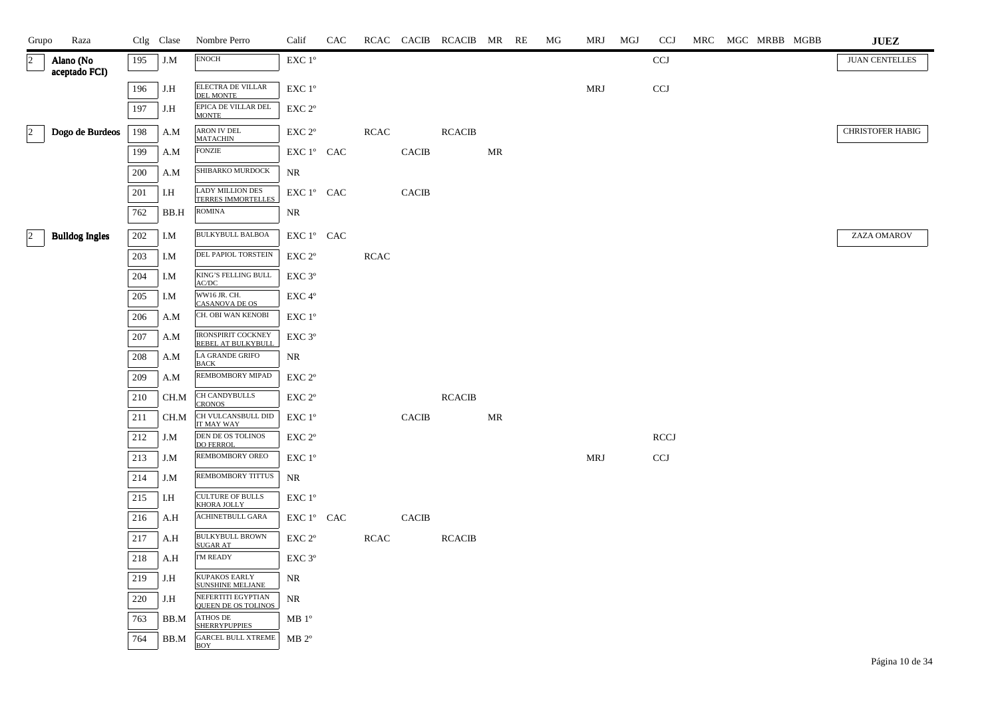| Grupo                | Raza                       |     | Ctlg Clase | Nombre Perro                                         | Calif                                        | CAC |             |              | RCAC CACIB RCACIB MR RE |    | MG | MRJ        | MGJ | <b>CCJ</b>   |  | MRC MGC MRBB MGBB | <b>JUEZ</b>             |
|----------------------|----------------------------|-----|------------|------------------------------------------------------|----------------------------------------------|-----|-------------|--------------|-------------------------|----|----|------------|-----|--------------|--|-------------------|-------------------------|
| $\sqrt{2}$           | Alano (No<br>aceptado FCI) | 195 | J.M        | <b>ENOCH</b>                                         | $\ensuremath{\mathrm{EXC}}$ $1^{\mathrm{o}}$ |     |             |              |                         |    |    |            |     | <b>CCJ</b>   |  |                   | <b>JUAN CENTELLES</b>   |
|                      |                            | 196 | J.H        | ELECTRA DE VILLAR<br><b>DEL MONTE</b>                | EXC 1°                                       |     |             |              |                         |    |    | <b>MRJ</b> |     | $_{\rm CCJ}$ |  |                   |                         |
|                      |                            | 197 | J.H        | EPICA DE VILLAR DEL<br><b>MONTE</b>                  | EXC 2°                                       |     |             |              |                         |    |    |            |     |              |  |                   |                         |
| $\vert$ <sup>2</sup> | Dogo de Burdeos            | 198 | A.M        | ARON IV DEL<br><b>MATACHIN</b>                       | EXC 2°                                       |     | RCAC        |              | <b>RCACIB</b>           |    |    |            |     |              |  |                   | <b>CHRISTOFER HABIG</b> |
|                      |                            | 199 | A.M        | <b>FONZIE</b>                                        | EXC 1° CAC                                   |     |             | <b>CACIB</b> |                         | MR |    |            |     |              |  |                   |                         |
|                      |                            | 200 | A.M        | SHIBARKO MURDOCK                                     | NR                                           |     |             |              |                         |    |    |            |     |              |  |                   |                         |
|                      |                            | 201 | I.H        | <b>LADY MILLION DES</b><br><b>TERRES IMMORTELLES</b> | EXC 1° CAC                                   |     |             | <b>CACIB</b> |                         |    |    |            |     |              |  |                   |                         |
|                      |                            | 762 | BB.H       | <b>ROMINA</b>                                        | <b>NR</b>                                    |     |             |              |                         |    |    |            |     |              |  |                   |                         |
| $\vert$ 2            | <b>Bulldog Ingles</b>      | 202 | I.M        | <b>BULKYBULL BALBOA</b>                              | EXC 1° CAC                                   |     |             |              |                         |    |    |            |     |              |  |                   | ZAZA OMAROV             |
|                      |                            | 203 | I.M        | DEL PAPIOL TORSTEIN                                  | EXC <sub>2°</sub>                            |     | <b>RCAC</b> |              |                         |    |    |            |     |              |  |                   |                         |
|                      |                            | 204 | I.M        | KING'S FELLING BULL<br>AC/DC                         | EXC <sub>3°</sub>                            |     |             |              |                         |    |    |            |     |              |  |                   |                         |
|                      |                            | 205 | I.M        | WW16 JR. CH.<br><b>CASANOVA DE OS</b>                | EXC 4°                                       |     |             |              |                         |    |    |            |     |              |  |                   |                         |
|                      |                            | 206 | A.M        | CH. OBI WAN KENOBI                                   | EXC 1°                                       |     |             |              |                         |    |    |            |     |              |  |                   |                         |
|                      |                            | 207 | A.M        | <b>IRONSPIRIT COCKNEY</b><br>REBEL AT BULKYBULL      | EXC 3°                                       |     |             |              |                         |    |    |            |     |              |  |                   |                         |
|                      |                            | 208 | A.M        | LA GRANDE GRIFO<br><b>BACK</b>                       | NR                                           |     |             |              |                         |    |    |            |     |              |  |                   |                         |
|                      |                            | 209 | A.M        | REMBOMBORY MIPAD                                     | EXC 2 <sup>o</sup>                           |     |             |              |                         |    |    |            |     |              |  |                   |                         |
|                      |                            | 210 | CH.M       | CH CANDYBULLS<br><b>CRONOS</b>                       | EXC <sub>2°</sub>                            |     |             |              | <b>RCACIB</b>           |    |    |            |     |              |  |                   |                         |
|                      |                            | 211 | CH.M       | CH VULCANSBULL DID<br>IT MAY WAY                     | EXC 1°                                       |     |             | <b>CACIB</b> |                         | MR |    |            |     |              |  |                   |                         |
|                      |                            | 212 | J.M        | DEN DE OS TOLINOS<br><b>DO FERROL</b>                | EXC 2 <sup>o</sup>                           |     |             |              |                         |    |    |            |     | <b>RCCJ</b>  |  |                   |                         |
|                      |                            | 213 | J.M        | <b>REMBOMBORY OREO</b>                               | EXC 1°                                       |     |             |              |                         |    |    | MRJ        |     | CCJ          |  |                   |                         |
|                      |                            | 214 | J.M        | REMBOMBORY TITTUS                                    | NR                                           |     |             |              |                         |    |    |            |     |              |  |                   |                         |
|                      |                            | 215 | I.H        | <b>CULTURE OF BULLS</b><br><b>KHORA JOLLY</b>        | EXC 1°                                       |     |             |              |                         |    |    |            |     |              |  |                   |                         |
|                      |                            | 216 | A.H        | <b>ACHINETBULL GARA</b>                              | EXC 1° CAC                                   |     |             | <b>CACIB</b> |                         |    |    |            |     |              |  |                   |                         |
|                      |                            | 217 | A.H        | <b>BULKYBULL BROWN</b><br><b>SUGAR AT</b>            | EXC 2°                                       |     | <b>RCAC</b> |              | <b>RCACIB</b>           |    |    |            |     |              |  |                   |                         |
|                      |                            | 218 | A.H        | <b>I'M READY</b>                                     | EXC <sub>3°</sub>                            |     |             |              |                         |    |    |            |     |              |  |                   |                         |
|                      |                            | 219 | J.H        | KUPAKOS EARLY<br>SUNSHINE MELJANE                    | NR                                           |     |             |              |                         |    |    |            |     |              |  |                   |                         |
|                      |                            | 220 | J.H        | NEFERTITI EGYPTIAN<br><b>QUEEN DE OS TOLINOS</b>     | NR                                           |     |             |              |                         |    |    |            |     |              |  |                   |                         |
|                      |                            | 763 | BB.M       | <b>ATHOS DE</b><br><b>SHERRYPUPPIES</b>              | MB 1 <sup>o</sup>                            |     |             |              |                         |    |    |            |     |              |  |                   |                         |
|                      |                            | 764 | BB.M       | <b>GARCEL BULL XTREME</b><br><b>BOY</b>              | $MB 2^{\circ}$                               |     |             |              |                         |    |    |            |     |              |  |                   |                         |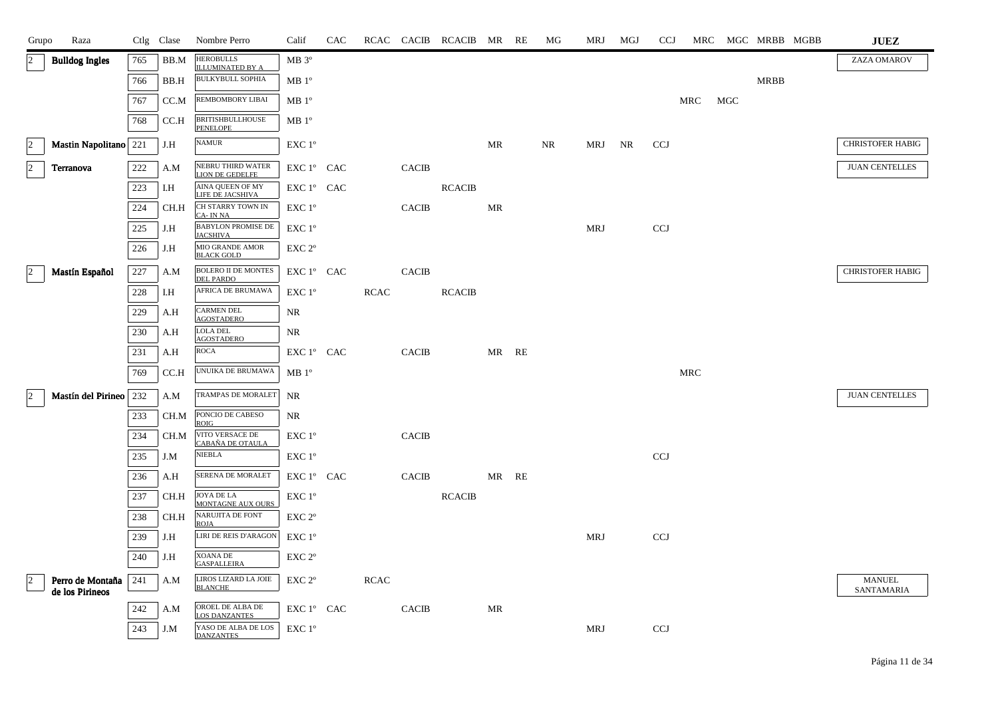| Grupo          | Raza                                      | Ctlg Clase |      | Nombre Perro                                   | Calif                                | CAC |             |              | RCAC CACIB RCACIB MR RE |       | МG | MRJ        | MGJ | <b>CCJ</b> | MRC |     |             | MGC MRBB MGBB | $\mathbf{J}\mathbf{U}\mathbf{E}\mathbf{Z}$ |
|----------------|-------------------------------------------|------------|------|------------------------------------------------|--------------------------------------|-----|-------------|--------------|-------------------------|-------|----|------------|-----|------------|-----|-----|-------------|---------------|--------------------------------------------|
|                | <b>Bulldog Ingles</b>                     | 765        | BB.M | <b>HEROBULLS</b><br><b>ILLUMINATED BY A</b>    | MB 3°                                |     |             |              |                         |       |    |            |     |            |     |     |             |               | ZAZA OMAROV                                |
|                |                                           | 766        | BB.H | <b>BULKYBULL SOPHIA</b>                        | MB 1 <sup>o</sup>                    |     |             |              |                         |       |    |            |     |            |     |     | <b>MRBB</b> |               |                                            |
|                |                                           | 767        | CC.M | REMBOMBORY LIBAI                               | MB 1 <sup>o</sup>                    |     |             |              |                         |       |    |            |     |            | MRC | MGC |             |               |                                            |
|                |                                           | 768        | CC.H | <b>BRITISHBULLHOUSE</b><br><b>PENELOPE</b>     | $MB1^{\circ}$                        |     |             |              |                         |       |    |            |     |            |     |     |             |               |                                            |
| $\vert$ 2      | Mastin Napolitano 221                     |            | J.H  | <b>NAMUR</b>                                   | EXC 1°                               |     |             |              |                         | MR    | NR | MRJ NR     |     | <b>CCJ</b> |     |     |             |               | <b>CHRISTOFER HABIG</b>                    |
| $\vert$ 2      | Terranova                                 | 222        | A.M  | NEBRU THIRD WATER<br>LION DE GEDELFE           | EXC 1° CAC                           |     |             | <b>CACIB</b> |                         |       |    |            |     |            |     |     |             |               | <b>JUAN CENTELLES</b>                      |
|                |                                           | 223        | I.H  | AINA QUEEN OF MY<br>LIFE DE JACSHIVA           | ${\rm EXC}\ 1^{\circ}$ $\hbox{ CAC}$ |     |             |              | <b>RCACIB</b>           |       |    |            |     |            |     |     |             |               |                                            |
|                |                                           | 224        | CH.H | CH STARRY TOWN IN<br>CA-INNA                   | EXC 1°                               |     |             | <b>CACIB</b> |                         | MR    |    |            |     |            |     |     |             |               |                                            |
|                |                                           | 225        | J.H  | <b>BABYLON PROMISE DE</b><br><b>JACSHIVA</b>   | EXC 1°                               |     |             |              |                         |       |    | <b>MRJ</b> |     | <b>CCJ</b> |     |     |             |               |                                            |
|                |                                           | 226        | J.H  | MIO GRANDE AMOR<br>BLACK GOLD                  | EXC <sub>2°</sub>                    |     |             |              |                         |       |    |            |     |            |     |     |             |               |                                            |
|                | Mastín Español                            | 227        | A.M  | <b>BOLERO II DE MONTES</b><br><b>DEL PARDO</b> | EXC 1° CAC                           |     |             | <b>CACIB</b> |                         |       |    |            |     |            |     |     |             |               | <b>CHRISTOFER HABIG</b>                    |
|                |                                           | 228        | I.H  | AFRICA DE BRUMAWA                              | EXC 1 <sup>o</sup>                   |     | <b>RCAC</b> |              | <b>RCACIB</b>           |       |    |            |     |            |     |     |             |               |                                            |
|                |                                           | 229        | A.H  | <b>CARMEN DEL</b><br><b>AGOSTADERO</b>         | NR                                   |     |             |              |                         |       |    |            |     |            |     |     |             |               |                                            |
|                |                                           | 230        | A.H  | <b>LOLA DEL</b><br><b>AGOSTADERO</b>           | NR                                   |     |             |              |                         |       |    |            |     |            |     |     |             |               |                                            |
|                |                                           | 231        | A.H  | <b>ROCA</b>                                    | EXC 1° CAC                           |     |             | <b>CACIB</b> |                         | MR RE |    |            |     |            |     |     |             |               |                                            |
|                |                                           | 769        | CC.H | UNUIKA DE BRUMAWA                              | $MB1^{\circ}$                        |     |             |              |                         |       |    |            |     |            | MRC |     |             |               |                                            |
| 2              | Mastín del Pirineo   232                  |            | A.M  | TRAMPAS DE MORALET                             | NR                                   |     |             |              |                         |       |    |            |     |            |     |     |             |               | <b>JUAN CENTELLES</b>                      |
|                |                                           | 233        | CH.M | PONCIO DE CABESO<br><b>ROIG</b>                | NR                                   |     |             |              |                         |       |    |            |     |            |     |     |             |               |                                            |
|                |                                           | 234        | CH.M | VITO VERSACE DE<br>CABAÑA DE OTAULA            | EXC 1°                               |     |             | <b>CACIB</b> |                         |       |    |            |     |            |     |     |             |               |                                            |
|                |                                           | 235        | J.M  | <b>NIEBLA</b>                                  | $EXC1^{\circ}$                       |     |             |              |                         |       |    |            |     | <b>CCJ</b> |     |     |             |               |                                            |
|                |                                           | 236        | A.H  | SERENA DE MORALET                              | EXC 1° CAC                           |     |             | <b>CACIB</b> |                         | MR RE |    |            |     |            |     |     |             |               |                                            |
|                |                                           | 237        | CH.H | <b>JOYA DE LA</b><br>MONTAGNE AUX OURS         | $EXC1^{\circ}$                       |     |             |              | <b>RCACIB</b>           |       |    |            |     |            |     |     |             |               |                                            |
|                |                                           | 238        | CH.H | NARUJITA DE FONT<br><b>ROJA</b>                | EXC 2 <sup>o</sup>                   |     |             |              |                         |       |    |            |     |            |     |     |             |               |                                            |
|                |                                           | 239        | J.H  | LIRI DE REIS D'ARAGON                          | $EXC1^{\circ}$                       |     |             |              |                         |       |    | <b>MRJ</b> |     | <b>CCJ</b> |     |     |             |               |                                            |
|                |                                           | 240        | J.H  | <b>XOANA DE</b><br><b>GASPALLEIRA</b>          | EXC <sub>2°</sub>                    |     |             |              |                         |       |    |            |     |            |     |     |             |               |                                            |
| $\overline{2}$ | Perro de Montaña   241<br>de los Pirineos |            | A.M  | LIROS LIZARD LA JOIE<br><b>BLANCHE</b>         | EXC <sub>2°</sub>                    |     | <b>RCAC</b> |              |                         |       |    |            |     |            |     |     |             |               | <b>MANUEL</b><br>SANTAMARIA                |
|                |                                           | 242        | A.M  | OROEL DE ALBA DE<br><b>LOS DANZANTES</b>       | EXC 1° CAC                           |     |             | <b>CACIB</b> |                         | MR    |    |            |     |            |     |     |             |               |                                            |
|                |                                           | 243        | J.M  | YASO DE ALBA DE LOS<br><b>DANZANTES</b>        | EXC 1°                               |     |             |              |                         |       |    | MRJ        |     | CCJ        |     |     |             |               |                                            |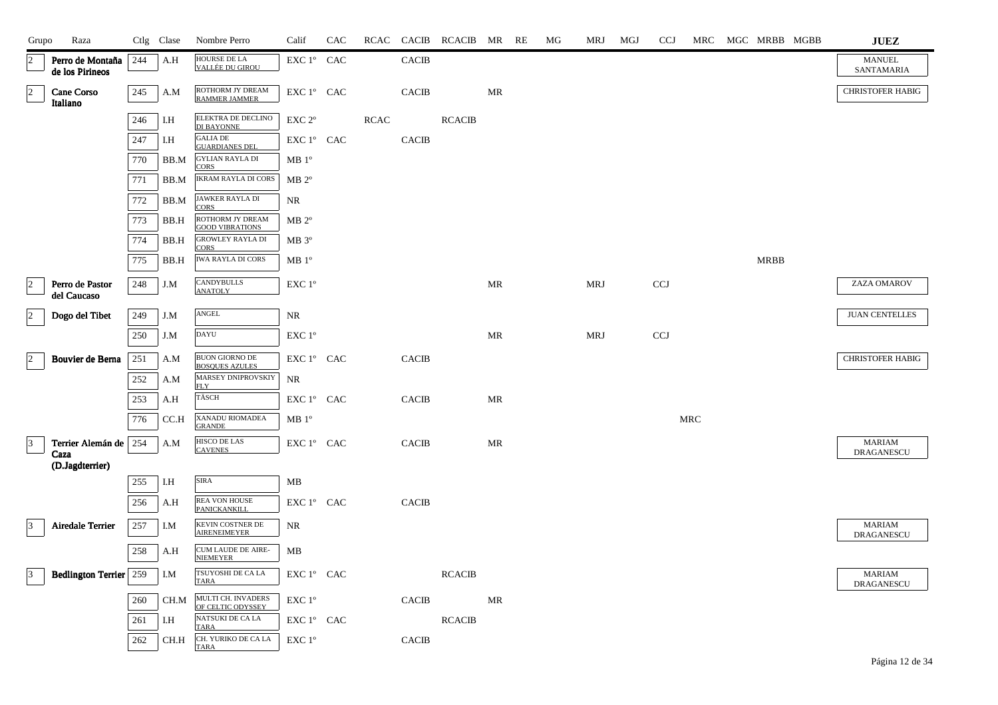| Grupo           | Raza                                |         | Ctlg Clase | Nombre Perro                               | Calif                                      | <b>CAC</b> |             | RCAC CACIB   | RCACIB MR RE  |    | МG | <b>MRJ</b> | MGJ | <b>CCJ</b> | MRC                  | MGC MRBB MGBB | JUEZ                        |
|-----------------|-------------------------------------|---------|------------|--------------------------------------------|--------------------------------------------|------------|-------------|--------------|---------------|----|----|------------|-----|------------|----------------------|---------------|-----------------------------|
| $\overline{2}$  | Perro de Montaña<br>de los Pirineos | 244     | A.H        | HOURSE DE LA<br>VALLÉE DU GIROU            | EXC 1° CAC                                 |            |             | <b>CACIB</b> |               |    |    |            |     |            |                      |               | <b>MANUEL</b><br>SANTAMARIA |
| $\vert$ 2       | Cane Corso<br>Italiano              | $245\,$ | A.M        | ROTHORM JY DREAM<br><b>RAMMER JAMMER</b>   | ${\rm EXC}$ $1^{\circ}$ $\;$ CAC           |            |             | <b>CACIB</b> |               | MR |    |            |     |            |                      |               | <b>CHRISTOFER HABIG</b>     |
|                 |                                     | 246     | I.H        | ELEKTRA DE DECLINO<br>DI BAYONNE           | EXC 2 <sup>o</sup>                         |            | <b>RCAC</b> |              | <b>RCACIB</b> |    |    |            |     |            |                      |               |                             |
|                 |                                     | 247     | I.H        | <b>GALIA DE</b><br><b>GUARDIANES DEL</b>   | EXC 1° CAC                                 |            |             | <b>CACIB</b> |               |    |    |            |     |            |                      |               |                             |
|                 |                                     | 770     | BB.M       | <b>GYLIAN RAYLA DI</b><br><b>CORS</b>      | MB1°                                       |            |             |              |               |    |    |            |     |            |                      |               |                             |
|                 |                                     | 771     | BB.M       | <b>IKRAM RAYLA DI CORS</b>                 | $MB 2^{\circ}$                             |            |             |              |               |    |    |            |     |            |                      |               |                             |
|                 |                                     | 772     | BB.M       | JAWKER RAYLA DI<br>CORS                    | NR                                         |            |             |              |               |    |    |            |     |            |                      |               |                             |
|                 |                                     | 773     | BB.H       | ROTHORM JY DREAM<br><b>GOOD VIBRATIONS</b> | $MB 2^{\circ}$                             |            |             |              |               |    |    |            |     |            |                      |               |                             |
|                 |                                     | 774     | BB.H       | <b>GROWLEY RAYLA DI</b><br><b>CORS</b>     | $MB 3^{\circ}$                             |            |             |              |               |    |    |            |     |            |                      |               |                             |
|                 |                                     | 775     | BB.H       | <b>IWA RAYLA DI CORS</b>                   | MB1°                                       |            |             |              |               |    |    |            |     |            |                      | <b>MRBB</b>   |                             |
| $ 2\rangle$     | Perro de Pastor<br>del Caucaso      | 248     | J.M        | <b>CANDYBULLS</b><br><b>ANATOLY</b>        | $\ensuremath{\mathrm{EXC}}$ $1^\mathrm{o}$ |            |             |              |               | MR |    | <b>MRJ</b> |     | CCJ        |                      |               | ZAZA OMAROV                 |
| $\overline{2}$  | Dogo del Tibet                      | 249     | J.M        | $\operatorname{ANGEL}$                     | NR                                         |            |             |              |               |    |    |            |     |            |                      |               | <b>JUAN CENTELLES</b>       |
|                 |                                     | 250     | J.M        | DAYU                                       | EXC 1°                                     |            |             |              |               | MR |    | <b>MRJ</b> |     | <b>CCJ</b> |                      |               |                             |
| $\vert$ 2       | Bouvier de Berna                    | 251     | A.M        | BUON GIORNO DE<br><b>BOSQUES AZULES</b>    | EXC 1° CAC                                 |            |             | <b>CACIB</b> |               |    |    |            |     |            |                      |               | <b>CHRISTOFER HABIG</b>     |
|                 |                                     | $252\,$ | A.M        | MARSEY DNIPROVSKIY<br><b>FLY</b>           | NR                                         |            |             |              |               |    |    |            |     |            |                      |               |                             |
|                 |                                     | 253     | A.H        | TÄSCH                                      | EXC 1° CAC                                 |            |             | <b>CACIB</b> |               | MR |    |            |     |            |                      |               |                             |
|                 |                                     | 776     | CC.H       | XANADU RIOMADEA<br><b>GRANDE</b>           | MB1°                                       |            |             |              |               |    |    |            |     |            | $\operatorname{MRC}$ |               |                             |
| $\vert$ 3       | Terrier Alemán de<br>Caza           | 254     | A.M        | HISCO DE LAS<br><b>CAVENES</b>             | EXC 1° CAC                                 |            |             | <b>CACIB</b> |               | MR |    |            |     |            |                      |               | <b>MARIAM</b><br>DRAGANESCU |
|                 | (D.Jagdterrier)                     |         |            |                                            |                                            |            |             |              |               |    |    |            |     |            |                      |               |                             |
|                 |                                     | 255     | I.H        | SIRA                                       | MB                                         |            |             |              |               |    |    |            |     |            |                      |               |                             |
|                 |                                     | 256     | A.H        | REA VON HOUSE<br>PANICKANKILL              | EXC 1° CAC                                 |            |             | <b>CACIB</b> |               |    |    |            |     |            |                      |               |                             |
| $\vert 3 \vert$ | <b>Airedale Terrier</b>             | $257\,$ | I.M        | KEVIN COSTNER DE<br><b>AIRENEIMEYER</b>    | NR                                         |            |             |              |               |    |    |            |     |            |                      |               | <b>MARIAM</b><br>DRAGANESCU |
|                 |                                     | 258     | A.H        | CUM LAUDE DE AIRE-<br><b>NIEMEYER</b>      | MB                                         |            |             |              |               |    |    |            |     |            |                      |               |                             |
| $\vert 3 \vert$ | <b>Bedlington Terrier</b> 259       |         | I.M        | TSUYOSHI DE CA LA<br><b>TARA</b>           | EXC 1° CAC                                 |            |             |              | <b>RCACIB</b> |    |    |            |     |            |                      |               | <b>MARIAM</b><br>DRAGANESCU |
|                 |                                     | 260     | CH.M       | MULTI CH. INVADERS<br>OF CELTIC ODYSSEY    | EXC 1°                                     |            |             | <b>CACIB</b> |               | MR |    |            |     |            |                      |               |                             |
|                 |                                     | 261     | I.H        | NATSUKI DE CA LA<br><b>TARA</b>            | EXC 1° CAC                                 |            |             |              | <b>RCACIB</b> |    |    |            |     |            |                      |               |                             |
|                 |                                     | 262     | CH.H       | CH. YURIKO DE CA LA<br>TARA                | EXC 1°                                     |            |             | <b>CACIB</b> |               |    |    |            |     |            |                      |               |                             |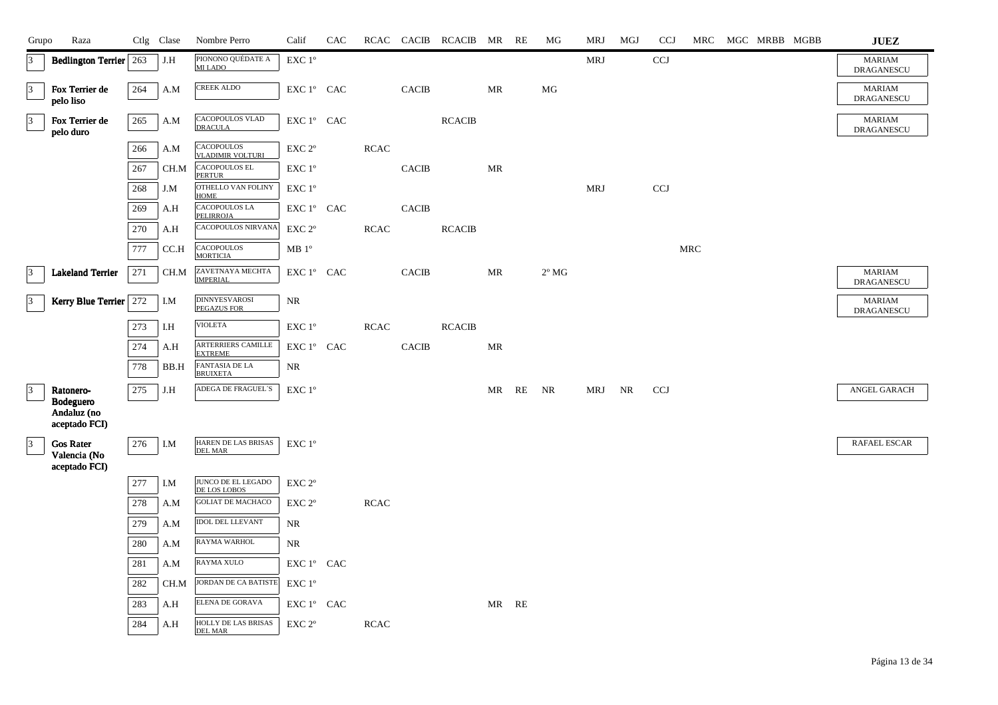| Grupo           | Raza                             |     | Ctlg Clase    | Nombre Perro                                 | Calif                                        | CAC |             |              | RCAC CACIB RCACIB MR RE |       |    | MG             | <b>MRJ</b> | MGJ | <b>CCJ</b> |                      | MRC MGC MRBB MGBB | <b>JUEZ</b>                        |
|-----------------|----------------------------------|-----|---------------|----------------------------------------------|----------------------------------------------|-----|-------------|--------------|-------------------------|-------|----|----------------|------------|-----|------------|----------------------|-------------------|------------------------------------|
| 3               | <b>Bedlington Terrier</b> 263    |     | J.H           | PIONONO QUÉDATE A<br>MI LADO                 | $\ensuremath{\mathrm{EXC}}$ $1^{\mathrm{o}}$ |     |             |              |                         |       |    |                | <b>MRJ</b> |     | <b>CCJ</b> |                      |                   | <b>MARIAM</b><br><b>DRAGANESCU</b> |
| $\overline{3}$  | Fox Terrier de<br>pelo liso      | 264 | A.M           | <b>CREEK ALDO</b>                            | EXC 1° CAC                                   |     |             | <b>CACIB</b> |                         | MR    |    | MG             |            |     |            |                      |                   | <b>MARIAM</b><br><b>DRAGANESCU</b> |
| $\vert 3 \vert$ | Fox Terrier de<br>pelo duro      | 265 | A.M           | CACOPOULOS VLAD<br><b>DRACULA</b>            | EXC 1° CAC                                   |     |             |              | <b>RCACIB</b>           |       |    |                |            |     |            |                      |                   | <b>MARIAM</b><br><b>DRAGANESCU</b> |
|                 |                                  | 266 | A.M           | <b>CACOPOULOS</b><br><b>VLADIMIR VOLTURI</b> | EXC <sub>2°</sub>                            |     | <b>RCAC</b> |              |                         |       |    |                |            |     |            |                      |                   |                                    |
|                 |                                  | 267 | CH.M          | <b>CACOPOULOS EL</b><br><b>PERTUR</b>        | EXC 1°                                       |     |             | <b>CACIB</b> |                         | MR    |    |                |            |     |            |                      |                   |                                    |
|                 |                                  | 268 | J.M           | OTHELLO VAN FOLINY<br><b>HOME</b>            | EXC 1°                                       |     |             |              |                         |       |    |                | <b>MRJ</b> |     | <b>CCJ</b> |                      |                   |                                    |
|                 |                                  | 269 | A.H           | CACOPOULOS LA<br><b>PELIRROJA</b>            | EXC 1° CAC                                   |     |             | <b>CACIB</b> |                         |       |    |                |            |     |            |                      |                   |                                    |
|                 |                                  | 270 | A.H           | CACOPOULOS NIRVANA                           | EXC 2°                                       |     | <b>RCAC</b> |              | <b>RCACIB</b>           |       |    |                |            |     |            |                      |                   |                                    |
|                 |                                  | 777 | CC.H          | <b>CACOPOULOS</b><br><b>MORTICIA</b>         | $MB1^{\circ}$                                |     |             |              |                         |       |    |                |            |     |            | $\operatorname{MRC}$ |                   |                                    |
| $\vert$ 3       | <b>Lakeland Terrier</b>          | 271 | CH.M          | ZAVETNAYA MECHTA<br><b>IMPERIAL</b>          | EXC 1° CAC                                   |     |             | <b>CACIB</b> |                         | MR    |    | $2^{\circ}$ MG |            |     |            |                      |                   | <b>MARIAM</b><br>DRAGANESCU        |
| $\vert$ 3       | Kerry Blue Terrier 272           |     | I.M           | <b>DINNYESVAROSI</b><br><b>PEGAZUS FOR</b>   | $\rm NR$                                     |     |             |              |                         |       |    |                |            |     |            |                      |                   | <b>MARIAM</b><br><b>DRAGANESCU</b> |
|                 |                                  | 273 | I.H           | <b>VIOLETA</b>                               | EXC 1°                                       |     | <b>RCAC</b> |              | <b>RCACIB</b>           |       |    |                |            |     |            |                      |                   |                                    |
|                 |                                  | 274 | A.H           | ARTERRIERS CAMILLE<br><b>EXTREME</b>         | EXC 1° CAC                                   |     |             | <b>CACIB</b> |                         | MR    |    |                |            |     |            |                      |                   |                                    |
|                 |                                  | 778 | $_{\rm BB.H}$ | FANTASIA DE LA<br>BRUIXETA                   | $\rm NR$                                     |     |             |              |                         |       |    |                |            |     |            |                      |                   |                                    |
| $\vert$ 3       | Ratonero-<br><b>Bodeguero</b>    | 275 | J.H           | ADEGA DE FRAGUEL'S                           | EXC 1°                                       |     |             |              |                         | MR    | RE | NR             | MRJ        | NR  | <b>CCJ</b> |                      |                   | ANGEL GARACH                       |
|                 | Andaluz (no<br>aceptado FCI)     |     |               |                                              |                                              |     |             |              |                         |       |    |                |            |     |            |                      |                   |                                    |
| 3               | <b>Gos Rater</b><br>Valencia (No | 276 | I.M           | HAREN DE LAS BRISAS<br><b>DEL MAR</b>        | EXC 1°                                       |     |             |              |                         |       |    |                |            |     |            |                      |                   | RAFAEL ESCAR                       |
|                 | aceptado FCI)                    |     |               |                                              |                                              |     |             |              |                         |       |    |                |            |     |            |                      |                   |                                    |
|                 |                                  | 277 | I.M           | JUNCO DE EL LEGADO<br>DE LOS LOBOS           | EXC <sub>2°</sub>                            |     |             |              |                         |       |    |                |            |     |            |                      |                   |                                    |
|                 |                                  | 278 | A.M           | <b>GOLIAT DE MACHACO</b>                     | EXC <sub>2°</sub>                            |     | <b>RCAC</b> |              |                         |       |    |                |            |     |            |                      |                   |                                    |
|                 |                                  | 279 | A.M           | <b>IDOL DEL LLEVANT</b>                      | NR                                           |     |             |              |                         |       |    |                |            |     |            |                      |                   |                                    |
|                 |                                  | 280 | A.M           | RAYMA WARHOL                                 | NR                                           |     |             |              |                         |       |    |                |            |     |            |                      |                   |                                    |
|                 |                                  | 281 | A.M           | RAYMA XULO                                   | ${\rm EXC}\ 1^{\circ}$ $\hbox{ CAC}$         |     |             |              |                         |       |    |                |            |     |            |                      |                   |                                    |
|                 |                                  | 282 | CH.M          | JORDAN DE CA BATISTE<br>ELENA DE GORAVA      | EXC 1°                                       |     |             |              |                         |       |    |                |            |     |            |                      |                   |                                    |
|                 |                                  | 283 | A.H           |                                              | EXC 1° CAC                                   |     |             |              |                         | MR RE |    |                |            |     |            |                      |                   |                                    |
|                 |                                  | 284 | A.H           | HOLLY DE LAS BRISAS<br><b>DEL MAR</b>        | EXC 2°                                       |     | <b>RCAC</b> |              |                         |       |    |                |            |     |            |                      |                   |                                    |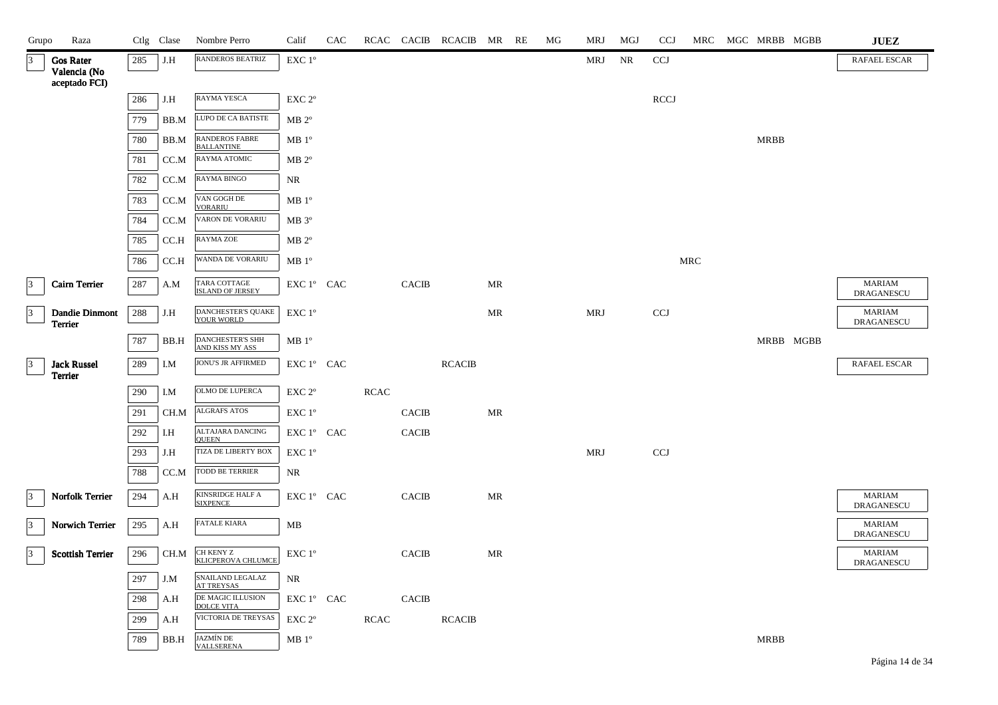| Grupo           | Raza                             |     | Ctlg Clase | Nombre Perro                            | Calif             | CAC |             |                | RCAC CACIB RCACIB MR RE |    | ΜG | MRJ        | MGJ | <b>CCJ</b>  |     | MRC MGC MRBB MGBB | <b>JUEZ</b>                        |
|-----------------|----------------------------------|-----|------------|-----------------------------------------|-------------------|-----|-------------|----------------|-------------------------|----|----|------------|-----|-------------|-----|-------------------|------------------------------------|
| $\vert 3 \vert$ | <b>Gos Rater</b><br>Valencia (No | 285 | J.H        | <b>RANDEROS BEATRIZ</b>                 | EXC 1°            |     |             |                |                         |    |    | MRJ        | NR  | <b>CCJ</b>  |     |                   | <b>RAFAEL ESCAR</b>                |
|                 | aceptado FCI)                    | 286 | J.H        | RAYMA YESCA                             | EXC <sub>2°</sub> |     |             |                |                         |    |    |            |     | <b>RCCJ</b> |     |                   |                                    |
|                 |                                  | 779 | BB.M       | LUPO DE CA BATISTE                      | $MB 2^{\circ}$    |     |             |                |                         |    |    |            |     |             |     |                   |                                    |
|                 |                                  | 780 | BB.M       | RANDEROS FABRE                          | MB 1 <sup>o</sup> |     |             |                |                         |    |    |            |     |             |     | <b>MRBB</b>       |                                    |
|                 |                                  | 781 | CC.M       | <b>BALLANTINE</b><br>RAYMA ATOMIC       | $MB 2^{\circ}$    |     |             |                |                         |    |    |            |     |             |     |                   |                                    |
|                 |                                  | 782 | CC.M       | RAYMA BINGO                             | NR                |     |             |                |                         |    |    |            |     |             |     |                   |                                    |
|                 |                                  | 783 | CC.M       | VAN GOGH DE                             | $MB1^{\circ}$     |     |             |                |                         |    |    |            |     |             |     |                   |                                    |
|                 |                                  |     |            | <b>VORARIU</b><br>VARON DE VORARIU      |                   |     |             |                |                         |    |    |            |     |             |     |                   |                                    |
|                 |                                  | 784 | CC.M       | <b>RAYMA ZOE</b>                        | $MB 3^{\circ}$    |     |             |                |                         |    |    |            |     |             |     |                   |                                    |
|                 |                                  | 785 | CC.H       |                                         | $MB 2^{\circ}$    |     |             |                |                         |    |    |            |     |             |     |                   |                                    |
|                 |                                  | 786 | CC.H       | WANDA DE VORARIU                        | MB 1 <sup>o</sup> |     |             |                |                         |    |    |            |     |             | MRC |                   |                                    |
| $ 3\rangle$     | <b>Cairn Terrier</b>             | 287 | A.M        | TARA COTTAGE<br><b>ISLAND OF JERSEY</b> | EXC 1º CAC        |     |             | <b>CACIB</b>   |                         | MR |    |            |     |             |     |                   | <b>MARIAM</b><br><b>DRAGANESCU</b> |
| 3               | <b>Dandie Dinmont</b><br>Terrier | 288 | J.H        | <b>DANCHESTER'S QUAKE</b><br>YOUR WORLD | EXC 1°            |     |             |                |                         | MR |    | MRJ        |     | <b>CCJ</b>  |     |                   | <b>MARIAM</b><br><b>DRAGANESCU</b> |
|                 |                                  | 787 | BB.H       | DANCHESTER'S SHH<br>AND KISS MY ASS     | $MB1^{\circ}$     |     |             |                |                         |    |    |            |     |             |     | MRBB MGBB         |                                    |
| $\vert$ 3       | <b>Jack Russel</b><br>Terrier    | 289 | I.M        | JONU'S JR AFFIRMED                      | EXC 1° CAC        |     |             |                | <b>RCACIB</b>           |    |    |            |     |             |     |                   | <b>RAFAEL ESCAR</b>                |
|                 |                                  | 290 | I.M        | OLMO DE LUPERCA                         | EXC <sub>2°</sub> |     | <b>RCAC</b> |                |                         |    |    |            |     |             |     |                   |                                    |
|                 |                                  | 291 | CH.M       | ALGRAFS ATOS                            | EXC 1°            |     |             | <b>CACIB</b>   |                         | MR |    |            |     |             |     |                   |                                    |
|                 |                                  | 292 | I.H        | <b>ALTAJARA DANCING</b><br><b>OUEEN</b> | EXC 1° CAC        |     |             | <b>CACIB</b>   |                         |    |    |            |     |             |     |                   |                                    |
|                 |                                  | 293 | J.H        | <b>TIZA DE LIBERTY BOX</b>              | EXC 1°            |     |             |                |                         |    |    | <b>MRJ</b> |     | <b>CCJ</b>  |     |                   |                                    |
|                 |                                  | 788 | CC.M       | TODD BE TERRIER                         | NR                |     |             |                |                         |    |    |            |     |             |     |                   |                                    |
| $ 3\rangle$     | <b>Norfolk Terrier</b>           | 294 | A.H        | KINSRIDGE HALF A<br><b>SIXPENCE</b>     | EXC 1° CAC        |     |             | <b>CACIB</b>   |                         | MR |    |            |     |             |     |                   | <b>MARIAM</b><br>DRAGANESCU        |
| $\vert$ 3       | Norwich Terrier                  | 295 | A.H        | <b>FATALE KIARA</b>                     | MB                |     |             |                |                         |    |    |            |     |             |     |                   | <b>MARIAM</b><br>DRAGANESCU        |
| $ 3\rangle$     | <b>Scottish Terrier</b>          | 296 | CH.M       | CH KENY Z<br>KLICPEROVA CHLUMCE         | EXC 1°            |     |             | <b>CACIB</b>   |                         | MR |    |            |     |             |     |                   | <b>MARIAM</b><br>DRAGANESCU        |
|                 |                                  | 297 | J.M        | SNAILAND LEGALAZ<br><b>AT TREYSAS</b>   | <b>NR</b>         |     |             |                |                         |    |    |            |     |             |     |                   |                                    |
|                 |                                  | 298 | A.H        | DE MAGIC ILLUSION<br><b>DOLCE VITA</b>  | EXC 1° CAC        |     |             | $\mbox{CACIB}$ |                         |    |    |            |     |             |     |                   |                                    |
|                 |                                  | 299 | A.H        | VICTORIA DE TREYSAS                     | EXC <sub>2°</sub> |     | <b>RCAC</b> |                | <b>RCACIB</b>           |    |    |            |     |             |     |                   |                                    |
|                 |                                  | 789 | BB.H       | JAZMÍN DE<br>VALLSERENA                 | $MB1^{\circ}$     |     |             |                |                         |    |    |            |     |             |     | <b>MRBB</b>       |                                    |

Página 14 de 34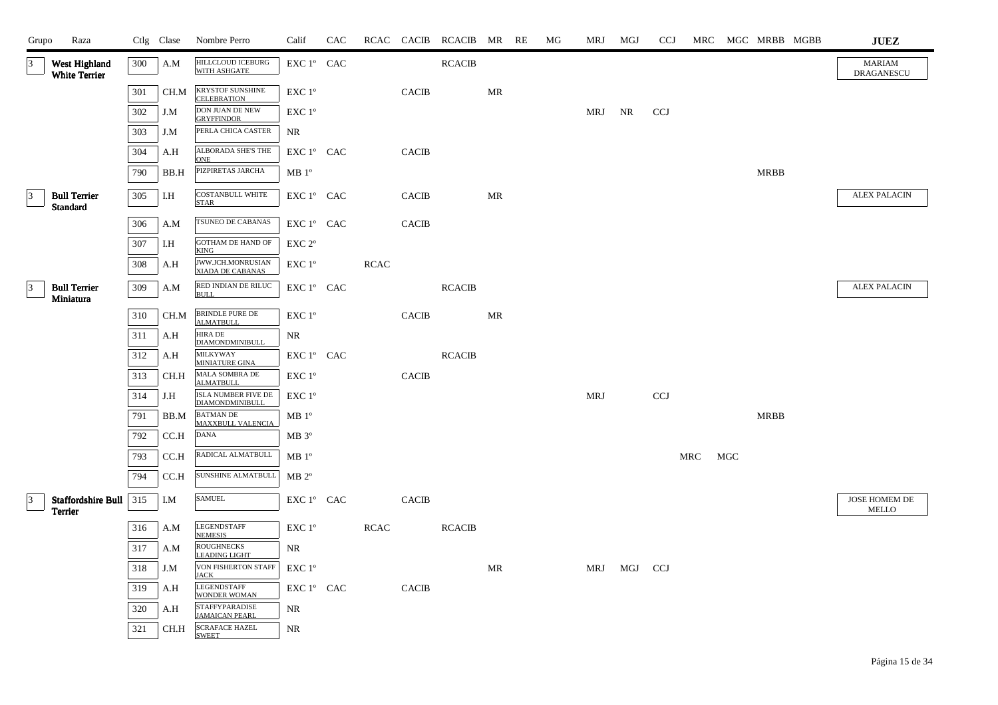| Grupo           | Raza                                   |       | Ctlg Clase | Nombre Perro                                   | Calif                                | CAC |             |              | RCAC CACIB RCACIB MR RE |    | МG | MRJ    | MGJ     | <b>CCJ</b> |     |     |             | MRC MGC MRBB MGBB | <b>JUEZ</b>                   |
|-----------------|----------------------------------------|-------|------------|------------------------------------------------|--------------------------------------|-----|-------------|--------------|-------------------------|----|----|--------|---------|------------|-----|-----|-------------|-------------------|-------------------------------|
| $\vert 3 \vert$ | West Highland<br><b>White Terrier</b>  | 300   | A.M        | <b>HILLCLOUD ICEBURG</b><br>WITH ASHGATE       | EXC 1° CAC                           |     |             |              | <b>RCACIB</b>           |    |    |        |         |            |     |     |             |                   | <b>MARIAM</b><br>DRAGANESCU   |
|                 |                                        | 301   | CH.M       | <b>KRYSTOF SUNSHINE</b><br><b>CELEBRATION</b>  | EXC 1°                               |     |             | <b>CACIB</b> |                         | MR |    |        |         |            |     |     |             |                   |                               |
|                 |                                        | 302   | J.M        | <b>DON JUAN DE NEW</b><br><b>GRYFFINDOR</b>    | EXC 1°                               |     |             |              |                         |    |    | MRJ NR |         | <b>CCJ</b> |     |     |             |                   |                               |
|                 |                                        | 303   | J.M        | PERLA CHICA CASTER                             | NR.                                  |     |             |              |                         |    |    |        |         |            |     |     |             |                   |                               |
|                 |                                        | 304   | A.H        | ALBORADA SHE'S THE<br><b>ONE</b>               | EXC 1° CAC                           |     |             | <b>CACIB</b> |                         |    |    |        |         |            |     |     |             |                   |                               |
|                 |                                        | 790   | BB.H       | PIZPIRETAS JARCHA                              | MB1°                                 |     |             |              |                         |    |    |        |         |            |     |     | <b>MRBB</b> |                   |                               |
| $\vert$ 3       | <b>Bull Terrier</b><br><b>Standard</b> | 305   | I.H        | <b>COSTANBULL WHITE</b><br><b>STAR</b>         | EXC 1° CAC                           |     |             | <b>CACIB</b> |                         | MR |    |        |         |            |     |     |             |                   | <b>ALEX PALACIN</b>           |
|                 |                                        | 306   | A.M        | TSUNEO DE CABANAS                              | ${\rm EXC}\ 1^{\circ}$ $\hbox{ CAC}$ |     |             | <b>CACIB</b> |                         |    |    |        |         |            |     |     |             |                   |                               |
|                 |                                        | 307   | I.H        | GOTHAM DE HAND OF<br><b>KING</b>               | $EXC 2^{\circ}$                      |     |             |              |                         |    |    |        |         |            |     |     |             |                   |                               |
|                 |                                        | 308   | A.H        | JWW.JCH.MONRUSIAN<br><b>XIADA DE CABANAS</b>   | EXC 1 <sup>o</sup>                   |     | <b>RCAC</b> |              |                         |    |    |        |         |            |     |     |             |                   |                               |
| 3               | <b>Bull Terrier</b><br>Miniatura       | 309   | A.M        | RED INDIAN DE RILUC<br><b>BULL</b>             | EXC 1° CAC                           |     |             |              | <b>RCACIB</b>           |    |    |        |         |            |     |     |             |                   | <b>ALEX PALACIN</b>           |
|                 |                                        | 310   | CH.M       | <b>BRINDLE PURE DE</b><br><b>ALMATBULL</b>     | EXC 1°                               |     |             | <b>CACIB</b> |                         | MR |    |        |         |            |     |     |             |                   |                               |
|                 |                                        | 311   | A.H        | <b>HIRA DE</b><br>DIAMONDMINIBULL              | NR                                   |     |             |              |                         |    |    |        |         |            |     |     |             |                   |                               |
|                 |                                        | 312   | A.H        | <b>MILKYWAY</b><br>MINIATURE GINA              | EXC 1° CAC                           |     |             |              | <b>RCACIB</b>           |    |    |        |         |            |     |     |             |                   |                               |
|                 |                                        | 313   | CH.H       | MALA SOMBRA DE<br><b>ALMATBULL</b>             | EXC 1 <sup>o</sup>                   |     |             | <b>CACIB</b> |                         |    |    |        |         |            |     |     |             |                   |                               |
|                 |                                        | 314   | J.H        | ISLA NUMBER FIVE DE<br>DIAMONDMINIBULL         | EXC 1 <sup>o</sup>                   |     |             |              |                         |    |    | MRJ    |         | <b>CCJ</b> |     |     |             |                   |                               |
|                 |                                        | 791   | BB.M       | <b>BATMAN DE</b><br>MAXXBULL VALENCIA          | $MB1^{\circ}$                        |     |             |              |                         |    |    |        |         |            |     |     | MRBB        |                   |                               |
|                 |                                        | 792   | CC.H       | <b>DANA</b>                                    | $MB 3^{\circ}$                       |     |             |              |                         |    |    |        |         |            |     |     |             |                   |                               |
|                 |                                        | 793   | CC.H       | RADICAL ALMATBULL                              | $MB1^{\circ}$                        |     |             |              |                         |    |    |        |         |            | MRC | MGC |             |                   |                               |
|                 |                                        | 794   | CC.H       | SUNSHINE ALMATBULL                             | $MB 2^{\circ}$                       |     |             |              |                         |    |    |        |         |            |     |     |             |                   |                               |
| $\vert 3 \vert$ | Staffordshire Bull<br><b>Terrier</b>   | $315$ | I.M        | <b>SAMUEL</b>                                  | EXC 1° CAC                           |     |             | <b>CACIB</b> |                         |    |    |        |         |            |     |     |             |                   | JOSE HOMEM DE<br><b>MELLO</b> |
|                 |                                        | 316   | A.M        | <b>LEGENDSTAFF</b><br><b>NEMESIS</b>           | EXC 1°                               |     | <b>RCAC</b> |              | <b>RCACIB</b>           |    |    |        |         |            |     |     |             |                   |                               |
|                 |                                        | 317   | A.M        | <b>ROUGHNECKS</b><br><b>LEADING LIGHT</b>      | NR                                   |     |             |              |                         |    |    |        |         |            |     |     |             |                   |                               |
|                 |                                        | 318   | J.M        | VON FISHERTON STAFF<br><b>JACK</b>             | $EXC1^{\circ}$                       |     |             |              |                         | MR |    | MRJ    | MGJ CCJ |            |     |     |             |                   |                               |
|                 |                                        | 319   | A.H        | <b>LEGENDSTAFF</b><br><b>WONDER WOMAN</b>      | EXC 1° CAC                           |     |             | <b>CACIB</b> |                         |    |    |        |         |            |     |     |             |                   |                               |
|                 |                                        | 320   | A.H        | <b>STAFFYPARADISE</b><br><b>JAMAICAN PEARL</b> | <b>NR</b>                            |     |             |              |                         |    |    |        |         |            |     |     |             |                   |                               |
|                 |                                        | 321   | CH.H       | <b>SCRAFACE HAZEL</b><br><b>SWEET</b>          | NR                                   |     |             |              |                         |    |    |        |         |            |     |     |             |                   |                               |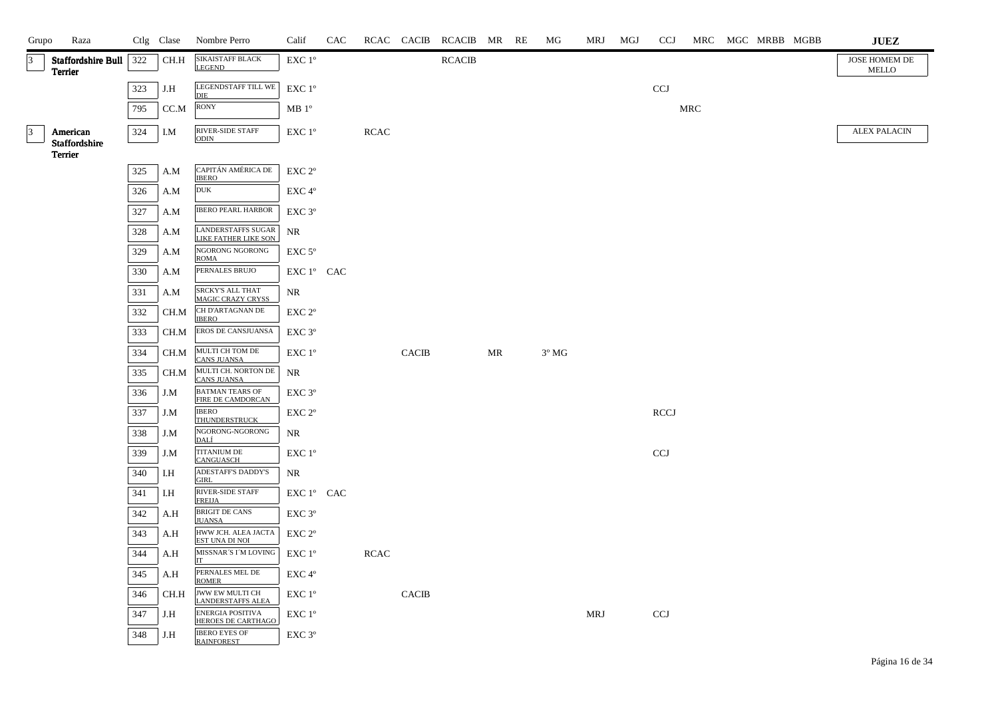| Grupo                   | Raza                                 |     | Ctlg Clase | Nombre Perro                                  | Calif                                        | CAC |             |              | RCAC CACIB RCACIB MR RE |    | MG             | MRJ | MGJ | CCJ                       |     | MRC MGC MRBB MGBB |  | <b>JUEZ</b>            |
|-------------------------|--------------------------------------|-----|------------|-----------------------------------------------|----------------------------------------------|-----|-------------|--------------|-------------------------|----|----------------|-----|-----|---------------------------|-----|-------------------|--|------------------------|
| $\overline{\mathbf{3}}$ | <b>Staffordshire Bull</b><br>Terrier | 322 | CH.H       | SIKAISTAFF BLACK<br>LEGEND                    | EXC 1°                                       |     |             |              | <b>RCACIB</b>           |    |                |     |     |                           |     |                   |  | JOSE HOMEM DE<br>MELLO |
|                         |                                      | 323 | J.H        | LEGENDSTAFF TILL WE<br><b>DIE</b>             | EXC 1°                                       |     |             |              |                         |    |                |     |     | $\ensuremath{\text{CCJ}}$ |     |                   |  |                        |
|                         |                                      | 795 | CC.M       | <b>RONY</b>                                   | MB 1 <sup>o</sup>                            |     |             |              |                         |    |                |     |     |                           | MRC |                   |  |                        |
| $\vert$ 3               | American                             | 324 | I.M        | <b>RIVER-SIDE STAFF</b>                       | EXC 1°                                       |     | RCAC        |              |                         |    |                |     |     |                           |     |                   |  | <b>ALEX PALACIN</b>    |
|                         | Staffordshire<br>Terrier             |     |            | <b>ODIN</b>                                   |                                              |     |             |              |                         |    |                |     |     |                           |     |                   |  |                        |
|                         |                                      | 325 | A.M        | CAPITÁN AMÉRICA DE                            | $\ensuremath{\mathrm{EXC}}$ $2^{\mathrm{o}}$ |     |             |              |                         |    |                |     |     |                           |     |                   |  |                        |
|                         |                                      | 326 | A.M        | <b>IBERO</b><br><b>DUK</b>                    | EXC 4°                                       |     |             |              |                         |    |                |     |     |                           |     |                   |  |                        |
|                         |                                      | 327 | A.M        | <b>IBERO PEARL HARBOR</b>                     | EXC 3°                                       |     |             |              |                         |    |                |     |     |                           |     |                   |  |                        |
|                         |                                      | 328 | A.M        | <b>LANDERSTAFFS SUGAR</b>                     | $\rm NR$                                     |     |             |              |                         |    |                |     |     |                           |     |                   |  |                        |
|                         |                                      | 329 | A.M        | LIKE FATHER LIKE SON<br>NGORONG NGORONG       | EXC <sub>5°</sub>                            |     |             |              |                         |    |                |     |     |                           |     |                   |  |                        |
|                         |                                      | 330 | A.M        | <b>ROMA</b><br>PERNALES BRUJO                 | EXC 1° CAC                                   |     |             |              |                         |    |                |     |     |                           |     |                   |  |                        |
|                         |                                      | 331 | A.M        | <b>SRCKY'S ALL THAT</b>                       | $\rm NR$                                     |     |             |              |                         |    |                |     |     |                           |     |                   |  |                        |
|                         |                                      | 332 | CH.M       | <b>MAGIC CRAZY CRYSS</b><br>CH D'ARTAGNAN DE  | EXC <sub>2°</sub>                            |     |             |              |                         |    |                |     |     |                           |     |                   |  |                        |
|                         |                                      | 333 | CH.M       | <b>IBERO</b><br>EROS DE CANSJUANSA            | $EXC$ 3 $^{\circ}$                           |     |             |              |                         |    |                |     |     |                           |     |                   |  |                        |
|                         |                                      | 334 | CH.M       | MULTI CH TOM DE                               | EXC 1 <sup>°</sup>                           |     |             | <b>CACIB</b> |                         | MR | $3^{\circ}$ MG |     |     |                           |     |                   |  |                        |
|                         |                                      |     |            | <b>CANS JUANSA</b><br>MULTI CH. NORTON DE     |                                              |     |             |              |                         |    |                |     |     |                           |     |                   |  |                        |
|                         |                                      | 335 | CH.M       | <b>CANS JUANSA</b><br>BATMAN TEARS OF         | NR                                           |     |             |              |                         |    |                |     |     |                           |     |                   |  |                        |
|                         |                                      | 336 | J.M        | FIRE DE CAMDORCAN<br><b>IBERO</b>             | EXC 3°                                       |     |             |              |                         |    |                |     |     |                           |     |                   |  |                        |
|                         |                                      | 337 | J.M        | <b>THUNDERSTRUCK</b><br>NGORONG-NGORONG       | EXC <sub>2°</sub>                            |     |             |              |                         |    |                |     |     | <b>RCCJ</b>               |     |                   |  |                        |
|                         |                                      | 338 | J.M        | DALÍ                                          | NR                                           |     |             |              |                         |    |                |     |     |                           |     |                   |  |                        |
|                         |                                      | 339 | J.M        | <b>TITANIUM DE</b><br>CANGUASCH               | EXC 1°                                       |     |             |              |                         |    |                |     |     | <b>CCJ</b>                |     |                   |  |                        |
|                         |                                      | 340 | I.H        | ADESTAFF'S DADDY'S<br><b>GIRL</b>             | NR                                           |     |             |              |                         |    |                |     |     |                           |     |                   |  |                        |
|                         |                                      | 341 | I.H        | RIVER-SIDE STAFF<br><b>FREIJA</b>             | EXC 1° CAC                                   |     |             |              |                         |    |                |     |     |                           |     |                   |  |                        |
|                         |                                      | 342 | A.H        | <b>BRIGIT DE CANS</b><br><b>JUANSA</b>        | EXC <sub>3°</sub>                            |     |             |              |                         |    |                |     |     |                           |     |                   |  |                        |
|                         |                                      | 343 | A.H        | HWW JCH. ALEA JACTA<br>EST UNA DI NOI         | EXC 2°                                       |     |             |              |                         |    |                |     |     |                           |     |                   |  |                        |
|                         |                                      | 344 | A.H        | MISSNAR'S I'M LOVING<br>ľТ                    | EXC 1°                                       |     | <b>RCAC</b> |              |                         |    |                |     |     |                           |     |                   |  |                        |
|                         |                                      | 345 | A.H        | PERNALES MEL DE<br><b>ROMER</b>               | EXC 4°                                       |     |             |              |                         |    |                |     |     |                           |     |                   |  |                        |
|                         |                                      | 346 | CH.H       | JWW EW MULTI CH<br><b>LANDERSTAFFS ALEA</b>   | EXC 1°                                       |     |             | <b>CACIB</b> |                         |    |                |     |     |                           |     |                   |  |                        |
|                         |                                      | 347 | J.H        | ENERGIA POSITIVA<br><b>HEROES DE CARTHAGO</b> | EXC 1°                                       |     |             |              |                         |    |                | MRJ |     | $_{\rm CCJ}$              |     |                   |  |                        |
|                         |                                      | 348 | J.H        | <b>IBERO EYES OF</b><br><b>RAINFOREST</b>     | EXC 3°                                       |     |             |              |                         |    |                |     |     |                           |     |                   |  |                        |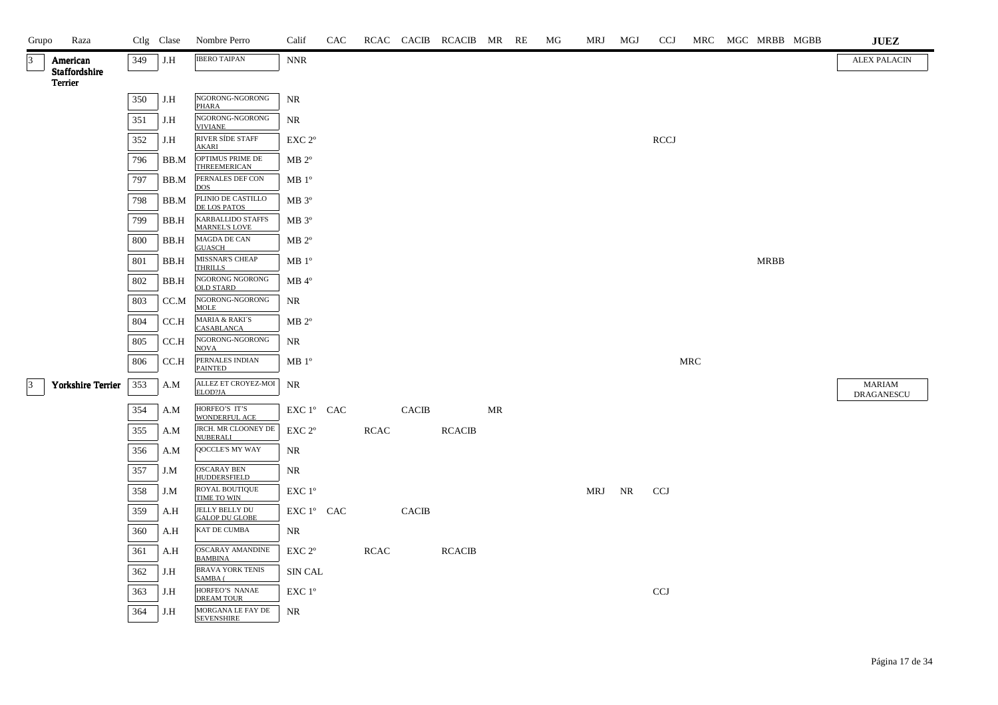| Grupo     | Raza                      |     | Ctlg Clase | Nombre Perro                                   | Calif                                | CAC |             |              | RCAC CACIB RCACIB MR RE |    | MG | MRJ | MGJ | <b>CCJ</b>  |            | MRC MGC MRBB MGBB | <b>JUEZ</b>                 |
|-----------|---------------------------|-----|------------|------------------------------------------------|--------------------------------------|-----|-------------|--------------|-------------------------|----|----|-----|-----|-------------|------------|-------------------|-----------------------------|
| $\vert$ 3 | American<br>Staffordshire | 349 | J.H        | <b>IBERO TAIPAN</b>                            | <b>NNR</b>                           |     |             |              |                         |    |    |     |     |             |            |                   | <b>ALEX PALACIN</b>         |
|           | Terrier                   |     |            |                                                |                                      |     |             |              |                         |    |    |     |     |             |            |                   |                             |
|           |                           | 350 | J.H        | NGORONG-NGORONG<br><b>PHARA</b>                | <b>NR</b>                            |     |             |              |                         |    |    |     |     |             |            |                   |                             |
|           |                           | 351 | J.H        | NGORONG-NGORONG<br><b>VIVIANE</b>              | NR                                   |     |             |              |                         |    |    |     |     |             |            |                   |                             |
|           |                           | 352 | J.H        | RIVER SÍDE STAFF<br><b>AKARI</b>               | EXC <sub>2°</sub>                    |     |             |              |                         |    |    |     |     | <b>RCCJ</b> |            |                   |                             |
|           |                           | 796 | BB.M       | OPTIMUS PRIME DE<br><b>THREEMERICAN</b>        | $MB 2^{\circ}$                       |     |             |              |                         |    |    |     |     |             |            |                   |                             |
|           |                           | 797 | BB.M       | PERNALES DEF CON<br><b>DOS</b>                 | MB 1 <sup>o</sup>                    |     |             |              |                         |    |    |     |     |             |            |                   |                             |
|           |                           | 798 | BB.M       | PLINIO DE CASTILLO<br><b>DE LOS PATOS</b>      | MB 3°                                |     |             |              |                         |    |    |     |     |             |            |                   |                             |
|           |                           | 799 | BB.H       | <b>KARBALLIDO STAFFS</b><br>MARNEL'S LOVE      | $MB 3^{\circ}$                       |     |             |              |                         |    |    |     |     |             |            |                   |                             |
|           |                           | 800 | BB.H       | MAGDA DE CAN<br><b>GUASCH</b>                  | $MB 2^{\circ}$                       |     |             |              |                         |    |    |     |     |             |            |                   |                             |
|           |                           | 801 | BB.H       | MISSNAR'S CHEAP<br><b>THRILLS</b>              | MB 1 <sup>o</sup>                    |     |             |              |                         |    |    |     |     |             |            | <b>MRBB</b>       |                             |
|           |                           | 802 | BB.H       | NGORONG NGORONG<br><b>OLD STARD</b>            | $MB 4^{\circ}$                       |     |             |              |                         |    |    |     |     |             |            |                   |                             |
|           |                           | 803 | CC.M       | NGORONG-NGORONG<br><b>MOLE</b>                 | NR                                   |     |             |              |                         |    |    |     |     |             |            |                   |                             |
|           |                           | 804 | CC.H       | <b>MARIA &amp; RAKI'S</b><br><b>CASABLANCA</b> | $MB 2^{\circ}$                       |     |             |              |                         |    |    |     |     |             |            |                   |                             |
|           |                           | 805 | CC.H       | NGORONG-NGORONG<br><b>NOVA</b>                 | <b>NR</b>                            |     |             |              |                         |    |    |     |     |             |            |                   |                             |
|           |                           | 806 | CC.H       | PERNALES INDIAN<br><b>PAINTED</b>              | MB 1 <sup>o</sup>                    |     |             |              |                         |    |    |     |     |             | <b>MRC</b> |                   |                             |
| $\vert$ 3 | <b>Yorkshire Terrier</b>  | 353 | A.M        | ALLEZ ET CROYEZ-MOI<br>ELOD?JA                 | NR                                   |     |             |              |                         |    |    |     |     |             |            |                   | MARIAM<br><b>DRAGANESCU</b> |
|           |                           | 354 | A.M        | HORFEO'S IT'S<br>WONDERFUL ACE                 | EXC 1° CAC                           |     |             | <b>CACIB</b> |                         | MR |    |     |     |             |            |                   |                             |
|           |                           | 355 | A.M        | JRCH. MR CLOONEY DE<br><b>NUBERALI</b>         | EXC 2 <sup>o</sup>                   |     | <b>RCAC</b> |              | <b>RCACIB</b>           |    |    |     |     |             |            |                   |                             |
|           |                           | 356 | A.M        | QOCCLE'S MY WAY                                | NR                                   |     |             |              |                         |    |    |     |     |             |            |                   |                             |
|           |                           | 357 | J.M        | <b>OSCARAY BEN</b><br><b>HUDDERSFIELD</b>      | NR                                   |     |             |              |                         |    |    |     |     |             |            |                   |                             |
|           |                           | 358 | J.M        | ROYAL BOUTIQUE<br>TIME TO WIN                  | EXC 1 <sup>o</sup>                   |     |             |              |                         |    |    | MRJ | NR  | <b>CCJ</b>  |            |                   |                             |
|           |                           | 359 | A.H        | JELLY BELLY DU<br><b>GALOP DU GLOBE</b>        | ${\rm EXC}\ 1^{\circ}$ $\hbox{ CAC}$ |     |             | <b>CACIB</b> |                         |    |    |     |     |             |            |                   |                             |
|           |                           | 360 | A.H        | KAT DE CUMBA                                   | NR.                                  |     |             |              |                         |    |    |     |     |             |            |                   |                             |
|           |                           | 361 | A.H        | OSCARAY AMANDINE<br><b>BAMBINA</b>             | EXC 2°                               |     | <b>RCAC</b> |              | <b>RCACIB</b>           |    |    |     |     |             |            |                   |                             |
|           |                           | 362 | J.H        | <b>BRAVA YORK TENIS</b><br>SAMBA (             | SIN CAL                              |     |             |              |                         |    |    |     |     |             |            |                   |                             |
|           |                           | 363 | J.H        | HORFEO'S NANAE<br><b>DREAM TOUR</b>            | EXC 1°                               |     |             |              |                         |    |    |     |     | <b>CCJ</b>  |            |                   |                             |
|           |                           | 364 | J.H        | MORGANA LE FAY DE<br><b>SEVENSHIRE</b>         | NR                                   |     |             |              |                         |    |    |     |     |             |            |                   |                             |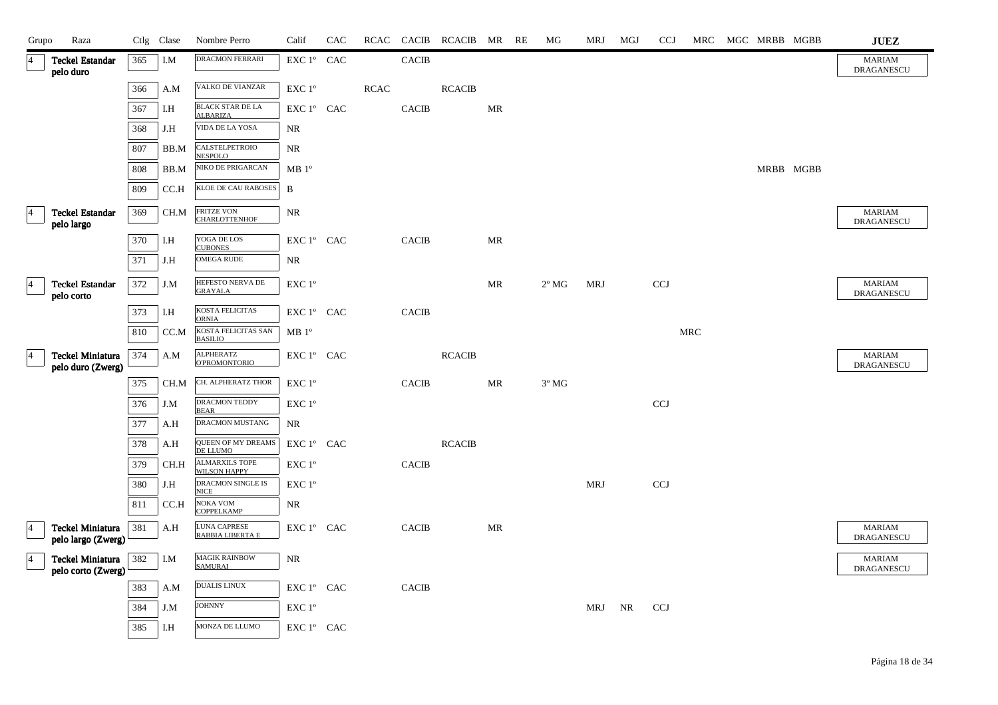| Grupo           | Raza                                          |     | Ctlg Clase | Nombre Perro                            | Calif             | CAC | RCAC       | <b>CACIB</b> | RCACIB MR RE  |    | МG             | MRJ        | MGJ | <b>CCJ</b> | MRC |  | MGC MRBB MGBB | $\mathbf{J}\mathbf{U}\mathbf{E}\mathbf{Z}$ |
|-----------------|-----------------------------------------------|-----|------------|-----------------------------------------|-------------------|-----|------------|--------------|---------------|----|----------------|------------|-----|------------|-----|--|---------------|--------------------------------------------|
| $\overline{4}$  | <b>Teckel Estandar</b><br>pelo duro           | 365 | I.M        | <b>DRACMON FERRARI</b>                  | EXC 1° CAC        |     |            | <b>CACIB</b> |               |    |                |            |     |            |     |  |               | <b>MARIAM</b><br>DRAGANESCU                |
|                 |                                               | 366 | A.M        | VALKO DE VIANZAR                        | EXC 1°            |     | $\sf RCAC$ |              | <b>RCACIB</b> |    |                |            |     |            |     |  |               |                                            |
|                 |                                               | 367 | I.H        | <b>BLACK STAR DE LA</b><br>ALBARIZA     | EXC 1° CAC        |     |            | <b>CACIB</b> |               | MR |                |            |     |            |     |  |               |                                            |
|                 |                                               | 368 | J.H        | VIDA DE LA YOSA                         | NR                |     |            |              |               |    |                |            |     |            |     |  |               |                                            |
|                 |                                               | 807 | BB.M       | CALSTELPETROIO<br><b>NESPOLO</b>        | NR                |     |            |              |               |    |                |            |     |            |     |  |               |                                            |
|                 |                                               | 808 | BB.M       | NIKO DE PRIGARCAN                       | MB 1 <sup>o</sup> |     |            |              |               |    |                |            |     |            |     |  | MRBB MGBB     |                                            |
|                 |                                               | 809 | CCA        | KLOE DE CAU RABOSES                     | B                 |     |            |              |               |    |                |            |     |            |     |  |               |                                            |
| $\vert 4 \vert$ | <b>Teckel Estandar</b><br>pelo largo          | 369 | CH.M       | FRITZE VON<br><b>CHARLOTTENHOF</b>      | NR                |     |            |              |               |    |                |            |     |            |     |  |               | <b>MARIAM</b><br><b>DRAGANESCU</b>         |
|                 |                                               | 370 | I.H        | YOGA DE LOS<br><b>CUBONES</b>           | EXC 1° CAC        |     |            | <b>CACIB</b> |               | MR |                |            |     |            |     |  |               |                                            |
|                 |                                               | 371 | J.H        | <b>OMEGA RUDE</b>                       | NR                |     |            |              |               |    |                |            |     |            |     |  |               |                                            |
| $\overline{4}$  | <b>Teckel Estandar</b><br>pelo corto          | 372 | J.M        | HEFESTO NERVA DE<br><b>GRAYALA</b>      | EXC 1°            |     |            |              |               | MR | $2^{\circ}$ MG | <b>MRJ</b> |     | <b>CCJ</b> |     |  |               | <b>MARIAM</b><br><b>DRAGANESCU</b>         |
|                 |                                               | 373 | I.H        | KOSTA FELICITAS<br><b>ORNIA</b>         | EXC 1° CAC        |     |            | <b>CACIB</b> |               |    |                |            |     |            |     |  |               |                                            |
|                 |                                               | 810 | CC.M       | KOSTA FELICITAS SAN<br><b>BASILIO</b>   | MB 1 <sup>o</sup> |     |            |              |               |    |                |            |     |            | MRC |  |               |                                            |
| $\vert 4 \vert$ | Teckel Miniatura<br>pelo duro (Zwerg)         | 374 | A.M        | ALPHERATZ<br><b>O'PROMONTORIO</b>       | EXC 1° CAC        |     |            |              | <b>RCACIB</b> |    |                |            |     |            |     |  |               | <b>MARIAM</b><br>DRAGANESCU                |
|                 |                                               | 375 | CH.M       | CH. ALPHERATZ THOR                      | EXC 1°            |     |            | <b>CACIB</b> |               | MR | $3^{\circ}$ MG |            |     |            |     |  |               |                                            |
|                 |                                               | 376 | J.M        | DRACMON TEDDY<br><b>BEAR</b>            | EXC 1°            |     |            |              |               |    |                |            |     | CCJ        |     |  |               |                                            |
|                 |                                               | 377 | A.H        | DRACMON MUSTANG                         | NR                |     |            |              |               |    |                |            |     |            |     |  |               |                                            |
|                 |                                               | 378 | A.H        | QUEEN OF MY DREAMS<br>DE LLUMO          | EXC 1° CAC        |     |            |              | <b>RCACIB</b> |    |                |            |     |            |     |  |               |                                            |
|                 |                                               | 379 | CH.H       | ALMARXILS TOPE<br><b>WILSON HAPPY</b>   | EXC 1°            |     |            | <b>CACIB</b> |               |    |                |            |     |            |     |  |               |                                            |
|                 |                                               | 380 | J.H        | DRACMON SINGLE IS<br><b>NICE</b>        | EXC 1°            |     |            |              |               |    |                | MRJ        |     | <b>CCJ</b> |     |  |               |                                            |
|                 |                                               | 811 | CC.H       | NOKA VOM<br><b>COPPELKAMP</b>           | NR                |     |            |              |               |    |                |            |     |            |     |  |               |                                            |
| $\overline{4}$  | <b>Teckel Miniatura</b><br>pelo largo (Zwerg) | 381 | A.H        | <b>LUNA CAPRESE</b><br>RABBIA LIBERTA E | EXC 1° CAC        |     |            | <b>CACIB</b> |               | MR |                |            |     |            |     |  |               | <b>MARIAM</b><br><b>DRAGANESCU</b>         |
| $\overline{4}$  | <b>Teckel Miniatura</b><br>pelo corto (Zwerg) | 382 | I.M        | <b>MAGIK RAINBOW</b><br><b>SAMURAI</b>  | NR                |     |            |              |               |    |                |            |     |            |     |  |               | <b>MARIAM</b><br>DRAGANESCU                |
|                 |                                               | 383 | A.M        | <b>DUALIS LINUX</b>                     | EXC 1° CAC        |     |            | <b>CACIB</b> |               |    |                |            |     |            |     |  |               |                                            |
|                 |                                               | 384 | J.M        | <b>JOHNNY</b>                           | EXC 1°            |     |            |              |               |    |                | MRJ        | NR  | <b>CCJ</b> |     |  |               |                                            |
|                 |                                               | 385 | I.H        | MONZA DE LLUMO                          | EXC 1° CAC        |     |            |              |               |    |                |            |     |            |     |  |               |                                            |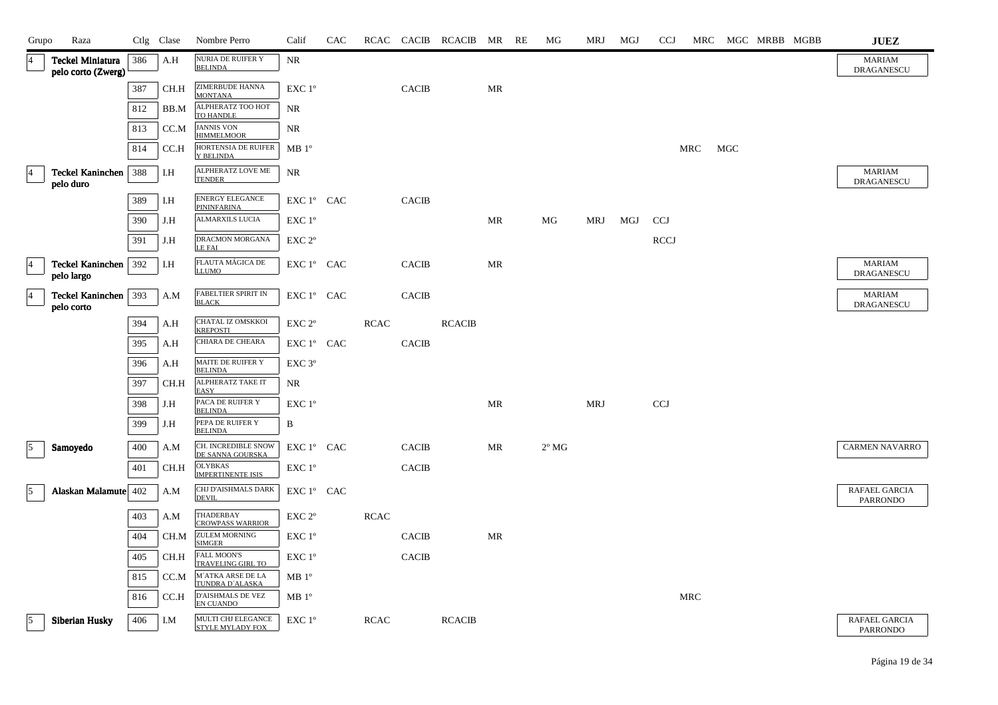| Grupo          | Raza                                          |     | Ctlg Clase | Nombre Perro                                   | Calif                                      | CAC |             |              | RCAC CACIB RCACIB MR RE |    | МG             | MRJ        | MGJ | <b>CCJ</b>  |            |     | MRC MGC MRBB MGBB | <b>JUEZ</b>                        |
|----------------|-----------------------------------------------|-----|------------|------------------------------------------------|--------------------------------------------|-----|-------------|--------------|-------------------------|----|----------------|------------|-----|-------------|------------|-----|-------------------|------------------------------------|
|                | <b>Teckel Miniatura</b><br>pelo corto (Zwerg) | 386 | A.H        | NURIA DE RUIFER Y<br><b>BELINDA</b>            | <b>NR</b>                                  |     |             |              |                         |    |                |            |     |             |            |     |                   | <b>MARIAM</b><br><b>DRAGANESCU</b> |
|                |                                               | 387 | CH.H       | ZIMERBUDE HANNA<br><b>MONTANA</b>              | EXC 1°                                     |     |             | <b>CACIB</b> |                         | MR |                |            |     |             |            |     |                   |                                    |
|                |                                               | 812 | BB.M       | ALPHERATZ TOO HOT<br>TO HANDLE                 | <b>NR</b>                                  |     |             |              |                         |    |                |            |     |             |            |     |                   |                                    |
|                |                                               | 813 | CC.M       | <b>JANNIS VON</b><br><b>HIMMELMOOR</b>         | NR                                         |     |             |              |                         |    |                |            |     |             |            |     |                   |                                    |
|                |                                               | 814 | CC.H       | HORTENSIA DE RUIFER<br>Y BELINDA               | $MB1^{\circ}$                              |     |             |              |                         |    |                |            |     |             | MRC        | MGC |                   |                                    |
|                | Teckel Kaninchen   388<br>pelo duro           |     | I.H        | ALPHERATZ LOVE ME<br><b>TENDER</b>             | NR                                         |     |             |              |                         |    |                |            |     |             |            |     |                   | <b>MARIAM</b><br><b>DRAGANESCU</b> |
|                |                                               | 389 | I.H        | ENERGY ELEGANCE<br>PININFARINA                 | EXC 1° CAC                                 |     |             | <b>CACIB</b> |                         |    |                |            |     |             |            |     |                   |                                    |
|                |                                               | 390 | J.H        | ALMARXILS LUCIA                                | EXC 1°                                     |     |             |              |                         | MR | MG             | MRJ        | MGJ | <b>CCJ</b>  |            |     |                   |                                    |
|                |                                               | 391 | J.H        | DRACMON MORGANA<br><b>LE FAI</b>               | $EXC 2^{\circ}$                            |     |             |              |                         |    |                |            |     | <b>RCCJ</b> |            |     |                   |                                    |
| $\overline{4}$ | Teckel Kaninchen   392<br>pelo largo          |     | I.H        | FLAUTA MÁGICA DE<br><b>LLUMO</b>               | EXC 1° CAC                                 |     |             | <b>CACIB</b> |                         | MR |                |            |     |             |            |     |                   | <b>MARIAM</b><br>DRAGANESCU        |
| $\overline{4}$ | <b>Teckel Kaninchen</b><br>pelo corto         | 393 | A.M        | FABELTIER SPIRIT IN<br><b>BLACK</b>            | EXC 1° CAC                                 |     |             | <b>CACIB</b> |                         |    |                |            |     |             |            |     |                   | <b>MARIAM</b><br>DRAGANESCU        |
|                |                                               | 394 | A.H        | CHATAL IZ OMSKKOI<br><b>KREPOSTI</b>           | EXC 2 <sup>o</sup>                         |     | <b>RCAC</b> |              | <b>RCACIB</b>           |    |                |            |     |             |            |     |                   |                                    |
|                |                                               | 395 | A.H        | CHIARA DE CHEARA                               | EXC 1° CAC                                 |     |             | <b>CACIB</b> |                         |    |                |            |     |             |            |     |                   |                                    |
|                |                                               | 396 | A.H        | MAITE DE RUIFER Y<br><b>BELINDA</b>            | EXC <sub>3°</sub>                          |     |             |              |                         |    |                |            |     |             |            |     |                   |                                    |
|                |                                               | 397 | CH.H       | ALPHERATZ TAKE IT<br>EASY                      | <b>NR</b>                                  |     |             |              |                         |    |                |            |     |             |            |     |                   |                                    |
|                |                                               | 398 | J.H        | PACA DE RUIFER Y<br><b>BELINDA</b>             | EXC 1°                                     |     |             |              |                         | MR |                | <b>MRJ</b> |     | <b>CCJ</b>  |            |     |                   |                                    |
|                |                                               | 399 | J.H        | PEPA DE RUIFER Y<br><b>BELINDA</b>             | B                                          |     |             |              |                         |    |                |            |     |             |            |     |                   |                                    |
| 15             | Samoyedo                                      | 400 | A.M        | CH. INCREDIBLE SNOW<br>DE SANNA GOURSKA        | EXC 1° CAC                                 |     |             | <b>CACIB</b> |                         | MR | $2^{\circ}$ MG |            |     |             |            |     |                   | <b>CARMEN NAVARRO</b>              |
|                |                                               | 401 | CH.H       | <b>OLYBKAS</b><br><b>IMPERTINENTE ISIS</b>     | $\ensuremath{\mathrm{EXC}}$ $1^\mathrm{o}$ |     |             | <b>CACIB</b> |                         |    |                |            |     |             |            |     |                   |                                    |
| $\sqrt{5}$     | Alaskan Malamute 402                          |     | A.M        | CHJ D'AISHMALS DARK<br><b>DEVIL</b>            | EXC 1° CAC                                 |     |             |              |                         |    |                |            |     |             |            |     |                   | RAFAEL GARCIA<br><b>PARRONDO</b>   |
|                |                                               | 403 | A.M        | THADERBAY<br><b>CROWPASS WARRIOR</b>           | EXC 2 <sup>o</sup>                         |     | <b>RCAC</b> |              |                         |    |                |            |     |             |            |     |                   |                                    |
|                |                                               | 404 | CH.M       | <b>ZULEM MORNING</b><br><b>SIMGER</b>          | EXC 1°                                     |     |             | <b>CACIB</b> |                         | MR |                |            |     |             |            |     |                   |                                    |
|                |                                               | 405 | CH.H       | <b>FALL MOON'S</b><br><b>TRAVELING GIRL TO</b> | EXC 1°                                     |     |             | <b>CACIB</b> |                         |    |                |            |     |             |            |     |                   |                                    |
|                |                                               | 815 | CC.M       | M'ATKA ARSE DE LA<br>TUNDRA D'ALASKA           | $MB1^{\circ}$                              |     |             |              |                         |    |                |            |     |             |            |     |                   |                                    |
|                |                                               | 816 | CC.H       | D'AISHMALS DE VEZ<br><b>EN CUANDO</b>          | $MB1^{\circ}$                              |     |             |              |                         |    |                |            |     |             | <b>MRC</b> |     |                   |                                    |
| 15             | Siberian Husky                                | 406 | I.M        | MULTI CHJ ELEGANCE<br><b>STYLE MYLADY FOX</b>  | EXC 1°                                     |     | <b>RCAC</b> |              | <b>RCACIB</b>           |    |                |            |     |             |            |     |                   | RAFAEL GARCIA<br><b>PARRONDO</b>   |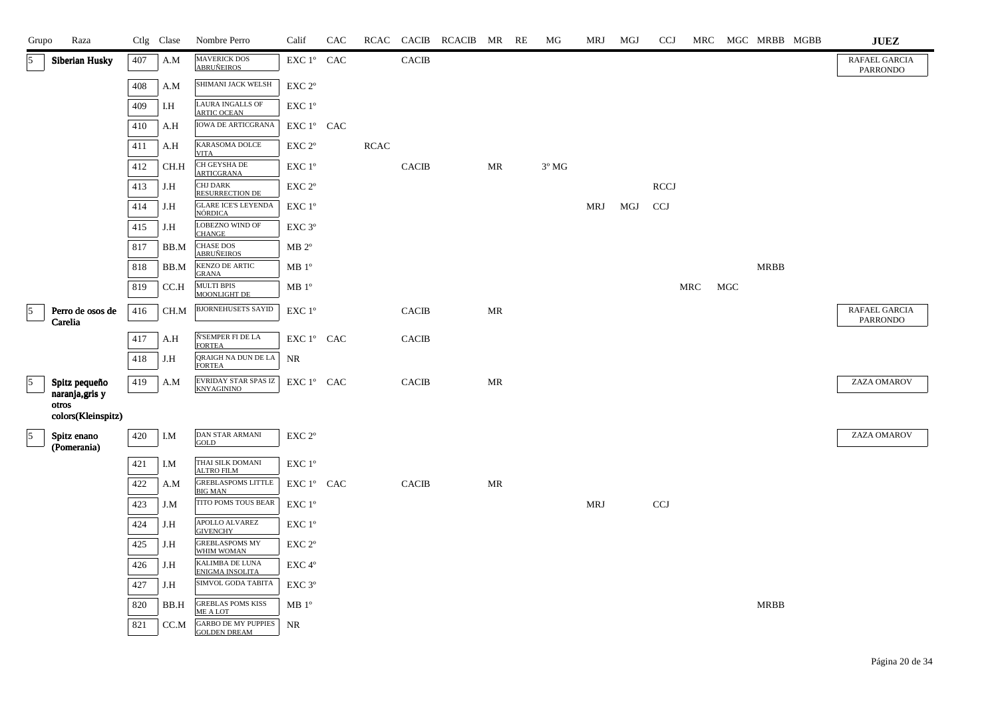| Grupo          | Raza                        |     | Ctlg Clase | Nombre Perro                                          | Calif                | CAC |             |              | RCAC CACIB RCACIB MR RE |    | МG             | MRJ        | MGJ | <b>CCJ</b>  |            |            |             | MRC MGC MRBB MGBB | <b>JUEZ</b>                      |
|----------------|-----------------------------|-----|------------|-------------------------------------------------------|----------------------|-----|-------------|--------------|-------------------------|----|----------------|------------|-----|-------------|------------|------------|-------------|-------------------|----------------------------------|
| 15             | <b>Siberian Husky</b>       | 407 | A.M        | MAVERICK DOS<br>ABRUÑEIROS                            | EXC 1° CAC           |     |             | <b>CACIB</b> |                         |    |                |            |     |             |            |            |             |                   | RAFAEL GARCIA<br><b>PARRONDO</b> |
|                |                             | 408 | A.M        | SHIMANI JACK WELSH                                    | EXC 2°               |     |             |              |                         |    |                |            |     |             |            |            |             |                   |                                  |
|                |                             | 409 | I.H        | LAURA INGALLS OF<br><b>ARTIC OCEAN</b>                | EXC 1 <sup>°</sup>   |     |             |              |                         |    |                |            |     |             |            |            |             |                   |                                  |
|                |                             | 410 | A.H        | <b>IOWA DE ARTICGRANA</b>                             | EXC 1° CAC           |     |             |              |                         |    |                |            |     |             |            |            |             |                   |                                  |
|                |                             | 411 | A.H        | KARASOMA DOLCE<br><b>VITA</b>                         | $EXC 2^{\circ}$      |     | <b>RCAC</b> |              |                         |    |                |            |     |             |            |            |             |                   |                                  |
|                |                             | 412 | CH.H       | <b>CH GEYSHA DE</b><br><b>ARTICGRANA</b>              | EXC 1°               |     |             | <b>CACIB</b> |                         | MR | $3^{\circ}$ MG |            |     |             |            |            |             |                   |                                  |
|                |                             | 413 | J.H        | <b>CHJ DARK</b><br>RESURRECTION DE                    | EXC 2 <sup>o</sup>   |     |             |              |                         |    |                |            |     | <b>RCCJ</b> |            |            |             |                   |                                  |
|                |                             | 414 | J.H        | <b>GLARE ICE'S LEYENDA</b><br><b>NÓRDICA</b>          | EXC 1°               |     |             |              |                         |    |                | MRJ        | MGJ | <b>CCJ</b>  |            |            |             |                   |                                  |
|                |                             | 415 | J.H        | LOBEZNO WIND OF<br><b>CHANGE</b>                      | EXC 3°               |     |             |              |                         |    |                |            |     |             |            |            |             |                   |                                  |
|                |                             | 817 | BB.M       | CHASE DOS<br>ABRUÑEIROS                               | $MB 2^{\circ}$       |     |             |              |                         |    |                |            |     |             |            |            |             |                   |                                  |
|                |                             | 818 | BB.M       | KENZO DE ARTIC<br><b>GRANA</b>                        | MB 1 <sup>o</sup>    |     |             |              |                         |    |                |            |     |             |            |            | <b>MRBB</b> |                   |                                  |
|                |                             | 819 | CC.H       | <b>MULTI BPIS</b><br>MOONLIGHT DE                     | $\rm MB$ $1^{\circ}$ |     |             |              |                         |    |                |            |     |             | <b>MRC</b> | <b>MGC</b> |             |                   |                                  |
| $\overline{5}$ | Perro de osos de<br>Carelia | 416 | CH.M       | <b>BJORNEHUSETS SAYID</b>                             | EXC 1°               |     |             | <b>CACIB</b> |                         | MR |                |            |     |             |            |            |             |                   | RAFAEL GARCIA<br><b>PARRONDO</b> |
|                |                             | 417 | A.H        | Ñ'SEMPER FI DE LA                                     | EXC 1° CAC           |     |             | <b>CACIB</b> |                         |    |                |            |     |             |            |            |             |                   |                                  |
|                |                             | 418 | J.H        | <b>FORTEA</b><br>QRAIGH NA DUN DE LA<br><b>FORTEA</b> | NR                   |     |             |              |                         |    |                |            |     |             |            |            |             |                   |                                  |
| $\overline{5}$ | Spitz pequeño               | 419 | A.M        | EVRIDAY STAR SPAS IZ<br><b>KNYAGININO</b>             | EXC 1° CAC           |     |             | <b>CACIB</b> |                         | MR |                |            |     |             |            |            |             |                   | ZAZA OMAROV                      |
|                | naranja, gris y<br>otros    |     |            |                                                       |                      |     |             |              |                         |    |                |            |     |             |            |            |             |                   |                                  |
|                | colors(Kleinspitz)          |     |            |                                                       |                      |     |             |              |                         |    |                |            |     |             |            |            |             |                   |                                  |
| $\vert$ 5      | Spitz enano<br>(Pomerania)  | 420 | I.M        | DAN STAR ARMANI<br>GOLD                               | EXC <sub>2°</sub>    |     |             |              |                         |    |                |            |     |             |            |            |             |                   | ZAZA OMAROV                      |
|                |                             | 421 | I.M        | THAI SILK DOMANI<br><b>ALTRO FILM</b>                 | EXC 1°               |     |             |              |                         |    |                |            |     |             |            |            |             |                   |                                  |
|                |                             | 422 | A.M        | GREBLASPOMS LITTLE<br><b>BIG MAN</b>                  | EXC 1° CAC           |     |             | <b>CACIB</b> |                         | MR |                |            |     |             |            |            |             |                   |                                  |
|                |                             | 423 | J.M        | TITO POMS TOUS BEAR                                   | EXC 1°               |     |             |              |                         |    |                | <b>MRJ</b> |     | <b>CCJ</b>  |            |            |             |                   |                                  |
|                |                             | 424 | J.H        | APOLLO ALVAREZ<br><b>GIVENCHY</b>                     | EXC 1°               |     |             |              |                         |    |                |            |     |             |            |            |             |                   |                                  |
|                |                             | 425 | J.H        | <b>GREBLASPOMS MY</b><br>WHIM WOMAN                   | EXC 2 <sup>o</sup>   |     |             |              |                         |    |                |            |     |             |            |            |             |                   |                                  |
|                |                             | 426 | J.H        | KALIMBA DE LUNA<br>ENIGMA INSOLITA                    | EXC 4°               |     |             |              |                         |    |                |            |     |             |            |            |             |                   |                                  |
|                |                             | 427 | J.H        | SIMVOL GODA TABITA                                    | EXC <sub>3°</sub>    |     |             |              |                         |    |                |            |     |             |            |            |             |                   |                                  |
|                |                             | 820 | BB.H       | <b>GREBLAS POMS KISS</b><br>ME A LOT                  | $\rm MB$ $1^{\rm o}$ |     |             |              |                         |    |                |            |     |             |            |            | MRBB        |                   |                                  |
|                |                             | 821 | CC.M       | <b>GARBO DE MY PUPPIES</b><br><b>GOLDEN DREAM</b>     | <b>NR</b>            |     |             |              |                         |    |                |            |     |             |            |            |             |                   |                                  |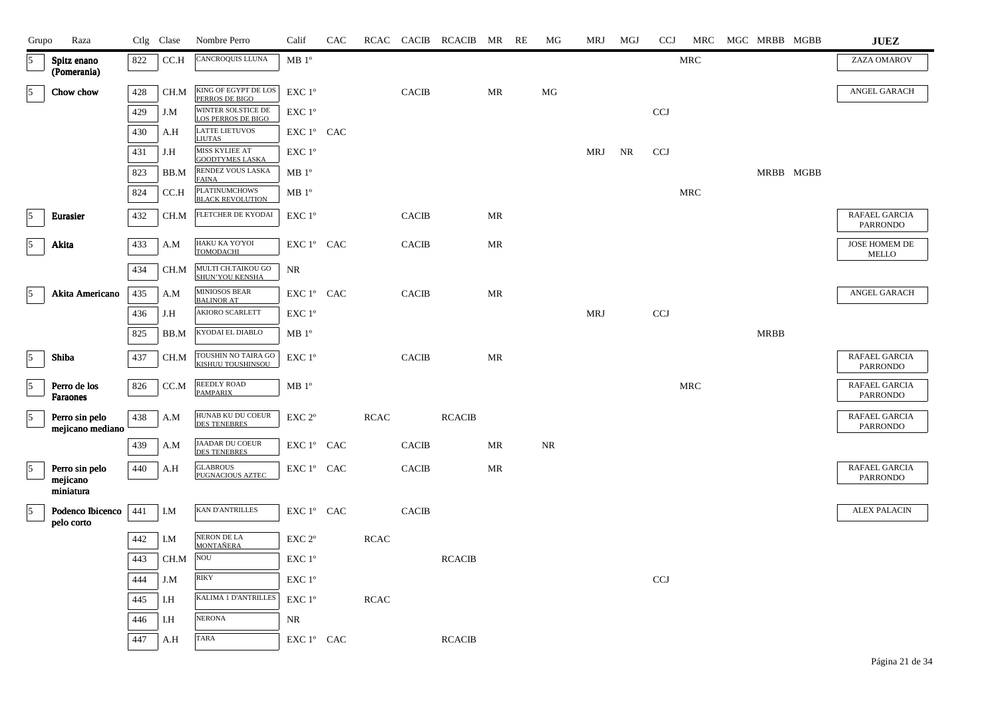| Grupo          | Raza                               |     | Ctlg Clase   | Nombre Perro                                    | Calif                                                              | <b>CAC</b> |             | RCAC CACIB   | RCACIB MR     |    | RE | МG | MRJ        | MGJ | <b>CCJ</b> | MRC        | MGC MRBB MGBB |           | ${\bf JUEZ}$                     |
|----------------|------------------------------------|-----|--------------|-------------------------------------------------|--------------------------------------------------------------------|------------|-------------|--------------|---------------|----|----|----|------------|-----|------------|------------|---------------|-----------|----------------------------------|
| 5              | Spitz enano<br>(Pomerania)         | 822 | CC.H         | CANCROQUIS LLUNA                                | $\rm MB$ $1^{\rm o}$                                               |            |             |              |               |    |    |    |            |     |            | MRC        |               |           | ZAZA OMAROV                      |
| $\sqrt{5}$     | Chow chow                          | 428 | CH.M         | KING OF EGYPT DE LOS<br>PERROS DE BIGO          | EXC 1°                                                             |            |             | <b>CACIB</b> |               | MR |    | MG |            |     |            |            |               |           | ANGEL GARACH                     |
|                |                                    | 429 | J.M          | WINTER SOLSTICE DE<br><b>LOS PERROS DE BIGO</b> | $EXC1^{\circ}$                                                     |            |             |              |               |    |    |    |            |     | <b>CCJ</b> |            |               |           |                                  |
|                |                                    | 430 | A.H          | <b>LATTE LIETUVOS</b><br><b>LIUTAS</b>          | EXC 1° CAC                                                         |            |             |              |               |    |    |    |            |     |            |            |               |           |                                  |
|                |                                    | 431 | $_{\rm J.H}$ | MISS KYLIEE AT<br><b>GOODTYMES LASKA</b>        | EXC 1 <sup>o</sup>                                                 |            |             |              |               |    |    |    | <b>MRJ</b> | NR  | <b>CCJ</b> |            |               |           |                                  |
|                |                                    | 823 | BB.M         | RENDEZ VOUS LASKA<br><b>FAINA</b>               | $\rm MB$ $1^{\rm o}$                                               |            |             |              |               |    |    |    |            |     |            |            |               | MRBB MGBB |                                  |
|                |                                    | 824 | CC.H         | PLATINUMCHOWS<br>BLACK REVOLUTION               | $MB1^{\circ}$                                                      |            |             |              |               |    |    |    |            |     |            | <b>MRC</b> |               |           |                                  |
| $\overline{5}$ | Eurasier                           | 432 | CH.M         | FLETCHER DE KYODAI                              | EXC 1°                                                             |            |             | <b>CACIB</b> |               | MR |    |    |            |     |            |            |               |           | RAFAEL GARCIA<br><b>PARRONDO</b> |
| 5              | Akita                              | 433 | A.M          | HAKU KA YO'YOI<br>TOMODACHI                     | EXC 1° CAC                                                         |            |             | <b>CACIB</b> |               | MR |    |    |            |     |            |            |               |           | JOSE HOMEM DE<br>MELLO           |
|                |                                    | 434 | CH.M         | MULTI CH.TAIKOU GO<br>SHUN'YOU KENSHA           | <b>NR</b>                                                          |            |             |              |               |    |    |    |            |     |            |            |               |           |                                  |
| $\overline{5}$ | Akita Americano                    | 435 | A.M          | MINIOSOS BEAR<br><b>BALINOR AT</b>              | EXC 1° CAC                                                         |            |             | <b>CACIB</b> |               | MR |    |    |            |     |            |            |               |           | ANGEL GARACH                     |
|                |                                    | 436 | J.H          | AKIORO SCARLETT                                 | EXC 1°                                                             |            |             |              |               |    |    |    | <b>MRJ</b> |     | <b>CCJ</b> |            |               |           |                                  |
|                |                                    | 825 | BB.M         | KYODAI EL DIABLO                                | MB 1 <sup>o</sup>                                                  |            |             |              |               |    |    |    |            |     |            |            | <b>MRBB</b>   |           |                                  |
| $\sqrt{5}$     | Shiba                              | 437 | CH.M         | TOUSHIN NO TAIRA GO<br>KISHUU TOUSHINSOU        | EXC 1°                                                             |            |             | <b>CACIB</b> |               | MR |    |    |            |     |            |            |               |           | RAFAEL GARCIA<br><b>PARRONDO</b> |
| $\sqrt{5}$     | Perro de los<br>Faraones           | 826 | CC.M         | REEDLY ROAD<br><b>PAMPARIX</b>                  | MB 1 <sup>o</sup>                                                  |            |             |              |               |    |    |    |            |     |            | MRC        |               |           | RAFAEL GARCIA<br><b>PARRONDO</b> |
| $\vert$ 5      | Perro sin pelo<br>mejicano mediano | 438 | A.M          | HUNAB KU DU COEUR<br><b>DES TENEBRES</b>        | EXC 2°                                                             |            | <b>RCAC</b> |              | <b>RCACIB</b> |    |    |    |            |     |            |            |               |           | RAFAEL GARCIA<br><b>PARRONDO</b> |
|                |                                    | 439 | A.M          | JAADAR DU COEUR<br><b>DES TENEBRES</b>          | EXC 1° CAC                                                         |            |             | <b>CACIB</b> |               | MR |    | NR |            |     |            |            |               |           |                                  |
| $\sqrt{5}$     | Perro sin pelo<br>mejicano         | 440 | A.H          | <b>GLABROUS</b><br>PUGNACIOUS AZTEC             | EXC 1° CAC                                                         |            |             | <b>CACIB</b> |               | MR |    |    |            |     |            |            |               |           | RAFAEL GARCIA<br>PARRONDO        |
|                | miniatura                          |     |              |                                                 |                                                                    |            |             |              |               |    |    |    |            |     |            |            |               |           |                                  |
| $\sqrt{5}$     | Podenco Ibicenco<br>pelo corto     | 441 | I.M          | <b>KAN D'ANTRILLES</b>                          | $\mathop{\rm EXC}\nolimits 1^{\circ }$ $\mathop{\rm CAC}\nolimits$ |            |             | <b>CACIB</b> |               |    |    |    |            |     |            |            |               |           | <b>ALEX PALACIN</b>              |
|                |                                    | 442 | I.M          | NERON DE LA<br><b>MONTAÑERA</b>                 | EXC 2°                                                             |            | <b>RCAC</b> |              |               |    |    |    |            |     |            |            |               |           |                                  |
|                |                                    | 443 | CH.M         | $\rm NOU$                                       | EXC 1 <sup>°</sup>                                                 |            |             |              | <b>RCACIB</b> |    |    |    |            |     |            |            |               |           |                                  |
|                |                                    | 444 | J.M          | <b>RIKY</b>                                     | EXC 1°                                                             |            |             |              |               |    |    |    |            |     | <b>CCJ</b> |            |               |           |                                  |
|                |                                    | 445 | I.H          | KALIMA 1 D'ANTRILLES                            | EXC 1°                                                             |            | <b>RCAC</b> |              |               |    |    |    |            |     |            |            |               |           |                                  |
|                |                                    | 446 | I.H          | <b>NERONA</b>                                   | NR                                                                 |            |             |              |               |    |    |    |            |     |            |            |               |           |                                  |
|                |                                    | 447 | A.H          | <b>TARA</b>                                     | EXC 1° CAC                                                         |            |             |              | <b>RCACIB</b> |    |    |    |            |     |            |            |               |           |                                  |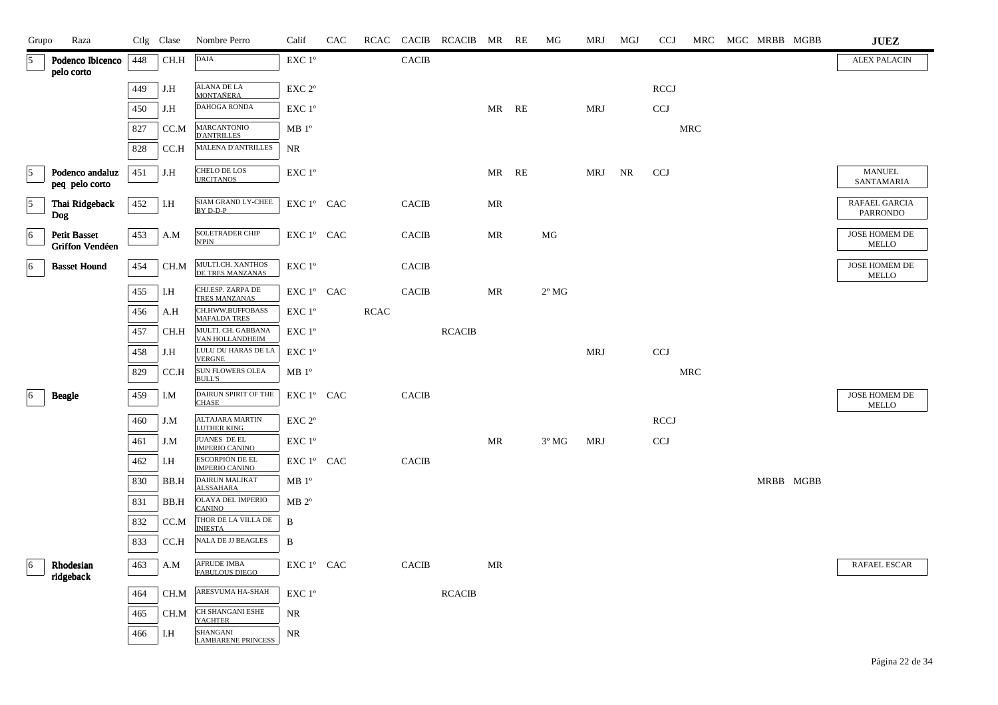| Grupo          | Raza                                   |     | Ctlg Clase | Nombre Perro                                    | Calif                                      | CAC |             |              | RCAC CACIB RCACIB MR RE |       | МG             | MRJ        | MGJ       | <b>CCJ</b>   | MRC        | MGC MRBB MGBB | <b>JUEZ</b>                   |
|----------------|----------------------------------------|-----|------------|-------------------------------------------------|--------------------------------------------|-----|-------------|--------------|-------------------------|-------|----------------|------------|-----------|--------------|------------|---------------|-------------------------------|
| 5              | Podenco Ibicenco<br>pelo corto         | 448 | CH.H       | $\mathbf{DAIA}$                                 | EXC 1°                                     |     |             | CACIB        |                         |       |                |            |           |              |            |               | <b>ALEX PALACIN</b>           |
|                |                                        | 449 | J.H        | <b>ALANA DE LA</b><br><b>MONTAÑERA</b>          | EXC <sub>2°</sub>                          |     |             |              |                         |       |                |            |           | <b>RCCJ</b>  |            |               |                               |
|                |                                        | 450 | J.H        | DAHOGA RONDA                                    | EXC 1°                                     |     |             |              |                         | MR RE |                | <b>MRJ</b> |           | <b>CCJ</b>   |            |               |                               |
|                |                                        | 827 | CC.M       | <b>MARCANTONIO</b><br><b>D'ANTRILLES</b>        | MB 1 <sup>o</sup>                          |     |             |              |                         |       |                |            |           |              | MRC        |               |                               |
|                |                                        | 828 | CC.H       | <b>MALENA D'ANTRILLES</b>                       | NR                                         |     |             |              |                         |       |                |            |           |              |            |               |                               |
| 5              | Podenco andaluz<br>peq pelo corto      | 451 | $J.H$      | CHELO DE LOS<br><b>URCITANOS</b>                | EXC 1°                                     |     |             |              |                         | MR RE |                | MRJ        | <b>NR</b> | <b>CCJ</b>   |            |               | <b>MANUEL</b><br>SANTAMARIA   |
| $\overline{5}$ | Thai Ridgeback<br>Dog                  | 452 | I.H        | <b>SIAM GRAND LY-CHEE</b><br>BY D-D-P           | EXC 1° CAC                                 |     |             | <b>CACIB</b> |                         | MR    |                |            |           |              |            |               | RAFAEL GARCIA<br>PARRONDO     |
| 6              | <b>Petit Basset</b><br>Griffon Vendéen | 453 | A.M        | <b>SOLETRADER CHIP</b><br><b>N'PIN</b>          | EXC 1° CAC                                 |     |             | <b>CACIB</b> |                         | MR    | MG             |            |           |              |            |               | JOSE HOMEM DE<br>MELLO        |
| 6              | <b>Basset Hound</b>                    | 454 | CH.M       | MULTI.CH. XANTHOS<br>DE TRES MANZANAS           | EXC 1°                                     |     |             | <b>CACIB</b> |                         |       |                |            |           |              |            |               | JOSE HOMEM DE<br>MELLO        |
|                |                                        | 455 | I.H        | CHJ.ESP. ZARPA DE<br>TRES MANZANAS              | EXC 1° CAC                                 |     |             | CACIB        |                         | MR    | $2^{\circ}$ MG |            |           |              |            |               |                               |
|                |                                        | 456 | A.H        | CH.HWW.BUFFOBASS<br><b>MAFALDA TRES</b>         | EXC 1°                                     |     | <b>RCAC</b> |              |                         |       |                |            |           |              |            |               |                               |
|                |                                        | 457 | CH.H       | MULTI. CH. GABBANA<br>VAN HOLLANDHEIM           | EXC 1 <sup>°</sup>                         |     |             |              | <b>RCACIB</b>           |       |                |            |           |              |            |               |                               |
|                |                                        | 458 | J.H        | LULU DU HARAS DE LA<br><b>VERGNE</b>            | EXC 1°                                     |     |             |              |                         |       |                | MRJ        |           | CCJ          |            |               |                               |
|                |                                        | 829 | CC.H       | <b>SUN FLOWERS OLEA</b><br><b>BULL'S</b>        | $MB1^{\circ}$                              |     |             |              |                         |       |                |            |           |              | <b>MRC</b> |               |                               |
| 6              | <b>Beagle</b>                          | 459 | I.M        | DAIRUN SPIRIT OF THE<br><b>CHASE</b>            | EXC 1° CAC                                 |     |             | <b>CACIB</b> |                         |       |                |            |           |              |            |               | JOSE HOMEM DE<br><b>MELLO</b> |
|                |                                        | 460 | J.M        | ALTAJARA MARTIN<br><b>LUTHER KING</b>           | EXC <sub>2°</sub>                          |     |             |              |                         |       |                |            |           | <b>RCCJ</b>  |            |               |                               |
|                |                                        | 461 | J.M        | JUANES DE EL<br><b>IMPERIO CANINO</b>           | $\ensuremath{\mathrm{EXC}}$ $1^\mathrm{o}$ |     |             |              |                         | MR    | $3^{\circ}$ MG | MRJ        |           | $_{\rm CCJ}$ |            |               |                               |
|                |                                        | 462 | I.H        | <b>ESCORPIÓN DE EL</b><br><b>IMPERIO CANINO</b> | EXC 1° CAC                                 |     |             | <b>CACIB</b> |                         |       |                |            |           |              |            |               |                               |
|                |                                        | 830 | BB.H       | DAIRUN MALIKAT<br><b>ALSSAHARA</b>              | MB 1 <sup>o</sup>                          |     |             |              |                         |       |                |            |           |              |            | MRBB MGBB     |                               |
|                |                                        | 831 | BB.H       | OLAYA DEL IMPERIO<br><b>CANINO</b>              | $MB 2^{\circ}$                             |     |             |              |                         |       |                |            |           |              |            |               |                               |
|                |                                        | 832 | CC.M       | THOR DE LA VILLA DE<br><b>INIESTA</b>           | B                                          |     |             |              |                         |       |                |            |           |              |            |               |                               |
|                |                                        | 833 | CC.H       | NALA DE JJ BEAGLES                              | B                                          |     |             |              |                         |       |                |            |           |              |            |               |                               |
| $ 6\rangle$    | Rhodesian<br>ridgeback                 | 463 | A.M        | AFRUDE IMBA<br>FABULOUS DIEGO                   | EXC 1° CAC                                 |     |             | <b>CACIB</b> |                         | MR    |                |            |           |              |            |               | RAFAEL ESCAR                  |
|                |                                        | 464 | CH.M       | ARESVUMA HA-SHAH                                | EXC 1°                                     |     |             |              | <b>RCACIB</b>           |       |                |            |           |              |            |               |                               |
|                |                                        | 465 | CH.M       | CH SHANGANI ESHE<br><b>YACHTER</b>              | NR                                         |     |             |              |                         |       |                |            |           |              |            |               |                               |
|                |                                        | 466 | I.H        | SHANGANI<br><b>LAMBARENE PRINCESS</b>           | NR                                         |     |             |              |                         |       |                |            |           |              |            |               |                               |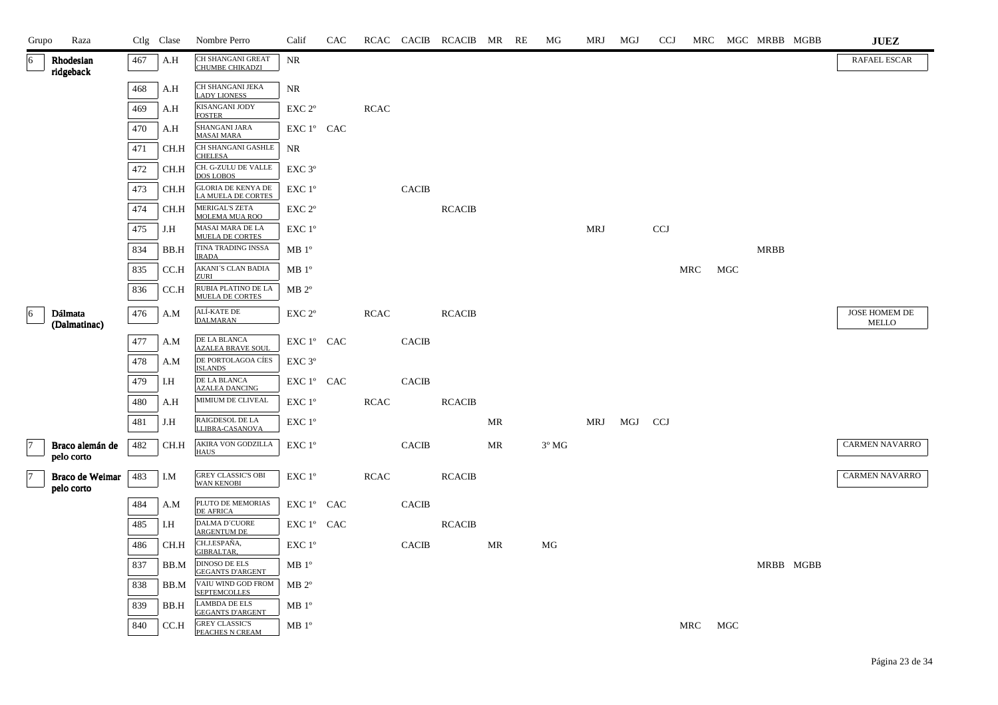| Grupo | Raza                          |     | Ctlg Clase | Nombre Perro                                    | Calif                            | CAC |             |              | RCAC CACIB RCACIB MR RE |    | МG             | MRJ        | MGJ | <b>CCJ</b> |     |     | MRC MGC MRBB MGBB |           | <b>JUEZ</b>            |
|-------|-------------------------------|-----|------------|-------------------------------------------------|----------------------------------|-----|-------------|--------------|-------------------------|----|----------------|------------|-----|------------|-----|-----|-------------------|-----------|------------------------|
| 16    | Rhodesian<br>ridgeback        | 467 | A.H        | <b>CH SHANGANI GREAT</b><br>CHUMBE CHIKADZI     | <b>NR</b>                        |     |             |              |                         |    |                |            |     |            |     |     |                   |           | RAFAEL ESCAR           |
|       |                               | 468 | A.H        | CH SHANGANI JEKA<br><b>LADY LIONESS</b>         | $\rm NR$                         |     |             |              |                         |    |                |            |     |            |     |     |                   |           |                        |
|       |                               | 469 | A.H        | KISANGANI JODY<br><b>FOSTER</b>                 | EXC <sub>2°</sub>                |     | <b>RCAC</b> |              |                         |    |                |            |     |            |     |     |                   |           |                        |
|       |                               | 470 | A.H        | SHANGANI JARA<br><b>MASAI MARA</b>              | EXC 1° CAC                       |     |             |              |                         |    |                |            |     |            |     |     |                   |           |                        |
|       |                               | 471 | CH.H       | CH SHANGANI GASHLE<br><b>CHELESA</b>            | NR                               |     |             |              |                         |    |                |            |     |            |     |     |                   |           |                        |
|       |                               | 472 | CH.H       | CH. G-ZULU DE VALLE<br><b>DOS LOBOS</b>         | EXC <sub>3°</sub>                |     |             |              |                         |    |                |            |     |            |     |     |                   |           |                        |
|       |                               | 473 | CH.H       | <b>GLORIA DE KENYA DE</b><br>LA MUELA DE CORTES | EXC 1°                           |     |             | <b>CACIB</b> |                         |    |                |            |     |            |     |     |                   |           |                        |
|       |                               | 474 | CH.H       | MERIGAL'S ZETA<br>MOLEMA MUA ROO                | EXC 2°                           |     |             |              | <b>RCACIB</b>           |    |                |            |     |            |     |     |                   |           |                        |
|       |                               | 475 | J.H        | MASAI MARA DE LA<br><b>MUELA DE CORTES</b>      | $EXC1^{\circ}$                   |     |             |              |                         |    |                | <b>MRJ</b> |     | <b>CCJ</b> |     |     |                   |           |                        |
|       |                               | 834 | BB.H       | TINA TRADING INSSA<br><b>IRADA</b>              | $MB1^{\circ}$                    |     |             |              |                         |    |                |            |     |            |     |     | <b>MRBB</b>       |           |                        |
|       |                               | 835 | CC.H       | AKANI'S CLAN BADIA<br><b>ZURI</b>               | $MB1^{\circ}$                    |     |             |              |                         |    |                |            |     |            | MRC | MGC |                   |           |                        |
|       |                               | 836 | CC.H       | RUBIA PLATINO DE LA<br><b>MUELA DE CORTES</b>   | $MB 2^{\circ}$                   |     |             |              |                         |    |                |            |     |            |     |     |                   |           |                        |
| 6     | Dálmata<br>(Dalmatinac)       | 476 | A.M        | ALÍ-KATE DE<br><b>DALMARAN</b>                  | EXC 2°                           |     | <b>RCAC</b> |              | <b>RCACIB</b>           |    |                |            |     |            |     |     |                   |           | JOSE HOMEM DE<br>MELLO |
|       |                               | 477 | A.M        | $\rm DE$ LA BLANCA<br><b>AZALEA BRAVE SOUL</b>  | EXC 1° CAC                       |     |             | CACIB        |                         |    |                |            |     |            |     |     |                   |           |                        |
|       |                               | 478 | A.M        | DE PORTOLAGOA CÍES<br><b>ISLANDS</b>            | EXC 3 <sup>o</sup>               |     |             |              |                         |    |                |            |     |            |     |     |                   |           |                        |
|       |                               | 479 | I.H        | DE LA BLANCA<br><b>AZALEA DANCING</b>           | ${\rm EXC}$ $1^{\circ}$ $\;$ CAC |     |             | <b>CACIB</b> |                         |    |                |            |     |            |     |     |                   |           |                        |
|       |                               | 480 | A.H        | MIMIUM DE CLIVEAL                               | EXC 1°                           |     | <b>RCAC</b> |              | <b>RCACIB</b>           |    |                |            |     |            |     |     |                   |           |                        |
|       |                               | 481 | J.H        | RAIGDESOL DE LA<br>LLIBRA-CASANOVA              | EXC 1°                           |     |             |              |                         | MR |                | MRJ        | MGJ | <b>CCJ</b> |     |     |                   |           |                        |
|       | Braco alemán de<br>pelo corto | 482 | CH.H       | AKIRA VON GODZILLA<br><b>HAUS</b>               | EXC 1°                           |     |             | <b>CACIB</b> |                         | MR | $3^{\circ}$ MG |            |     |            |     |     |                   |           | CARMEN NAVARRO         |
| 7     | Braco de Weimar<br>pelo corto | 483 | I.M        | <b>GREY CLASSIC'S OBI</b><br><b>WAN KENOBI</b>  | EXC 1°                           |     | <b>RCAC</b> |              | <b>RCACIB</b>           |    |                |            |     |            |     |     |                   |           | <b>CARMEN NAVARRO</b>  |
|       |                               | 484 | A.M        | PLUTO DE MEMORIAS<br><b>DE AFRICA</b>           | EXC 1° CAC                       |     |             | <b>CACIB</b> |                         |    |                |            |     |            |     |     |                   |           |                        |
|       |                               | 485 | I.H        | DALMA D'CUORE<br><b>ARGENTUM DE</b>             | EXC 1° CAC                       |     |             |              | <b>RCACIB</b>           |    |                |            |     |            |     |     |                   |           |                        |
|       |                               | 486 | CH.H       | CH.J.ESPAÑA,<br>GIBRALTAR,                      | EXC 1°                           |     |             | <b>CACIB</b> |                         | MR | MG             |            |     |            |     |     |                   |           |                        |
|       |                               | 837 | BB.M       | DINOSO DE ELS<br><b>GEGANTS D'ARGENT</b>        | MB 1 <sup>o</sup>                |     |             |              |                         |    |                |            |     |            |     |     |                   | MRBB MGBB |                        |
|       |                               | 838 | BB.M       | VAIU WIND GOD FROM<br><b>SEPTEMCOLLES</b>       | $MB 2^{\circ}$                   |     |             |              |                         |    |                |            |     |            |     |     |                   |           |                        |
|       |                               | 839 | BB.H       | <b>LAMBDA DE ELS</b><br><b>GEGANTS D'ARGENT</b> | MB1°                             |     |             |              |                         |    |                |            |     |            |     |     |                   |           |                        |
|       |                               | 840 | CC.H       | <b>GREY CLASSIC'S</b><br>PEACHES N CREAM        | MB1°                             |     |             |              |                         |    |                |            |     |            | MRC | MGC |                   |           |                        |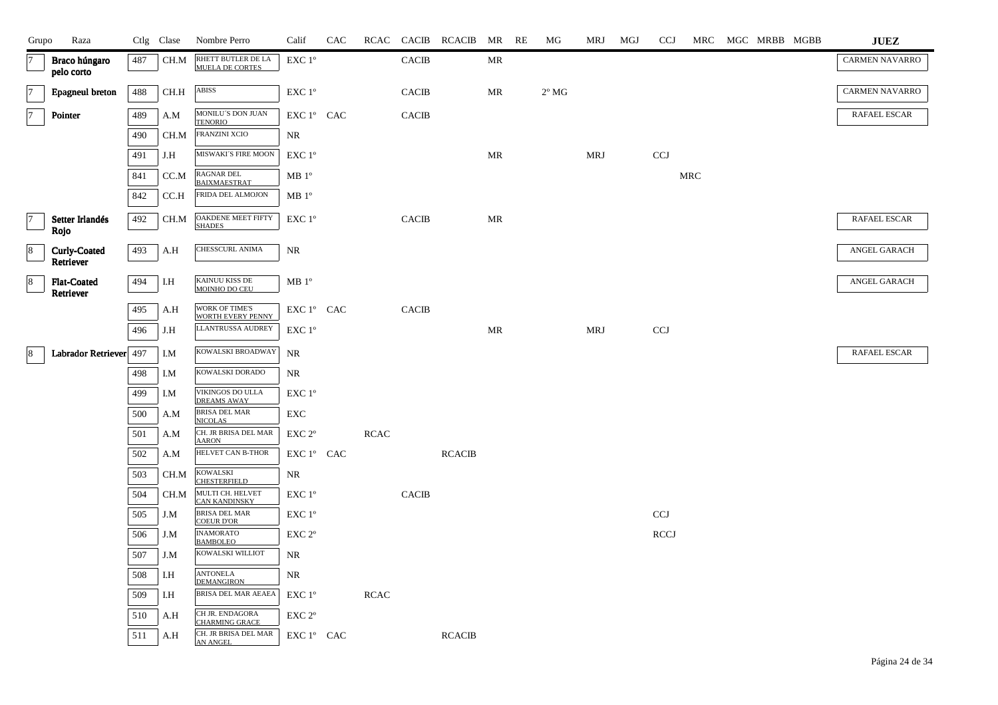| Grupo          | Raza                             |     | Ctlg Clase | Nombre Perro                              | Calif             | CAC |             |              | RCAC CACIB RCACIB MR RE |    | MG             | MRJ | MGJ | <b>CCJ</b>                |     | MRC MGC MRBB MGBB | <b>JUEZ</b>           |
|----------------|----------------------------------|-----|------------|-------------------------------------------|-------------------|-----|-------------|--------------|-------------------------|----|----------------|-----|-----|---------------------------|-----|-------------------|-----------------------|
| 7              | Braco húngaro<br>pelo corto      | 487 | CH.M       | RHETT BUTLER DE LA<br>MUELA DE CORTES     | EXC 1°            |     |             | <b>CACIB</b> |                         | MR |                |     |     |                           |     |                   | <b>CARMEN NAVARRO</b> |
| $\overline{7}$ | Epagneul breton                  | 488 | CH.H       | ABISS                                     | EXC 1°            |     |             | <b>CACIB</b> |                         | MR | $2^{\circ}$ MG |     |     |                           |     |                   | <b>CARMEN NAVARRO</b> |
| $\overline{7}$ | Pointer                          | 489 | A.M        | MONILU'S DON JUAN<br><b>TENORIO</b>       | EXC 1° CAC        |     |             | <b>CACIB</b> |                         |    |                |     |     |                           |     |                   | RAFAEL ESCAR          |
|                |                                  | 490 | CH.M       | FRANZINI XCIO                             | NR                |     |             |              |                         |    |                |     |     |                           |     |                   |                       |
|                |                                  | 491 | J.H        | MISWAKI'S FIRE MOON                       | EXC 1°            |     |             |              |                         | MR |                | MRJ |     | CCJ                       |     |                   |                       |
|                |                                  | 841 | CC.M       | <b>RAGNAR DEL</b><br><b>BAIXMAESTRAT</b>  | $MB1^{\circ}$     |     |             |              |                         |    |                |     |     |                           | MRC |                   |                       |
|                |                                  | 842 | CC.H       | FRIDA DEL ALMOJON                         | $MB1^{\circ}$     |     |             |              |                         |    |                |     |     |                           |     |                   |                       |
| 7              | Setter Irlandés<br>Rojo          | 492 | CH.M       | OAKDENE MEET FIFTY<br><b>SHADES</b>       | EXC 1°            |     |             | <b>CACIB</b> |                         | MR |                |     |     |                           |     |                   | RAFAEL ESCAR          |
| 8              | <b>Curly-Coated</b><br>Retriever | 493 | A.H        | CHESSCURL ANIMA                           | NR                |     |             |              |                         |    |                |     |     |                           |     |                   | ANGEL GARACH          |
| $\bf 8$        | <b>Flat-Coated</b><br>Retriever  | 494 | I.H        | KAINUU KISS DE<br>MOINHO DO CEU           | MB 1 <sup>o</sup> |     |             |              |                         |    |                |     |     |                           |     |                   | ANGEL GARACH          |
|                |                                  | 495 | A.H        | WORK OF TIME'S<br>WORTH EVERY PENNY       | EXC 1° CAC        |     |             | <b>CACIB</b> |                         |    |                |     |     |                           |     |                   |                       |
|                |                                  | 496 | J.H        | <b>LLANTRUSSA AUDREY</b>                  | EXC 1°            |     |             |              |                         | MR |                | MRJ |     | <b>CCJ</b>                |     |                   |                       |
| 8              | Labrador Retriever 497           |     | I.M        | KOWALSKI BROADWAY                         | NR                |     |             |              |                         |    |                |     |     |                           |     |                   | RAFAEL ESCAR          |
|                |                                  | 498 | I.M        | KOWALSKI DORADO                           | NR                |     |             |              |                         |    |                |     |     |                           |     |                   |                       |
|                |                                  | 499 | I.M        | VIKINGOS DO ULLA<br><b>DREAMS AWAY</b>    | EXC 1°            |     |             |              |                         |    |                |     |     |                           |     |                   |                       |
|                |                                  | 500 | A.M        | BRISA DEL MAR<br><b>NICOLAS</b>           | EXC               |     |             |              |                         |    |                |     |     |                           |     |                   |                       |
|                |                                  | 501 | A.M        | CH. JR BRISA DEL MAR<br><b>AARON</b>      | EXC 2°            |     | <b>RCAC</b> |              |                         |    |                |     |     |                           |     |                   |                       |
|                |                                  | 502 | A.M        | <b>HELVET CAN B-THOR</b>                  | EXC 1° CAC        |     |             |              | <b>RCACIB</b>           |    |                |     |     |                           |     |                   |                       |
|                |                                  | 503 | CH.M       | <b>KOWALSKI</b><br><b>CHESTERFIELD</b>    | NR                |     |             |              |                         |    |                |     |     |                           |     |                   |                       |
|                |                                  | 504 | CH.M       | MULTI CH. HELVET<br><b>CAN KANDINSKY</b>  | EXC 1°            |     |             | <b>CACIB</b> |                         |    |                |     |     |                           |     |                   |                       |
|                |                                  | 505 | J.M        | <b>BRISA DEL MAR</b><br><b>COEUR D'OR</b> | EXC 1°            |     |             |              |                         |    |                |     |     | $\ensuremath{\text{CCJ}}$ |     |                   |                       |
|                |                                  | 506 | J.M        | <b>INAMORATO</b><br><b>BAMBOLEO</b>       | EXC <sub>2°</sub> |     |             |              |                         |    |                |     |     | <b>RCCJ</b>               |     |                   |                       |
|                |                                  | 507 | J.M        | KOWALSKI WILLIOT                          | NR                |     |             |              |                         |    |                |     |     |                           |     |                   |                       |
|                |                                  | 508 | I.H        | <b>ANTONELA</b><br><b>DEMANGIRON</b>      | NR                |     |             |              |                         |    |                |     |     |                           |     |                   |                       |
|                |                                  | 509 | I.H        | BRISA DEL MAR AEAEA                       | EXC 1°            |     | <b>RCAC</b> |              |                         |    |                |     |     |                           |     |                   |                       |
|                |                                  | 510 | A.H        | CH JR. ENDAGORA<br><b>CHARMING GRACE</b>  | EXC <sub>2°</sub> |     |             |              |                         |    |                |     |     |                           |     |                   |                       |
|                |                                  | 511 | A.H        | CH. JR BRISA DEL MAR<br>AN ANGEL          | EXC 1° CAC        |     |             |              | <b>RCACIB</b>           |    |                |     |     |                           |     |                   |                       |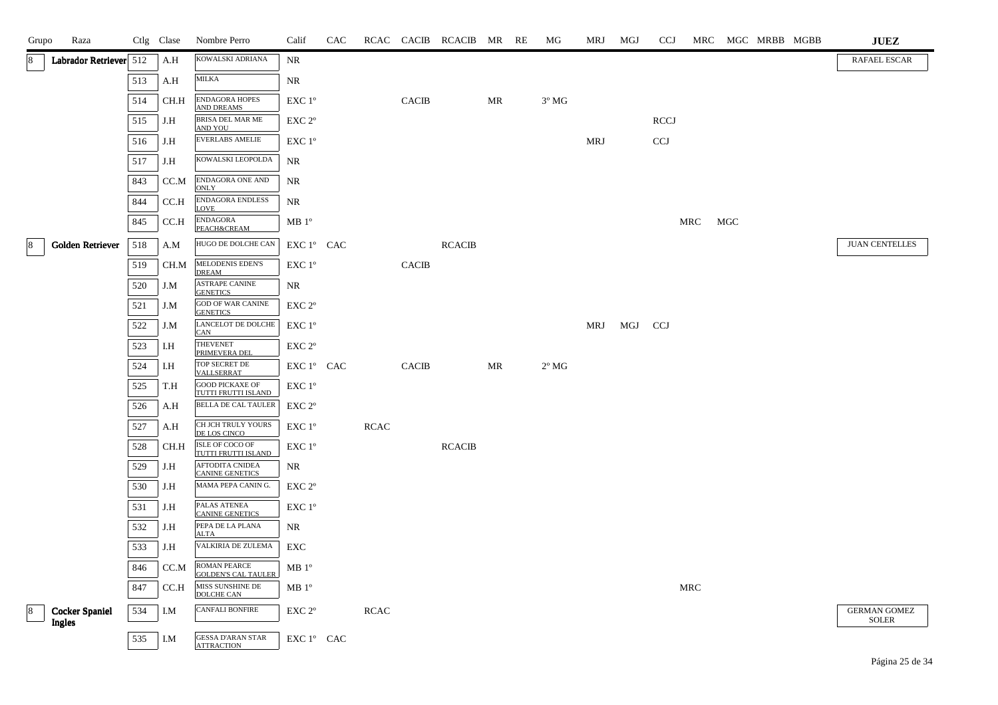| Grupo                   | Raza                            | Ctlg Clase |      | Nombre Perro                                      | Calif              | CAC |             |              | RCAC CACIB RCACIB MR RE |    | МG             | MRJ        | MGJ     | <b>CCJ</b>  |     |     | MRC MGC MRBB MGBB | <b>JUEZ</b>                         |
|-------------------------|---------------------------------|------------|------|---------------------------------------------------|--------------------|-----|-------------|--------------|-------------------------|----|----------------|------------|---------|-------------|-----|-----|-------------------|-------------------------------------|
| 8                       | Labrador Retriever 512          |            | A.H  | KOWALSKI ADRIANA                                  | NR                 |     |             |              |                         |    |                |            |         |             |     |     |                   | RAFAEL ESCAR                        |
|                         |                                 | 513        | A.H  | MILKA                                             | NR                 |     |             |              |                         |    |                |            |         |             |     |     |                   |                                     |
|                         |                                 | 514        | CH.H | ENDAGORA HOPES<br><b>AND DREAMS</b>               | $EXC1^{\circ}$     |     |             | <b>CACIB</b> |                         | MR | $3^{\circ}$ MG |            |         |             |     |     |                   |                                     |
|                         |                                 | 515        | J.H  | BRISA DEL MAR ME<br>AND YOU                       | EXC 2 <sup>o</sup> |     |             |              |                         |    |                |            |         | <b>RCCJ</b> |     |     |                   |                                     |
|                         |                                 | 516        | J.H  | EVERLABS AMELIE                                   | $EXC1^{\circ}$     |     |             |              |                         |    |                | <b>MRJ</b> |         | <b>CCJ</b>  |     |     |                   |                                     |
|                         |                                 | 517        | J.H  | KOWALSKI LEOPOLDA                                 | NR                 |     |             |              |                         |    |                |            |         |             |     |     |                   |                                     |
|                         |                                 | 843        | CC.M | ENDAGORA ONE AND<br><b>ONLY</b>                   | NR                 |     |             |              |                         |    |                |            |         |             |     |     |                   |                                     |
|                         |                                 | 844        | CC.H | ENDAGORA ENDLESS<br><b>LOVE</b>                   | NR                 |     |             |              |                         |    |                |            |         |             |     |     |                   |                                     |
|                         |                                 | 845        | CC.H | <b>ENDAGORA</b><br><b>PEACH&amp;CREAM</b>         | MB 1 <sup>o</sup>  |     |             |              |                         |    |                |            |         |             | MRC | MGC |                   |                                     |
| 8                       | Golden Retriever                | 518        | A.M  | HUGO DE DOLCHE CAN                                | EXC 1° CAC         |     |             |              | <b>RCACIB</b>           |    |                |            |         |             |     |     |                   | <b>JUAN CENTELLES</b>               |
|                         |                                 | 519        | CH.M | MELODENIS EDEN'S<br><b>DREAM</b>                  | EXC 1 <sup>°</sup> |     |             | <b>CACIB</b> |                         |    |                |            |         |             |     |     |                   |                                     |
|                         |                                 | 520        | J.M  | ASTRAPE CANINE<br><b>GENETICS</b>                 | NR                 |     |             |              |                         |    |                |            |         |             |     |     |                   |                                     |
|                         |                                 | 521        | J.M  | <b>GOD OF WAR CANINE</b><br><b>GENETICS</b>       | EXC 2 <sup>o</sup> |     |             |              |                         |    |                |            |         |             |     |     |                   |                                     |
|                         |                                 | 522        | J.M  | LANCELOT DE DOLCHE<br><b>CAN</b>                  | EXC 1°             |     |             |              |                         |    |                | MRJ        | MGJ CCJ |             |     |     |                   |                                     |
|                         |                                 | 523        | I.H  | THEVENET<br>PRIMEVERA DEL                         | EXC 2°             |     |             |              |                         |    |                |            |         |             |     |     |                   |                                     |
|                         |                                 | 524        | I.H  | TOP SECRET DE<br>VALLSERRAT                       | EXC 1° CAC         |     |             | <b>CACIB</b> |                         | MR | $2^{\circ}$ MG |            |         |             |     |     |                   |                                     |
|                         |                                 | 525        | T.H  | <b>GOOD PICKAXE OF</b><br>TUTTI FRUTTI ISLAND     | EXC 1°             |     |             |              |                         |    |                |            |         |             |     |     |                   |                                     |
|                         |                                 | 526        | A.H  | <b>BELLA DE CAL TAULER</b>                        | EXC 2 <sup>o</sup> |     |             |              |                         |    |                |            |         |             |     |     |                   |                                     |
|                         |                                 | 527        | A.H  | CH JCH TRULY YOURS<br>DE LOS CINCO                | EXC 1°             |     | RCAC        |              |                         |    |                |            |         |             |     |     |                   |                                     |
|                         |                                 | 528        | CH.H | ISLE OF COCO OF<br>TUTTI FRUTTI ISLAND            | EXC 1°             |     |             |              | <b>RCACIB</b>           |    |                |            |         |             |     |     |                   |                                     |
|                         |                                 | 529        | J.H  | AFTODITA CNIDEA<br><b>CANINE GENETICS</b>         | NR                 |     |             |              |                         |    |                |            |         |             |     |     |                   |                                     |
|                         |                                 | 530        | J.H  | MAMA PEPA CANIN G.                                | EXC 2 <sup>o</sup> |     |             |              |                         |    |                |            |         |             |     |     |                   |                                     |
|                         |                                 | 531        | J.H  | PALAS ATENEA<br><b>CANINE GENETICS</b>            | EXC 1°             |     |             |              |                         |    |                |            |         |             |     |     |                   |                                     |
|                         |                                 | 532        | J.H  | PEPA DE LA PLANA<br><b>ALTA</b>                   | NR                 |     |             |              |                         |    |                |            |         |             |     |     |                   |                                     |
|                         |                                 | 533        | J.H  | VALKIRIA DE ZULEMA                                | EXC                |     |             |              |                         |    |                |            |         |             |     |     |                   |                                     |
|                         |                                 | 846        | CC.M | <b>ROMAN PEARCE</b><br><b>GOLDEN'S CAL TAULER</b> | MB 1 <sup>o</sup>  |     |             |              |                         |    |                |            |         |             |     |     |                   |                                     |
|                         |                                 | 847        | CC.H | MISS SUNSHINE DE<br><b>DOLCHE CAN</b>             | MB 1 <sup>o</sup>  |     |             |              |                         |    |                |            |         |             | MRC |     |                   |                                     |
| $\overline{\mathbf{8}}$ | <b>Cocker Spaniel</b><br>Ingles | 534        | I.M  | <b>CANFALI BONFIRE</b>                            | EXC 2°             |     | <b>RCAC</b> |              |                         |    |                |            |         |             |     |     |                   | <b>GERMAN GOMEZ</b><br><b>SOLER</b> |
|                         |                                 | 535        | I.M  | <b>GESSA D'ARAN STAR</b><br><b>ATTRACTION</b>     | EXC 1° CAC         |     |             |              |                         |    |                |            |         |             |     |     |                   |                                     |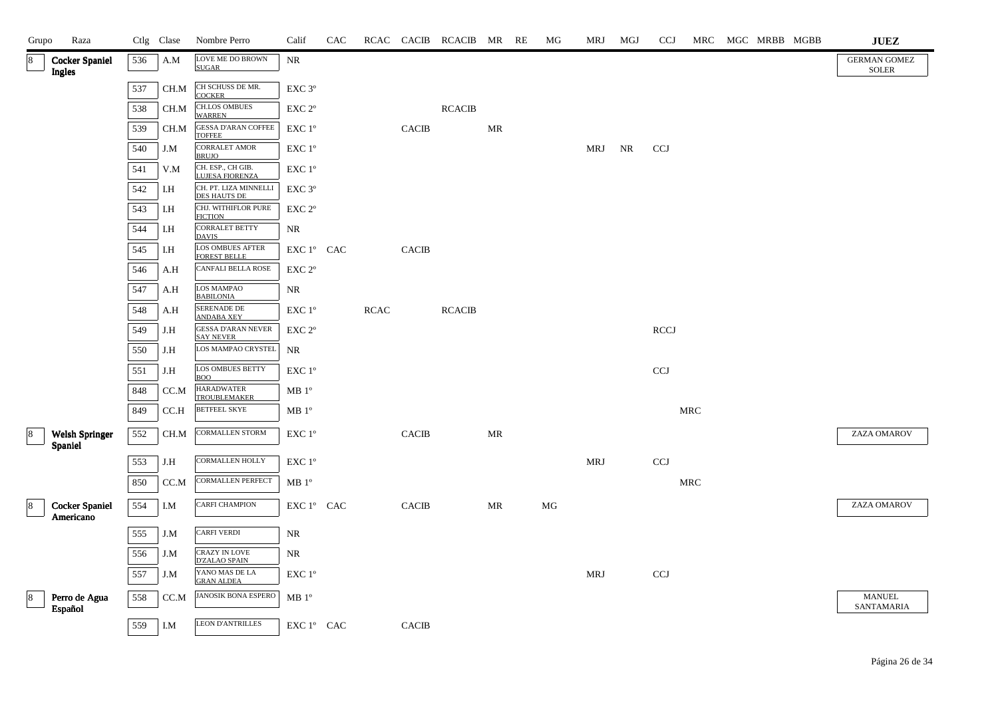| Grupo | Raza                               |     | Ctlg Clase   | Nombre Perro                                  | Calif                                        | CAC |             |                        | RCAC CACIB RCACIB MR RE |    | МG | <b>MRJ</b> | MGJ | <b>CCJ</b>                |                      | MRC MGC MRBB MGBB | ${\bf JUEZ}$                        |
|-------|------------------------------------|-----|--------------|-----------------------------------------------|----------------------------------------------|-----|-------------|------------------------|-------------------------|----|----|------------|-----|---------------------------|----------------------|-------------------|-------------------------------------|
|       | <b>Cocker Spaniel</b><br>Ingles    | 536 | A.M          | LOVE ME DO BROWN<br><b>SUGAR</b>              | NR                                           |     |             |                        |                         |    |    |            |     |                           |                      |                   | <b>GERMAN GOMEZ</b><br><b>SOLER</b> |
|       |                                    | 537 | CH.M         | CH SCHUSS DE MR.<br><b>COCKER</b>             | $\ensuremath{\mathrm{EXC}}$ $3^{\mathrm{o}}$ |     |             |                        |                         |    |    |            |     |                           |                      |                   |                                     |
|       |                                    | 538 | $\rm CH.M$   | CH.LOS OMBUES<br><b>WARREN</b>                | $\ensuremath{\mathrm{EXC}}$ $2^{\mathrm{o}}$ |     |             |                        | <b>RCACIB</b>           |    |    |            |     |                           |                      |                   |                                     |
|       |                                    | 539 | CH.M         | <b>GESSA D'ARAN COFFEE</b><br><b>TOFFEE</b>   | EXC 1°                                       |     |             | <b>CACIB</b>           |                         | MR |    |            |     |                           |                      |                   |                                     |
|       |                                    | 540 | J.M          | <b>CORRALET AMOR</b><br><b>BRUJO</b>          | EXC 1°                                       |     |             |                        |                         |    |    | MRJ        | NR  | <b>CCJ</b>                |                      |                   |                                     |
|       |                                    | 541 | V.M          | CH. ESP., CH GIB.<br><b>LUJESA FIORENZA</b>   | $\ensuremath{\mathrm{EXC}}$ $1^{\mathrm{o}}$ |     |             |                        |                         |    |    |            |     |                           |                      |                   |                                     |
|       |                                    | 542 | I.H          | CH. PT. LIZA MINNELLI<br><b>DES HAUTS DE</b>  | EXC 3°                                       |     |             |                        |                         |    |    |            |     |                           |                      |                   |                                     |
|       |                                    | 543 | I.H          | CHJ. WITHIFLOR PURE<br><b>FICTION</b>         | $\ensuremath{\mathrm{EXC}}$ $2^{\mathrm{o}}$ |     |             |                        |                         |    |    |            |     |                           |                      |                   |                                     |
|       |                                    | 544 | I.H          | <b>CORRALET BETTY</b><br><b>DAVIS</b>         | NR                                           |     |             |                        |                         |    |    |            |     |                           |                      |                   |                                     |
|       |                                    | 545 | I.H          | LOS OMBUES AFTER<br><b>FOREST BELLE</b>       | EXC 1° CAC                                   |     |             | <b>CACIB</b>           |                         |    |    |            |     |                           |                      |                   |                                     |
|       |                                    | 546 | A.H          | <b>CANFALI BELLA ROSE</b>                     | $\ensuremath{\mathrm{EXC}}$ $2^{\mathrm{o}}$ |     |             |                        |                         |    |    |            |     |                           |                      |                   |                                     |
|       |                                    | 547 | A.H          | <b>LOS MAMPAO</b><br><b>BABILONIA</b>         | NR                                           |     |             |                        |                         |    |    |            |     |                           |                      |                   |                                     |
|       |                                    | 548 | A.H          | <b>SERENADE DE</b><br><b>ANDABA XEY</b>       | EXC 1°                                       |     | <b>RCAC</b> |                        | <b>RCACIB</b>           |    |    |            |     |                           |                      |                   |                                     |
|       |                                    | 549 | J.H          | <b>GESSA D'ARAN NEVER</b><br><b>SAY NEVER</b> | $\ensuremath{\mathrm{EXC}}$ $2^{\mathrm{o}}$ |     |             |                        |                         |    |    |            |     | <b>RCCJ</b>               |                      |                   |                                     |
|       |                                    | 550 | J.H          | LOS MAMPAO CRYSTEL                            | <b>NR</b>                                    |     |             |                        |                         |    |    |            |     |                           |                      |                   |                                     |
|       |                                    | 551 | J.H          | LOS OMBUES BETTY<br><b>BOO</b>                | EXC 1°                                       |     |             |                        |                         |    |    |            |     | $\ensuremath{\text{CCJ}}$ |                      |                   |                                     |
|       |                                    | 848 | CC.M         | <b>HARADWATER</b><br><b>TROUBLEMAKER</b>      | $\rm MB$ $1^{\circ}$                         |     |             |                        |                         |    |    |            |     |                           |                      |                   |                                     |
|       |                                    | 849 | CC.H         | <b>BETFEEL SKYE</b>                           | $\rm MB$ $1^{\rm o}$                         |     |             |                        |                         |    |    |            |     |                           | $\operatorname{MRC}$ |                   |                                     |
| 8     | <b>Welsh Springer</b><br>Spaniel   | 552 | CH.M         | CORMALLEN STORM                               | EXC 1°                                       |     |             | <b>CACIB</b>           |                         | MR |    |            |     |                           |                      |                   | ZAZA OMAROV                         |
|       |                                    | 553 | J.H          | CORMALLEN HOLLY                               | EXC 1°                                       |     |             |                        |                         |    |    | <b>MRJ</b> |     | <b>CCJ</b>                |                      |                   |                                     |
|       |                                    | 850 | CC.M         | CORMALLEN PERFECT                             | MB 1 <sup>o</sup>                            |     |             |                        |                         |    |    |            |     |                           | $\operatorname{MRC}$ |                   |                                     |
| 18    | <b>Cocker Spaniel</b><br>Americano | 554 | I.M          | CARFI CHAMPION                                | EXC 1° CAC                                   |     |             | $\operatorname{CACIB}$ |                         | MR | MG |            |     |                           |                      |                   | ZAZA OMAROV                         |
|       |                                    | 555 | J.M          | <b>CARFI VERDI</b>                            | NR                                           |     |             |                        |                         |    |    |            |     |                           |                      |                   |                                     |
|       |                                    | 556 | $_{\rm J.M}$ | CRAZY IN LOVE<br><b>D'ZALAO SPAIN</b>         | NR                                           |     |             |                        |                         |    |    |            |     |                           |                      |                   |                                     |
|       |                                    | 557 | J.M          | YANO MAS DE LA<br><b>GRAN ALDEA</b>           | EXC 1°                                       |     |             |                        |                         |    |    | <b>MRJ</b> |     | CCJ                       |                      |                   |                                     |
|       | Perro de Agua<br>Español           | 558 | CC.M         | JANOSIK BONA ESPERO                           | MB 1 <sup>o</sup>                            |     |             |                        |                         |    |    |            |     |                           |                      |                   | MANUEL<br>SANTAMARIA                |
|       |                                    | 559 | I.M          | <b>LEON D'ANTRILLES</b>                       | EXC 1° CAC                                   |     |             | <b>CACIB</b>           |                         |    |    |            |     |                           |                      |                   |                                     |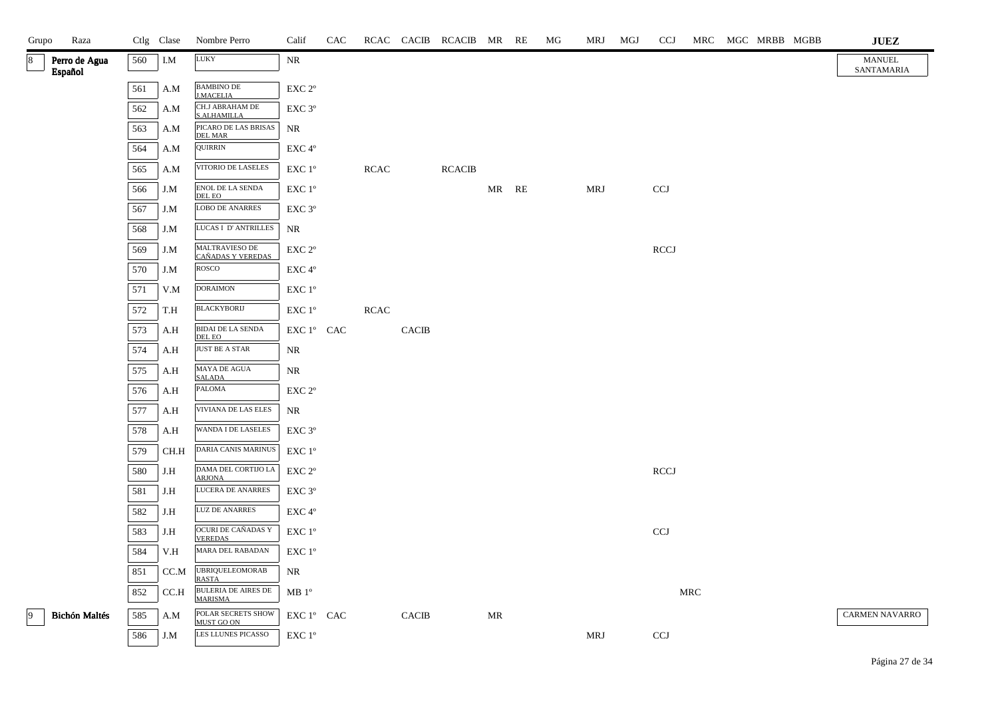| Grupo | Raza                     |     | Ctlg Clase              | Nombre Perro                                 | Calif                                       | CAC |             |              | RCAC CACIB RCACIB MR RE |       | МG | MRJ | MGJ | <b>CCJ</b>   |     | MRC MGC MRBB MGBB | ${\bf JUEZ}$                |
|-------|--------------------------|-----|-------------------------|----------------------------------------------|---------------------------------------------|-----|-------------|--------------|-------------------------|-------|----|-----|-----|--------------|-----|-------------------|-----------------------------|
| 8     | Perro de Agua<br>Español | 560 | $I.M$                   | <b>LUKY</b>                                  | NR                                          |     |             |              |                         |       |    |     |     |              |     |                   | <b>MANUEL</b><br>SANTAMARIA |
|       |                          | 561 | A.M                     | <b>BAMBINO DE</b><br><b>J.MACELIA</b>        | EXC 2°                                      |     |             |              |                         |       |    |     |     |              |     |                   |                             |
|       |                          | 562 | A.M                     | CH.J ABRAHAM DE<br>S.ALHAMILLA               | EXC 3°                                      |     |             |              |                         |       |    |     |     |              |     |                   |                             |
|       |                          | 563 | A.M                     | PICARO DE LAS BRISAS<br><b>DEL MAR</b>       | NR                                          |     |             |              |                         |       |    |     |     |              |     |                   |                             |
|       |                          | 564 | A.M                     | QUIRRIN                                      | EXC 4°                                      |     |             |              |                         |       |    |     |     |              |     |                   |                             |
|       |                          | 565 | A.M                     | VITORIO DE LASELES                           | EXC 1 <sup>o</sup>                          |     | <b>RCAC</b> |              | <b>RCACIB</b>           |       |    |     |     |              |     |                   |                             |
|       |                          | 566 | J.M                     | ${\rm ENOL}$ DE LA SENDA<br>DEL EO           | EXC 1 <sup>o</sup>                          |     |             |              |                         | MR RE |    | MRJ |     | CCJ          |     |                   |                             |
|       |                          | 567 | J.M                     | <b>LOBO DE ANARRES</b>                       | EXC 3 <sup>o</sup>                          |     |             |              |                         |       |    |     |     |              |     |                   |                             |
|       |                          | 568 | J.M                     | LUCAS I D'ANTRILLES                          | $\rm NR$                                    |     |             |              |                         |       |    |     |     |              |     |                   |                             |
|       |                          | 569 | $_{\rm J.M}$            | MALTRAVIESO DE<br>CAÑADAS Y VEREDAS          | EXC 2°                                      |     |             |              |                         |       |    |     |     | <b>RCCJ</b>  |     |                   |                             |
|       |                          | 570 | J.M                     | ROSCO                                        | $\ensuremath{\mathrm{EXC}}\,4^{\mathrm{o}}$ |     |             |              |                         |       |    |     |     |              |     |                   |                             |
|       |                          | 571 | V.M                     | <b>DORAIMON</b>                              | $\ensuremath{\mathrm{EXC}}$ $1^\mathrm{o}$  |     |             |              |                         |       |    |     |     |              |     |                   |                             |
|       |                          | 572 | T.H                     | <b>BLACKYBORIJ</b>                           | EXC 1 <sup>°</sup>                          |     | RCAC        |              |                         |       |    |     |     |              |     |                   |                             |
|       |                          | 573 | A.H                     | <b>BIDAI DE LA SENDA</b><br>DEL EO           | EXC 1° CAC                                  |     |             | <b>CACIB</b> |                         |       |    |     |     |              |     |                   |                             |
|       |                          | 574 | $\mathbf{A}.\mathbf{H}$ | <b>JUST BE A STAR</b>                        | NR                                          |     |             |              |                         |       |    |     |     |              |     |                   |                             |
|       |                          | 575 | A.H                     | MAYA DE AGUA<br><b>SALADA</b>                | NR                                          |     |             |              |                         |       |    |     |     |              |     |                   |                             |
|       |                          | 576 | A.H                     | PALOMA                                       | EXC 2°                                      |     |             |              |                         |       |    |     |     |              |     |                   |                             |
|       |                          | 577 | A.H                     | VIVIANA DE LAS ELES                          | NR                                          |     |             |              |                         |       |    |     |     |              |     |                   |                             |
|       |                          | 578 | A.H                     | WANDA I DE LASELES                           | EXC 3 <sup>o</sup>                          |     |             |              |                         |       |    |     |     |              |     |                   |                             |
|       |                          | 579 | CH.H                    | <b>DARIA CANIS MARINUS</b>                   | $\ensuremath{\mathrm{EXC}}$ $1^\mathrm{o}$  |     |             |              |                         |       |    |     |     |              |     |                   |                             |
|       |                          | 580 | J.H                     | DAMA DEL CORTIJO LA<br><b>ARJONA</b>         | EXC 2°                                      |     |             |              |                         |       |    |     |     | <b>RCCJ</b>  |     |                   |                             |
|       |                          | 581 | J.H                     | <b>LUCERA DE ANARRES</b>                     | EXC 3°                                      |     |             |              |                         |       |    |     |     |              |     |                   |                             |
|       |                          | 582 | J.H                     | <b>LUZ DE ANARRES</b>                        | EXC 4°                                      |     |             |              |                         |       |    |     |     |              |     |                   |                             |
|       |                          | 583 | J.H                     | <b>OCURI DE CAÑADAS Y</b><br><b>VEREDAS</b>  | $\ensuremath{\mathrm{EXC}}$ $1^\mathrm{o}$  |     |             |              |                         |       |    |     |     | $_{\rm CCJ}$ |     |                   |                             |
|       |                          | 584 | $_{\rm V.H}$            | MARA DEL RABADAN                             | $\ensuremath{\mathrm{EXC}}$ $1^\mathrm{o}$  |     |             |              |                         |       |    |     |     |              |     |                   |                             |
|       |                          | 851 | CC.M                    | <b>UBRIQUELEOMORAB</b><br><b>RASTA</b>       | NR                                          |     |             |              |                         |       |    |     |     |              |     |                   |                             |
|       |                          | 852 | CC.H                    | <b>BULERIA DE AIRES DE</b><br><b>MARISMA</b> | $MB1^{\circ}$                               |     |             |              |                         |       |    |     |     |              | MRC |                   |                             |
| 9     | <b>Bichón Maltés</b>     | 585 | A.M                     | POLAR SECRETS SHOW<br>MUST GO ON             | EXC 1° CAC                                  |     |             | <b>CACIB</b> |                         | MR    |    |     |     |              |     |                   | CARMEN NAVARRO              |
|       |                          | 586 | J.M                     | LES LLUNES PICASSO                           | EXC 1°                                      |     |             |              |                         |       |    | MRJ |     | <b>CCJ</b>   |     |                   |                             |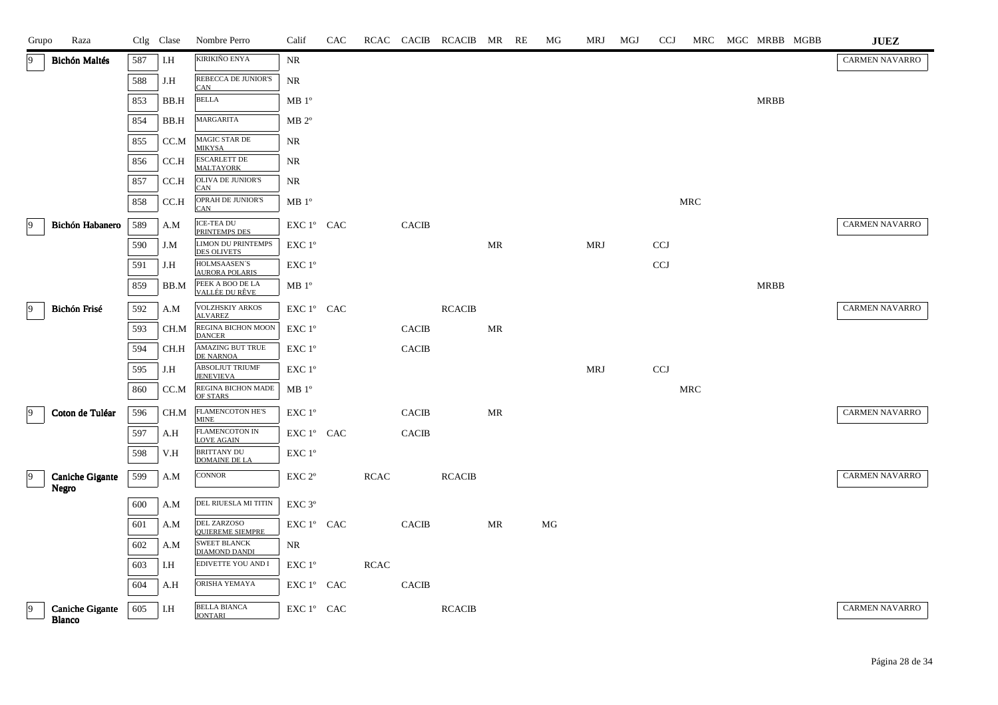| Grupo           | Raza                                    |     | Ctlg Clase | Nombre Perro                                    | Calif                | <b>CAC</b> |             |              | RCAC CACIB RCACIB MR RE |           | MG | MRJ        | MGJ | <b>CCJ</b>   | MRC        | MGC MRBB MGBB | <b>JUEZ</b>           |
|-----------------|-----------------------------------------|-----|------------|-------------------------------------------------|----------------------|------------|-------------|--------------|-------------------------|-----------|----|------------|-----|--------------|------------|---------------|-----------------------|
| 9               | <b>Bichón Maltés</b>                    | 587 | I.H        | KIRIKIÑO ENYA                                   | NR                   |            |             |              |                         |           |    |            |     |              |            |               | <b>CARMEN NAVARRO</b> |
|                 |                                         | 588 | J.H        | REBECCA DE JUNIOR'S<br><b>CAN</b>               | NR                   |            |             |              |                         |           |    |            |     |              |            |               |                       |
|                 |                                         | 853 | BB.H       | <b>BELLA</b>                                    | MB 1 <sup>o</sup>    |            |             |              |                         |           |    |            |     |              |            | <b>MRBB</b>   |                       |
|                 |                                         | 854 | BB.H       | MARGARITA                                       | $MB 2^{\circ}$       |            |             |              |                         |           |    |            |     |              |            |               |                       |
|                 |                                         | 855 | CC.M       | MAGIC STAR DE<br><b>MIKYSA</b>                  | NR                   |            |             |              |                         |           |    |            |     |              |            |               |                       |
|                 |                                         | 856 | CC.H       | <b>ESCARLETT DE</b><br><b>MALTAYORK</b>         | NR                   |            |             |              |                         |           |    |            |     |              |            |               |                       |
|                 |                                         | 857 | CC.H       | OLIVA DE JUNIOR'S<br><b>CAN</b>                 | NR                   |            |             |              |                         |           |    |            |     |              |            |               |                       |
|                 |                                         | 858 | CC.H       | OPRAH DE JUNIOR'S<br><b>CAN</b>                 | $\rm MB$ $1^{\rm o}$ |            |             |              |                         |           |    |            |     |              | MRC        |               |                       |
| $\overline{9}$  | Bichón Habanero                         | 589 | A.M        | ICE-TEA DU<br>PRINTEMPS DES                     | EXC 1° CAC           |            |             | <b>CACIB</b> |                         |           |    |            |     |              |            |               | <b>CARMEN NAVARRO</b> |
|                 |                                         | 590 | J.M        | <b>LIMON DU PRINTEMPS</b><br><b>DES OLIVETS</b> | $EXC1^{\circ}$       |            |             |              |                         | MR        |    | MRJ        |     | <b>CCJ</b>   |            |               |                       |
|                 |                                         | 591 | J.H        | HOLMSAASEN'S<br><b>AURORA POLARIS</b>           | EXC 1°               |            |             |              |                         |           |    |            |     | <b>CCJ</b>   |            |               |                       |
|                 |                                         | 859 | BB.M       | PEEK A BOO DE LA<br>VALLÉE DU RÊVE              | MB 1 <sup>o</sup>    |            |             |              |                         |           |    |            |     |              |            | <b>MRBB</b>   |                       |
| $ 9\rangle$     | Bichón Frisé                            | 592 | A.M        | VOLZHSKIY ARKOS<br><b>ALVAREZ</b>               | EXC 1° CAC           |            |             |              | <b>RCACIB</b>           |           |    |            |     |              |            |               | CARMEN NAVARRO        |
|                 |                                         | 593 | CH.M       | REGINA BICHON MOON<br><b>DANCER</b>             | EXC 1°               |            |             | <b>CACIB</b> |                         | <b>MR</b> |    |            |     |              |            |               |                       |
|                 |                                         | 594 | CH.H       | AMAZING BUT TRUE<br>DE NARNOA                   | EXC 1°               |            |             | CACIB        |                         |           |    |            |     |              |            |               |                       |
|                 |                                         | 595 | J.H        | ABSOLJUT TRIUMF<br><b>JENEVIEVA</b>             | EXC 1 <sup>o</sup>   |            |             |              |                         |           |    | <b>MRJ</b> |     | $_{\rm CCJ}$ |            |               |                       |
|                 |                                         | 860 | CC.M       | <b>REGINA BICHON MADE</b><br>OF STARS           | MB 1 <sup>o</sup>    |            |             |              |                         |           |    |            |     |              | <b>MRC</b> |               |                       |
| $\vert 9 \vert$ | Coton de Tuléar                         | 596 | CH.M       | FLAMENCOTON HE'S<br><b>MINE</b>                 | EXC 1 <sup>o</sup>   |            |             | <b>CACIB</b> |                         | MR        |    |            |     |              |            |               | <b>CARMEN NAVARRO</b> |
|                 |                                         | 597 | A.H        | FLAMENCOTON IN<br><b>LOVE AGAIN</b>             | EXC 1° CAC           |            |             | <b>CACIB</b> |                         |           |    |            |     |              |            |               |                       |
|                 |                                         | 598 | V.H        | <b>BRITTANY DU</b><br><b>DOMAINE DE LA</b>      | EXC 1°               |            |             |              |                         |           |    |            |     |              |            |               |                       |
| $\overline{9}$  | <b>Caniche Gigante</b><br><b>Negro</b>  | 599 | A.M        | CONNOR                                          | EXC 2 <sup>o</sup>   |            | <b>RCAC</b> |              | <b>RCACIB</b>           |           |    |            |     |              |            |               | CARMEN NAVARRO        |
|                 |                                         | 600 | A.M        | DEL RIUESLA MI TITIN                            | EXC 3°               |            |             |              |                         |           |    |            |     |              |            |               |                       |
|                 |                                         | 601 | A.M        | DEL ZARZOSO                                     | EXC 1° CAC           |            |             | <b>CACIB</b> |                         | MR        | MG |            |     |              |            |               |                       |
|                 |                                         | 602 | A.M        | <b>OUIEREME SIEMPRE</b><br><b>SWEET BLANCK</b>  | NR                   |            |             |              |                         |           |    |            |     |              |            |               |                       |
|                 |                                         | 603 | I.H        | <b>DIAMOND DANDI</b><br>EDIVETTE YOU AND I      | EXC 1°               |            | RCAC        |              |                         |           |    |            |     |              |            |               |                       |
|                 |                                         | 604 | A.H        | ORISHA YEMAYA                                   | EXC 1° CAC           |            |             | <b>CACIB</b> |                         |           |    |            |     |              |            |               |                       |
| $\vert 9 \vert$ | <b>Caniche Gigante</b><br><b>Blanco</b> | 605 | I.H        | <b>BELLA BIANCA</b><br><b>JONTARI</b>           | EXC 1° CAC           |            |             |              | <b>RCACIB</b>           |           |    |            |     |              |            |               | <b>CARMEN NAVARRO</b> |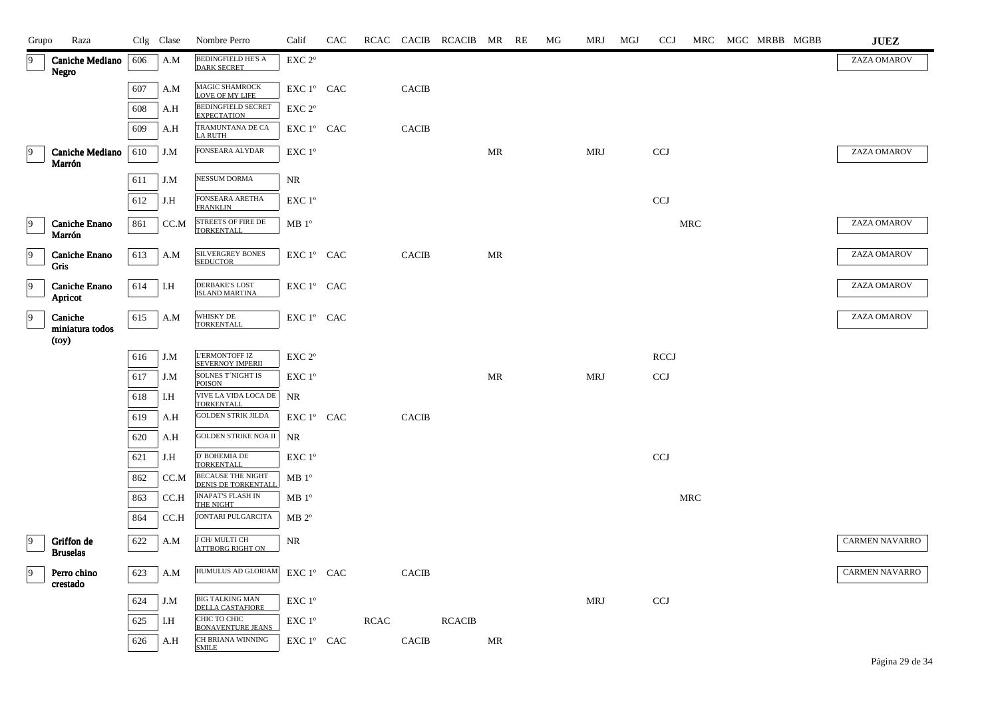| Grupo          | Raza                            |     | Ctlg Clase | Nombre Perro                                          | Calif                                | CAC |             |              | RCAC CACIB RCACIB MR RE |    | MG | MRJ        | MGJ | <b>CCJ</b>  |            | MRC MGC MRBB MGBB | <b>JUEZ</b>           |
|----------------|---------------------------------|-----|------------|-------------------------------------------------------|--------------------------------------|-----|-------------|--------------|-------------------------|----|----|------------|-----|-------------|------------|-------------------|-----------------------|
| $\overline{9}$ | <b>Caniche Mediano</b><br>Negro | 606 | A.M        | BEDINGFIELD HE'S A<br><b>DARK SECRET</b>              | EXC 2°                               |     |             |              |                         |    |    |            |     |             |            |                   | ZAZA OMAROV           |
|                |                                 | 607 | A.M        | $\overline{\text{MAGIC}}$ SHAMROCK<br>LOVE OF MY LIFE | EXC 1° CAC                           |     |             | CACIB        |                         |    |    |            |     |             |            |                   |                       |
|                |                                 | 608 | A.H        | <b>BEDINGFIELD SECRET</b><br><b>EXPECTATION</b>       | EXC 2 <sup>o</sup>                   |     |             |              |                         |    |    |            |     |             |            |                   |                       |
|                |                                 | 609 | A.H        | TRAMUNTANA DE CA<br><b>LA RUTH</b>                    | ${\rm EXC}\ 1^{\circ}$ $\hbox{ CAC}$ |     |             | <b>CACIB</b> |                         |    |    |            |     |             |            |                   |                       |
| $\vert$ 9      | Caniche Mediano<br>Marrón       | 610 | J.M        | FONSEARA ALYDAR                                       | EXC 1°                               |     |             |              |                         | MR |    | MRJ        |     | <b>CCJ</b>  |            |                   | ZAZA OMAROV           |
|                |                                 | 611 | J.M        | NESSUM DORMA                                          | NR                                   |     |             |              |                         |    |    |            |     |             |            |                   |                       |
|                |                                 | 612 | J.H        | FONSEARA ARETHA<br><b>FRANKLIN</b>                    | EXC 1 <sup>o</sup>                   |     |             |              |                         |    |    |            |     | <b>CCJ</b>  |            |                   |                       |
| 9              | Caniche Enano<br>Marrón         | 861 | CC.M       | STREETS OF FIRE DE<br><b>TORKENTALL</b>               | MB1°                                 |     |             |              |                         |    |    |            |     |             | <b>MRC</b> |                   | ZAZA OMAROV           |
| $\vert$ 9      | Caniche Enano<br>Gris           | 613 | A.M        | SILVERGREY BONES<br><b>SEDUCTOR</b>                   | EXC 1° CAC                           |     |             | <b>CACIB</b> |                         | MR |    |            |     |             |            |                   | ZAZA OMAROV           |
| 9              | Caniche Enano<br>Apricot        | 614 | I.H        | <b>DERBAKE'S LOST</b><br><b>ISLAND MARTINA</b>        | EXC 1° CAC                           |     |             |              |                         |    |    |            |     |             |            |                   | ZAZA OMAROV           |
| $\overline{9}$ | Caniche<br>miniatura todos      | 615 | A.M        | WHISKY DE<br><b>TORKENTALL</b>                        | EXC 1° CAC                           |     |             |              |                         |    |    |            |     |             |            |                   | ZAZA OMAROV           |
|                | (toy)                           |     |            |                                                       |                                      |     |             |              |                         |    |    |            |     |             |            |                   |                       |
|                |                                 | 616 | J.M        | <b>L'ERMONTOFF IZ</b><br><b>SEVERNOY IMPERII</b>      | EXC <sub>2°</sub>                    |     |             |              |                         |    |    |            |     | <b>RCCJ</b> |            |                   |                       |
|                |                                 | 617 | J.M        | SOLNES T'NIGHT IS<br><b>POISON</b>                    | EXC 1°                               |     |             |              |                         | MR |    | <b>MRJ</b> |     | CCJ         |            |                   |                       |
|                |                                 | 618 | I.H        | VIVE LA VIDA LOCA DE<br><b>TORKENTALL</b>             | NR                                   |     |             |              |                         |    |    |            |     |             |            |                   |                       |
|                |                                 | 619 | A.H        | <b>GOLDEN STRIK JILDA</b>                             | ${\rm EXC}\ 1^{\circ}$ $\hbox{ CAC}$ |     |             | CACIB        |                         |    |    |            |     |             |            |                   |                       |
|                |                                 | 620 | A.H        | <b>GOLDEN STRIKE NOA II</b>                           | NR                                   |     |             |              |                         |    |    |            |     |             |            |                   |                       |
|                |                                 | 621 | J.H        | D' BOHEMIA DE<br><b>TORKENTALL</b>                    | EXC 1°                               |     |             |              |                         |    |    |            |     | <b>CCJ</b>  |            |                   |                       |
|                |                                 | 862 | CC.M       | <b>BECAUSE THE NIGHT</b><br>DENIS DE TORKENTALL       | $MB1^{\circ}$                        |     |             |              |                         |    |    |            |     |             |            |                   |                       |
|                |                                 | 863 | CC.H       | <b>INAPAT'S FLASH IN</b><br>THE NIGHT                 | MB1°                                 |     |             |              |                         |    |    |            |     |             | <b>MRC</b> |                   |                       |
|                |                                 | 864 | CC.H       | JONTARI PULGARCITA                                    | $MB 2^{\circ}$                       |     |             |              |                         |    |    |            |     |             |            |                   |                       |
| $\overline{9}$ | Griffon de<br><b>Bruselas</b>   | 622 | A.M        | <b>J CH/MULTI CH</b><br><b>ATTBORG RIGHT ON</b>       | $\rm NR$                             |     |             |              |                         |    |    |            |     |             |            |                   | <b>CARMEN NAVARRO</b> |
| $\overline{9}$ | Perro chino<br>crestado         | 623 | A.M        | HUMULUS AD GLORIAM                                    | EXC 1° CAC                           |     |             | <b>CACIB</b> |                         |    |    |            |     |             |            |                   | <b>CARMEN NAVARRO</b> |
|                |                                 | 624 | J.M        | BIG TALKING MAN<br>DELLA CASTAFIORE                   | $EXC1^{\circ}$                       |     |             |              |                         |    |    | MRJ        |     | <b>CCJ</b>  |            |                   |                       |
|                |                                 | 625 | I.H        | СНІС ТО СНІС<br><b>BONAVENTURE JEANS</b>              | EXC 1°                               |     | <b>RCAC</b> |              | <b>RCACIB</b>           |    |    |            |     |             |            |                   |                       |
|                |                                 | 626 | A.H        | CH BRIANA WINNING<br><b>SMILE</b>                     | ${\rm EXC}$ $1^{\circ}$ $\;$ CAC     |     |             | <b>CACIB</b> |                         | MR |    |            |     |             |            |                   |                       |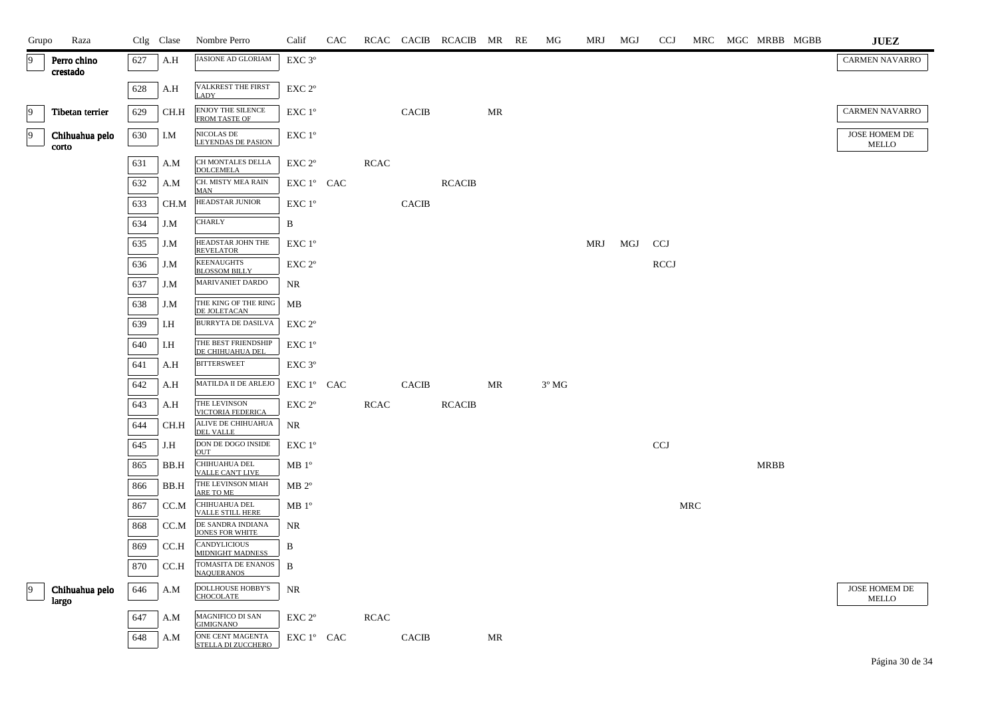| Grupo          | Raza                    |     | Ctlg Clase | Nombre Perro                                   | Calif                   | CAC |             |                | RCAC CACIB RCACIB MR RE |    | МG                     | MRJ | MGJ | <b>CCJ</b>  |     | MRC MGC MRBB MGBB | <b>JUEZ</b>                   |
|----------------|-------------------------|-----|------------|------------------------------------------------|-------------------------|-----|-------------|----------------|-------------------------|----|------------------------|-----|-----|-------------|-----|-------------------|-------------------------------|
| $\overline{9}$ | Perro chino<br>crestado | 627 | A.H        | JASIONE AD GLORIAM                             | $EXC$ 3 $^{\circ}$      |     |             |                |                         |    |                        |     |     |             |     |                   | CARMEN NAVARRO                |
|                |                         | 628 | A.H        | VALKREST THE FIRST<br><b>LADY</b>              | EXC 2 <sup>o</sup>      |     |             |                |                         |    |                        |     |     |             |     |                   |                               |
| $\overline{9}$ | Tibetan terrier         | 629 | CH.H       | ENJOY THE SILENCE FROM TASTE OF                | EXC 1°                  |     |             | <b>CACIB</b>   |                         | MR |                        |     |     |             |     |                   | <b>CARMEN NAVARRO</b>         |
| $\overline{9}$ | Chihuahua pelo<br>corto | 630 | I.M        | NICOLAS DE<br><b>LEYENDAS DE PASION</b>        | EXC 1 <sup>o</sup>      |     |             |                |                         |    |                        |     |     |             |     |                   | JOSE HOMEM DE<br>MELLO        |
|                |                         | 631 | A.M        | CH MONTALES DELLA<br><b>DOLCEMELA</b>          | EXC 2°                  |     | <b>RCAC</b> |                |                         |    |                        |     |     |             |     |                   |                               |
|                |                         | 632 | A.M        | CH. MISTY MEA RAIN<br><b>MAN</b>               | EXC 1° CAC              |     |             |                | <b>RCACIB</b>           |    |                        |     |     |             |     |                   |                               |
|                |                         | 633 | CH.M       | HEADSTAR JUNIOR                                | $EXC1^{\circ}$          |     |             | <b>CACIB</b>   |                         |    |                        |     |     |             |     |                   |                               |
|                |                         | 634 | J.M        | <b>CHARLY</b>                                  | B                       |     |             |                |                         |    |                        |     |     |             |     |                   |                               |
|                |                         | 635 | J.M        | HEADSTAR JOHN THE<br><b>REVELATOR</b>          | EXC 1°                  |     |             |                |                         |    |                        | MRJ | MGJ | <b>CCJ</b>  |     |                   |                               |
|                |                         | 636 | J.M        | <b>KEENAUGHTS</b><br><b>BLOSSOM BILLY</b>      | EXC 2°                  |     |             |                |                         |    |                        |     |     | <b>RCCJ</b> |     |                   |                               |
|                |                         | 637 | J.M        | <b>MARIVANIET DARDO</b>                        | NR                      |     |             |                |                         |    |                        |     |     |             |     |                   |                               |
|                |                         | 638 | J.M        | THE KING OF THE RING<br>DE JOLETACAN           | MB                      |     |             |                |                         |    |                        |     |     |             |     |                   |                               |
|                |                         | 639 | I.H        | <b>BURRYTA DE DASILVA</b>                      | EXC 2 <sup>o</sup>      |     |             |                |                         |    |                        |     |     |             |     |                   |                               |
|                |                         | 640 | I.H        | THE BEST FRIENDSHIP<br>DE CHIHUAHUA DEL        | EXC 1°                  |     |             |                |                         |    |                        |     |     |             |     |                   |                               |
|                |                         | 641 | A.H        | <b>BITTERSWEET</b>                             | EXC 3°                  |     |             |                |                         |    |                        |     |     |             |     |                   |                               |
|                |                         | 642 | A.H        | MATILDA II DE ARLEJO                           | EXC 1° CAC              |     |             | $\mbox{CACIB}$ |                         | MR | $3^{\rm o}\, {\rm MG}$ |     |     |             |     |                   |                               |
|                |                         | 643 | A.H        | THE LEVINSON<br>VICTORIA FEDERICA              | $EXC 2^{\circ}$         |     | RCAC        |                | <b>RCACIB</b>           |    |                        |     |     |             |     |                   |                               |
|                |                         | 644 | CH.H       | ALIVE DE CHIHUAHUA<br><b>DEL VALLE</b>         | NR                      |     |             |                |                         |    |                        |     |     |             |     |                   |                               |
|                |                         | 645 | J.H        | DON DE DOGO INSIDE<br><b>OUT</b>               | EXC 1 <sup>o</sup>      |     |             |                |                         |    |                        |     |     | <b>CCJ</b>  |     |                   |                               |
|                |                         | 865 | BB.H       | CHIHUAHUA DEL<br><b>VALLE CANT LIVE</b>        | $MB1^{\circ}$           |     |             |                |                         |    |                        |     |     |             |     | <b>MRBB</b>       |                               |
|                |                         | 866 | BB.H       | THE LEVINSON MIAH<br>ARE TO ME                 | $MB 2^{\circ}$          |     |             |                |                         |    |                        |     |     |             |     |                   |                               |
|                |                         | 867 | CC.M       | CHIHUAHUA DEL<br>VALLE STILL HERE              | $MB1^{\circ}$           |     |             |                |                         |    |                        |     |     |             | MRC |                   |                               |
|                |                         | 868 | CC.M       | DE SANDRA INDIANA<br><b>JONES FOR WHITE</b>    | NR                      |     |             |                |                         |    |                        |     |     |             |     |                   |                               |
|                |                         | 869 | CC.H       | <b>CANDYLICIOUS</b><br><b>MIDNIGHT MADNESS</b> | B                       |     |             |                |                         |    |                        |     |     |             |     |                   |                               |
|                |                         | 870 | CC.H       | TOMASITA DE ENANOS<br><b>NAQUERANOS</b>        | B                       |     |             |                |                         |    |                        |     |     |             |     |                   |                               |
| $ 9\rangle$    | Chihuahua pelo<br>largo | 646 | A.M        | DOLLHOUSE HOBBY'S<br><b>CHOCOLATE</b>          | NR                      |     |             |                |                         |    |                        |     |     |             |     |                   | JOSE HOMEM DE<br><b>MELLO</b> |
|                |                         | 647 | A.M        | MAGNIFICO DI SAN<br><b>GIMIGNANO</b>           | ${\rm EXC}$ $2^{\rm o}$ |     | <b>RCAC</b> |                |                         |    |                        |     |     |             |     |                   |                               |
|                |                         | 648 | A.M        | ONE CENT MAGENTA<br>STELLA DI ZUCCHERO         | EXC 1° CAC              |     |             | <b>CACIB</b>   |                         | MR |                        |     |     |             |     |                   |                               |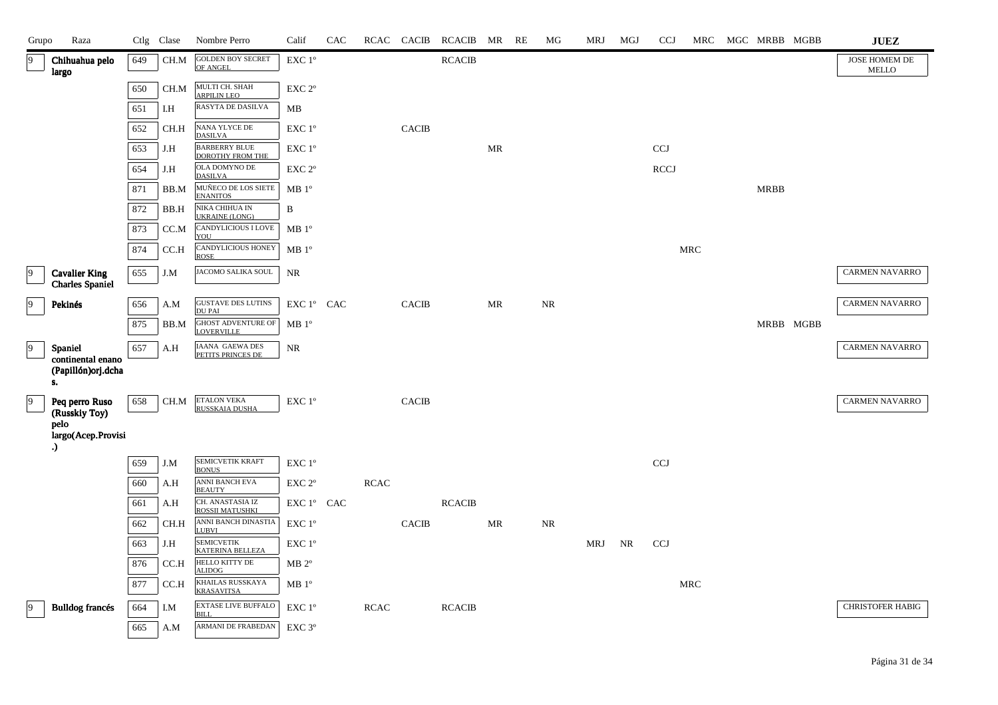| Grupo          | Raza                                           |     | Ctlg Clase | Nombre Perro                                   | Calif              | CAC | RCAC        | <b>CACIB</b> | RCACIB MR     |                                   | RE | MG        | MRJ | MGJ | <b>CCJ</b>   | MRC                  |             | MGC MRBB MGBB | $\mathbf{J}\mathbf{U}\mathbf{E}\mathbf{Z}$ |
|----------------|------------------------------------------------|-----|------------|------------------------------------------------|--------------------|-----|-------------|--------------|---------------|-----------------------------------|----|-----------|-----|-----|--------------|----------------------|-------------|---------------|--------------------------------------------|
| 9              | Chihuahua pelo<br>largo                        | 649 | CH.M       | <b>GOLDEN BOY SECRET</b><br>OF ANGEL           | EXC 1°             |     |             |              | <b>RCACIB</b> |                                   |    |           |     |     |              |                      |             |               | JOSE HOMEM DE<br>MELLO                     |
|                |                                                | 650 | CH.M       | MULTI CH. SHAH<br><b>ARPILIN LEO</b>           | EXC 2°             |     |             |              |               |                                   |    |           |     |     |              |                      |             |               |                                            |
|                |                                                | 651 | I.H        | RASYTA DE DASILVA                              | MB                 |     |             |              |               |                                   |    |           |     |     |              |                      |             |               |                                            |
|                |                                                | 652 | CH.H       | NANA YLYCE DE<br><b>DASILVA</b>                | EXC 1°             |     |             | <b>CACIB</b> |               |                                   |    |           |     |     |              |                      |             |               |                                            |
|                |                                                | 653 | J.H        | <b>BARBERRY BLUE</b><br>DOROTHY FROM THE       | EXC 1°             |     |             |              |               | $\ensuremath{\mathsf{MR}}\xspace$ |    |           |     |     | <b>CCJ</b>   |                      |             |               |                                            |
|                |                                                | 654 | J.H        | OLA DOMYNO DE<br><b>DASILVA</b>                | EXC 2 <sup>o</sup> |     |             |              |               |                                   |    |           |     |     | <b>RCCJ</b>  |                      |             |               |                                            |
|                |                                                | 871 | BB.M       | MUÑECO DE LOS SIETE<br><b>ENANITOS</b>         | MB 1 <sup>o</sup>  |     |             |              |               |                                   |    |           |     |     |              |                      | <b>MRBB</b> |               |                                            |
|                |                                                | 872 | BB.H       | NIKA CHIHUA IN<br><b>UKRAINE (LONG)</b>        | B                  |     |             |              |               |                                   |    |           |     |     |              |                      |             |               |                                            |
|                |                                                | 873 | CC.M       | <b>CANDYLICIOUS I LOVE</b><br>YOU              | MB 1 <sup>o</sup>  |     |             |              |               |                                   |    |           |     |     |              |                      |             |               |                                            |
|                |                                                | 874 | CC.H       | CANDYLICIOUS HONEY<br><b>ROSE</b>              | MB 1 <sup>o</sup>  |     |             |              |               |                                   |    |           |     |     |              | <b>MRC</b>           |             |               |                                            |
| 9              | <b>Cavalier King</b><br><b>Charles</b> Spaniel | 655 | J.M        | JACOMO SALIKA SOUL                             | NR                 |     |             |              |               |                                   |    |           |     |     |              |                      |             |               | <b>CARMEN NAVARRO</b>                      |
| 9              | Pekinés                                        | 656 | A.M        | <b>GUSTAVE DES LUTINS</b><br><b>DU PAI</b>     | EXC 1° CAC         |     |             | CACIB        |               | MR                                |    | NR        |     |     |              |                      |             |               | <b>CARMEN NAVARRO</b>                      |
|                |                                                | 875 | BB.M       | <b>GHOST ADVENTURE OF</b><br><b>LOVERVILLE</b> | MB 1 <sup>o</sup>  |     |             |              |               |                                   |    |           |     |     |              |                      |             | MRBB MGBB     |                                            |
| $\overline{9}$ | Spaniel                                        | 657 | A.H        | IAANA GAEWA DES<br>PETITS PRINCES DE           | $\rm NR$           |     |             |              |               |                                   |    |           |     |     |              |                      |             |               | <b>CARMEN NAVARRO</b>                      |
|                | continental enano<br>(Papillón) orj.dcha<br>s. |     |            |                                                |                    |     |             |              |               |                                   |    |           |     |     |              |                      |             |               |                                            |
| $ 9\rangle$    | Peq perro Ruso<br>(Russkiy Toy)<br>pelo        | 658 | CH.M       | <b>ETALON VEKA</b><br>RUSSKAIA DUSHA           | EXC 1°             |     |             | <b>CACIB</b> |               |                                   |    |           |     |     |              |                      |             |               | CARMEN NAVARRO                             |
|                | largo(Acep.Provisi<br>.)                       |     |            |                                                |                    |     |             |              |               |                                   |    |           |     |     |              |                      |             |               |                                            |
|                |                                                | 659 | J.M        | SEMICVETIK KRAFT<br><b>BONUS</b>               | EXC 1°             |     |             |              |               |                                   |    |           |     |     | $_{\rm CCJ}$ |                      |             |               |                                            |
|                |                                                | 660 | A.H        | ANNI BANCH EVA<br><b>BEAUTY</b>                | EXC 2°             |     | <b>RCAC</b> |              |               |                                   |    |           |     |     |              |                      |             |               |                                            |
|                |                                                | 661 | A.H        | CH. ANASTASIA IZ<br>ROSSII MATUSHKI            | EXC 1° CAC         |     |             |              | <b>RCACIB</b> |                                   |    |           |     |     |              |                      |             |               |                                            |
|                |                                                | 662 | CH.H       | ANNI BANCH DINASTIA<br><b>LUBVI</b>            | EXC 1°             |     |             | <b>CACIB</b> |               | $\ensuremath{\mathsf{MR}}\xspace$ |    | <b>NR</b> |     |     |              |                      |             |               |                                            |
|                |                                                | 663 | J.H        | <b>SEMICVETIK</b><br><b>KATERINA BELLEZA</b>   | EXC 1°             |     |             |              |               |                                   |    |           | MRJ | NR  | <b>CCJ</b>   |                      |             |               |                                            |
|                |                                                | 876 | CC.H       | HELLO KITTY DE<br><b>ALIDOG</b>                | $MB 2^{\circ}$     |     |             |              |               |                                   |    |           |     |     |              |                      |             |               |                                            |
|                |                                                | 877 | CC.H       | KHAILAS RUSSKAYA<br><b>KRASAVITSA</b>          | MB 1 <sup>o</sup>  |     |             |              |               |                                   |    |           |     |     |              | $\operatorname{MRC}$ |             |               |                                            |
| $ 9\rangle$    | <b>Bulldog francés</b>                         | 664 | I.M        | <b>EXTASE LIVE BUFFALO</b><br><b>BILL</b>      | $EXC1^{\circ}$     |     | <b>RCAC</b> |              | <b>RCACIB</b> |                                   |    |           |     |     |              |                      |             |               | <b>CHRISTOFER HABIG</b>                    |
|                |                                                | 665 | A.M        | ARMANI DE FRABEDAN                             | EXC <sub>3°</sub>  |     |             |              |               |                                   |    |           |     |     |              |                      |             |               |                                            |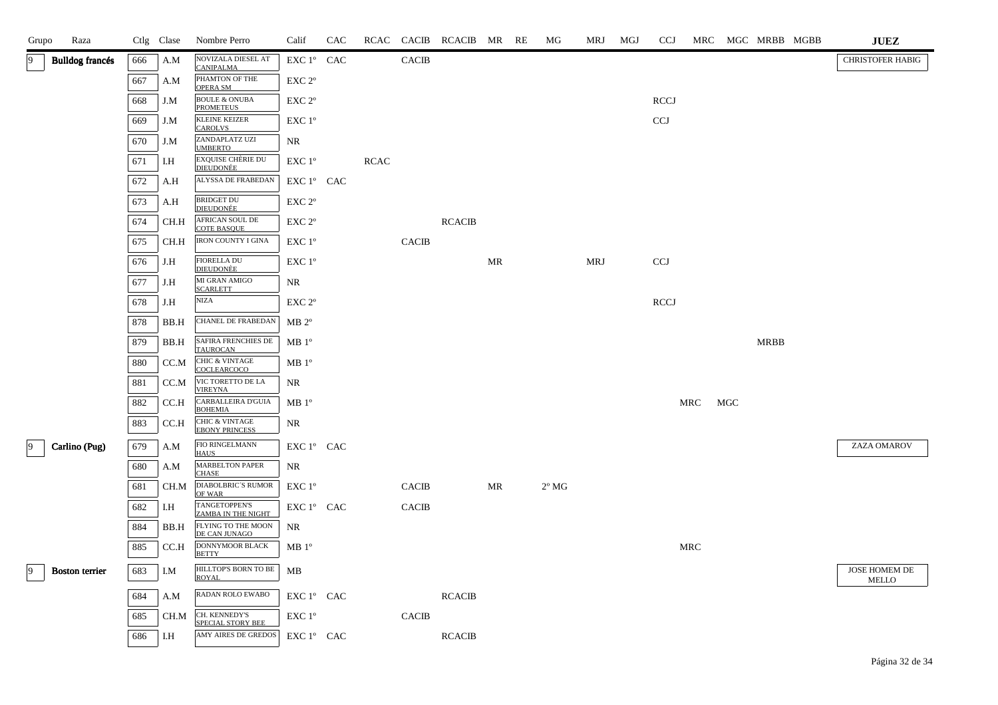| Grupo | Raza                   |     | Ctlg Clase | Nombre Perro                                       | Calif              | CAC |             |              | RCAC CACIB RCACIB MR RE |    | MG             | MRJ | MGJ | <b>CCJ</b>  | MRC        |     | MGC MRBB MGBB | <b>JUEZ</b>                   |
|-------|------------------------|-----|------------|----------------------------------------------------|--------------------|-----|-------------|--------------|-------------------------|----|----------------|-----|-----|-------------|------------|-----|---------------|-------------------------------|
| 9     | <b>Bulldog</b> francés | 666 | A.M        | <b>NOVIZALA DIESEL AT</b><br><b>CANIPALMA</b>      | EXC 1° CAC         |     |             | <b>CACIB</b> |                         |    |                |     |     |             |            |     |               | <b>CHRISTOFER HABIG</b>       |
|       |                        | 667 | A.M        | PHAMTON OF THE<br><b>OPERA SM</b>                  | EXC 2°             |     |             |              |                         |    |                |     |     |             |            |     |               |                               |
|       |                        | 668 | J.M        | <b>BOULE &amp; ONUBA</b><br><b>PROMETEUS</b>       | $EXC 2^{\circ}$    |     |             |              |                         |    |                |     |     | RCCJ        |            |     |               |                               |
|       |                        | 669 | J.M        | <b>KLEINE KEIZER</b><br><b>CAROLVS</b>             | EXC 1 <sup>o</sup> |     |             |              |                         |    |                |     |     | CCJ         |            |     |               |                               |
|       |                        | 670 | J.M        | ZANDAPLATZ UZI<br><b>UMBERTO</b>                   | NR                 |     |             |              |                         |    |                |     |     |             |            |     |               |                               |
|       |                        | 671 | I.H        | <b>EXQUISE CHÈRIE DU</b><br><b>DIEUDONÉE</b>       | EXC 1°             |     | <b>RCAC</b> |              |                         |    |                |     |     |             |            |     |               |                               |
|       |                        | 672 | A.H        | ALYSSA DE FRABEDAN                                 | EXC 1° CAC         |     |             |              |                         |    |                |     |     |             |            |     |               |                               |
|       |                        | 673 | A.H        | <b>BRIDGET DU</b><br><b>DIEUDONÉE</b>              | EXC 2°             |     |             |              |                         |    |                |     |     |             |            |     |               |                               |
|       |                        | 674 | CH.H       | AFRICAN SOUL DE<br><b>COTE BASQUE</b>              | EXC 2°             |     |             |              | <b>RCACIB</b>           |    |                |     |     |             |            |     |               |                               |
|       |                        | 675 | CH.H       | <b>IRON COUNTY I GINA</b>                          | EXC 1 <sup>°</sup> |     |             | <b>CACIB</b> |                         |    |                |     |     |             |            |     |               |                               |
|       |                        | 676 | J.H        | <b>FIORELLA DU</b><br><b>DIEUDONÈE</b>             | EXC 1°             |     |             |              |                         | MR |                | MRJ |     | <b>CCJ</b>  |            |     |               |                               |
|       |                        | 677 | J.H        | MI GRAN AMIGO<br><b>SCARLETT</b>                   | NR.                |     |             |              |                         |    |                |     |     |             |            |     |               |                               |
|       |                        | 678 | J.H        | NIZA                                               | EXC 2°             |     |             |              |                         |    |                |     |     | <b>RCCJ</b> |            |     |               |                               |
|       |                        | 878 | BB.H       | CHANEL DE FRABEDAN                                 | $MB 2^{\circ}$     |     |             |              |                         |    |                |     |     |             |            |     |               |                               |
|       |                        | 879 | BB.H       | SAFIRA FRENCHIES DE<br><b>TAUROCAN</b>             | MB 1 <sup>o</sup>  |     |             |              |                         |    |                |     |     |             |            |     | <b>MRBB</b>   |                               |
|       |                        | 880 | CC.M       | <b>CHIC &amp; VINTAGE</b><br>COCLEARCOCO           | MB 1 <sup>o</sup>  |     |             |              |                         |    |                |     |     |             |            |     |               |                               |
|       |                        | 881 | CC.M       | VIC TORETTO DE LA<br><b>VIREYNA</b>                | NR                 |     |             |              |                         |    |                |     |     |             |            |     |               |                               |
|       |                        | 882 | CC.H       | CARBALLEIRA D'GUIA<br><b>BOHEMIA</b>               | MB 1 <sup>o</sup>  |     |             |              |                         |    |                |     |     |             | <b>MRC</b> | MGC |               |                               |
|       |                        | 883 | CC.H       | <b>CHIC &amp; VINTAGE</b><br><b>EBONY PRINCESS</b> | NR                 |     |             |              |                         |    |                |     |     |             |            |     |               |                               |
| 9     | Carlino (Pug)          | 679 | A.M        | FIO RINGELMANN<br><b>HAUS</b>                      | EXC 1° CAC         |     |             |              |                         |    |                |     |     |             |            |     |               | ZAZA OMAROV                   |
|       |                        | 680 | A.M        | <b>MARBELTON PAPER</b><br><b>CHASE</b>             | NR                 |     |             |              |                         |    |                |     |     |             |            |     |               |                               |
|       |                        | 681 | CH.M       | <b>DIABOLBRIC'S RUMOR</b><br>OF WAR                | EXC 1°             |     |             | <b>CACIB</b> |                         | MR | $2^{\circ}$ MG |     |     |             |            |     |               |                               |
|       |                        | 682 | I.H        | TANGETOPPEN'S<br><b>ZAMBA IN THE NIGHT</b>         | EXC 1° CAC         |     |             | <b>CACIB</b> |                         |    |                |     |     |             |            |     |               |                               |
|       |                        | 884 | BB.H       | FLYING TO THE MOON<br>DE CAN JUNAGO                | NR                 |     |             |              |                         |    |                |     |     |             |            |     |               |                               |
|       |                        | 885 | CC.H       | <b>DONNYMOOR BLACK</b><br><b>BETTY</b>             | MB1°               |     |             |              |                         |    |                |     |     |             | <b>MRC</b> |     |               |                               |
| 9     | <b>Boston</b> terrier  | 683 | I.M        | HILLTOP'S BORN TO BE<br><b>ROYAL</b>               | MB                 |     |             |              |                         |    |                |     |     |             |            |     |               | JOSE HOMEM DE<br><b>MELLO</b> |
|       |                        | 684 | A.M        | RADAN ROLO EWABO                                   | $EXC1^{\circ}$ CAC |     |             |              | <b>RCACIB</b>           |    |                |     |     |             |            |     |               |                               |
|       |                        | 685 | CH.M       | CH. KENNEDY'S<br>SPECIAL STORY BEE                 | EXC 1 <sup>o</sup> |     |             | <b>CACIB</b> |                         |    |                |     |     |             |            |     |               |                               |
|       |                        | 686 | I.H        | AMY AIRES DE GREDOS                                | EXC 1° CAC         |     |             |              | <b>RCACIB</b>           |    |                |     |     |             |            |     |               |                               |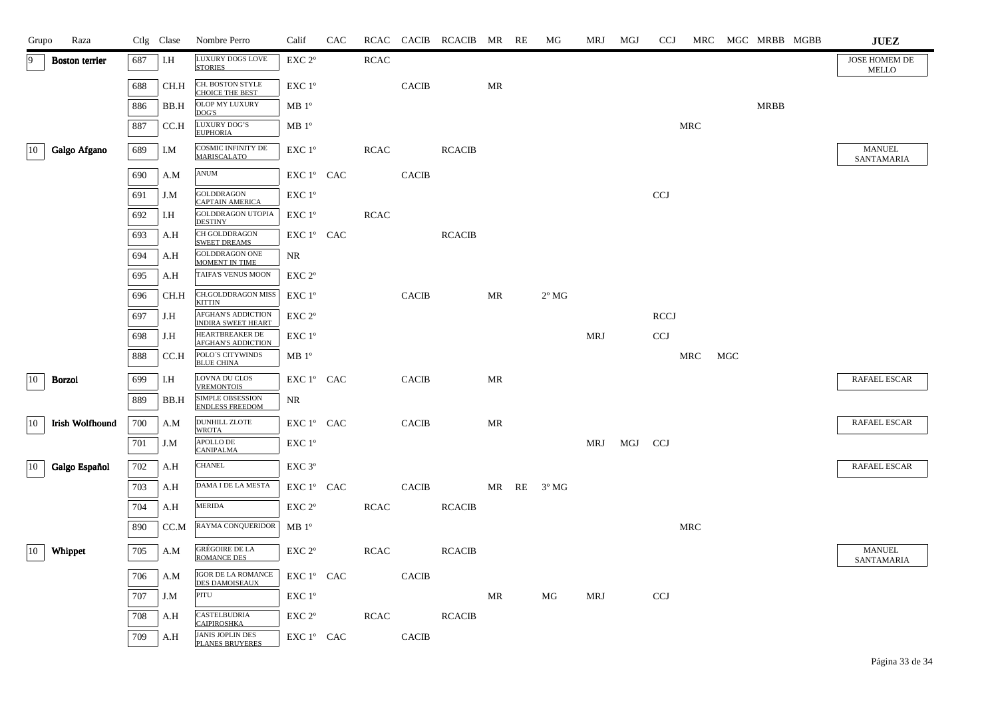| Grupo        | Raza                   |     | Ctlg Clase | Nombre Perro                                       | Calif              | CAC |             |              | RCAC CACIB RCACIB MR RE |    | MG             | MRJ | MGJ | <b>CCJ</b>  |            |     | MRC MGC MRBB MGBB | <b>JUEZ</b>                   |
|--------------|------------------------|-----|------------|----------------------------------------------------|--------------------|-----|-------------|--------------|-------------------------|----|----------------|-----|-----|-------------|------------|-----|-------------------|-------------------------------|
| 9            | <b>Boston</b> terrier  | 687 | I.H        | LUXURY DOGS LOVE<br><b>STORIES</b>                 | EXC <sub>2°</sub>  |     | <b>RCAC</b> |              |                         |    |                |     |     |             |            |     |                   | JOSE HOMEM DE<br><b>MELLO</b> |
|              |                        | 688 | CH.H       | CH. BOSTON STYLE<br><b>CHOICE THE BEST</b>         | EXC 1°             |     |             | <b>CACIB</b> |                         | MR |                |     |     |             |            |     |                   |                               |
|              |                        | 886 | BB.H       | OLOP MY LUXURY<br>DOG'S                            | MB 1 <sup>o</sup>  |     |             |              |                         |    |                |     |     |             |            |     | <b>MRBB</b>       |                               |
|              |                        | 887 | CC.H       | LUXURY DOG'S<br><b>EUPHORIA</b>                    | MB 1 <sup>o</sup>  |     |             |              |                         |    |                |     |     |             | <b>MRC</b> |     |                   |                               |
| $ 10\rangle$ | Galgo Afgano           | 689 | I.M        | <b>COSMIC INFINITY DE</b><br><b>MARISCALATO</b>    | EXC 1°             |     | <b>RCAC</b> |              | <b>RCACIB</b>           |    |                |     |     |             |            |     |                   | <b>MANUEL</b>                 |
|              |                        | 690 | A.M        | ANUM                                               | EXC 1º CAC         |     |             | <b>CACIB</b> |                         |    |                |     |     |             |            |     |                   | SANTAMARIA                    |
|              |                        | 691 | J.M        | <b>GOLDDRAGON</b>                                  | EXC 1°             |     |             |              |                         |    |                |     |     | <b>CCJ</b>  |            |     |                   |                               |
|              |                        | 692 | I.H        | <b>CAPTAIN AMERICA</b><br><b>GOLDDRAGON UTOPIA</b> | EXC 1°             |     | <b>RCAC</b> |              |                         |    |                |     |     |             |            |     |                   |                               |
|              |                        |     |            | <b>DESTINY</b><br>CH GOLDDRAGON                    |                    |     |             |              |                         |    |                |     |     |             |            |     |                   |                               |
|              |                        | 693 | A.H        | <b>SWEET DREAMS</b>                                | EXC 1° CAC         |     |             |              | <b>RCACIB</b>           |    |                |     |     |             |            |     |                   |                               |
|              |                        | 694 | A.H        | GOLDDRAGON ONE<br><b>MOMENT IN TIME</b>            | NR                 |     |             |              |                         |    |                |     |     |             |            |     |                   |                               |
|              |                        | 695 | A.H        | TAIFA'S VENUS MOON                                 | EXC 2 <sup>o</sup> |     |             |              |                         |    |                |     |     |             |            |     |                   |                               |
|              |                        | 696 | CH.H       | CH.GOLDDRAGON MISS<br><b>KITTIN</b>                | $EXC1^{\circ}$     |     |             | <b>CACIB</b> |                         | MR | $2^{\circ}$ MG |     |     |             |            |     |                   |                               |
|              |                        | 697 | J.H        | AFGHAN'S ADDICTION<br><b>INDIRA SWEET HEART</b>    | EXC 2 <sup>o</sup> |     |             |              |                         |    |                |     |     | <b>RCCJ</b> |            |     |                   |                               |
|              |                        | 698 | J.H        | HEARTBREAKER DE<br><b>AFGHAN'S ADDICTION</b>       | EXC 1°             |     |             |              |                         |    |                | MRJ |     | <b>CCJ</b>  |            |     |                   |                               |
|              |                        | 888 | CC.H       | POLO'S CITYWINDS<br><b>BLUE CHINA</b>              | MB <sup>o</sup>    |     |             |              |                         |    |                |     |     |             | MRC        | MGC |                   |                               |
| 10           | Borzoi                 | 699 | I.H        | LOVNA DU CLOS<br><b>VREMONTOIS</b>                 | EXC 1° CAC         |     |             | <b>CACIB</b> |                         | MR |                |     |     |             |            |     |                   | <b>RAFAEL ESCAR</b>           |
|              |                        | 889 | BB.H       | <b>SIMPLE OBSESSION</b><br><b>ENDLESS FREEDOM</b>  | NR                 |     |             |              |                         |    |                |     |     |             |            |     |                   |                               |
| 10           | <b>Irish Wolfhound</b> | 700 | A.M        | <b>DUNHILL ZLOTE</b><br><b>WROTA</b>               | EXC 1° CAC         |     |             | <b>CACIB</b> |                         | MR |                |     |     |             |            |     |                   | <b>RAFAEL ESCAR</b>           |
|              |                        | 701 | J.M        | APOLLO DE<br><b>CANIPALMA</b>                      | EXC 1°             |     |             |              |                         |    |                | MRJ | MGJ | CCJ         |            |     |                   |                               |
| 10           | Galgo Español          | 702 | A.H        | <b>CHANEL</b>                                      | EXC <sub>3°</sub>  |     |             |              |                         |    |                |     |     |             |            |     |                   | <b>RAFAEL ESCAR</b>           |
|              |                        | 703 | A.H        | DAMA I DE LA MESTA                                 | EXC 1° CAC         |     |             | <b>CACIB</b> |                         |    | MR RE 3°MG     |     |     |             |            |     |                   |                               |
|              |                        | 704 | A.H        | <b>MERIDA</b>                                      | EXC 2°             |     | <b>RCAC</b> |              | <b>RCACIB</b>           |    |                |     |     |             |            |     |                   |                               |
|              |                        | 890 | CC.M       | RAYMA CONQUERIDOR                                  | MB 1 <sup>o</sup>  |     |             |              |                         |    |                |     |     |             | <b>MRC</b> |     |                   |                               |
| 10           | Whippet                | 705 | A.M        | <b>GRÉGOIRE DE LA</b><br><b>ROMANCE DES</b>        | $EXC 2^{\circ}$    |     | <b>RCAC</b> |              | <b>RCACIB</b>           |    |                |     |     |             |            |     |                   | <b>MANUEL</b><br>SANTAMARIA   |
|              |                        | 706 | A.M        | IGOR DE LA ROMANCE<br><b>DES DAMOISEAUX</b>        | EXC 1° CAC         |     |             | <b>CACIB</b> |                         |    |                |     |     |             |            |     |                   |                               |
|              |                        | 707 | J.M        | PITU                                               | EXC 1°             |     |             |              |                         | MR | MG             | MRJ |     | <b>CCJ</b>  |            |     |                   |                               |
|              |                        | 708 | A.H        | CASTELBUDRIA<br><b>CAIPIROSHKA</b>                 | EXC <sub>2°</sub>  |     | <b>RCAC</b> |              | <b>RCACIB</b>           |    |                |     |     |             |            |     |                   |                               |
|              |                        | 709 | A.H        | <b>JANIS JOPLIN DES</b><br><b>PLANES BRUYERES</b>  | EXC 1° CAC         |     |             | <b>CACIB</b> |                         |    |                |     |     |             |            |     |                   |                               |